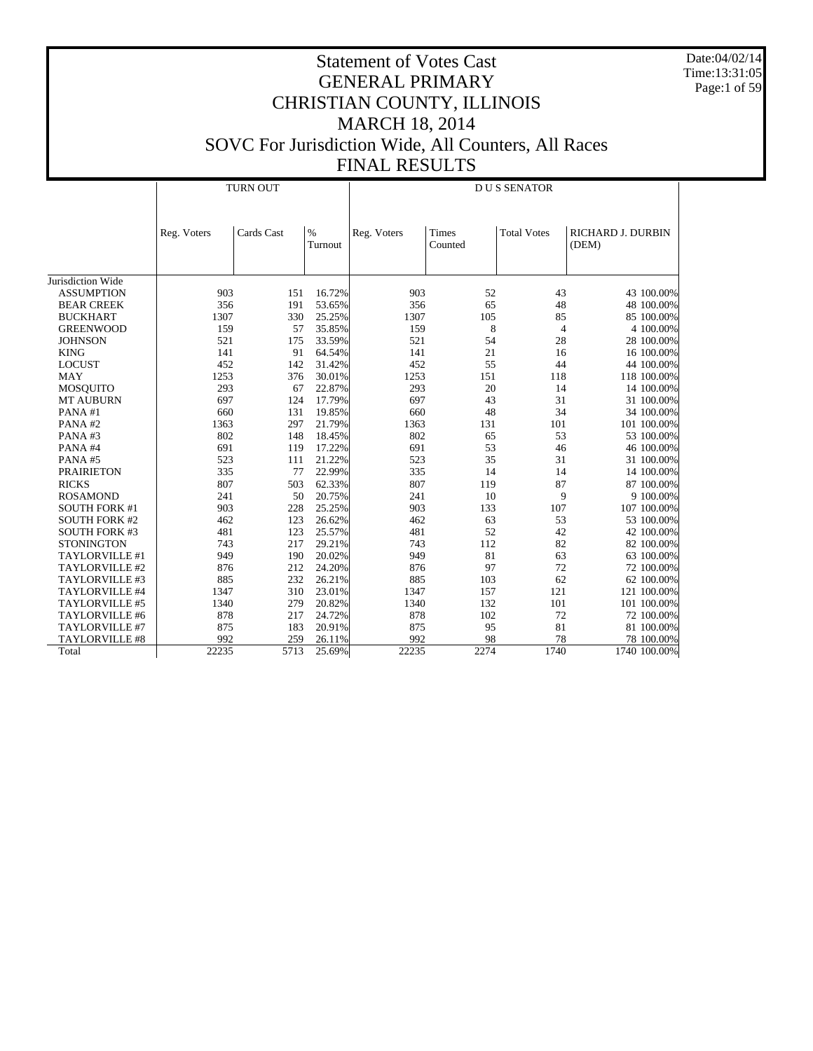Date:04/02/14 Time:13:31:05 Page:1 of 59

|                                              | <b>TURN OUT</b> |            |                  | <b>DUS SENATOR</b> |                  |                    |                            |
|----------------------------------------------|-----------------|------------|------------------|--------------------|------------------|--------------------|----------------------------|
|                                              | Reg. Voters     | Cards Cast | $\%$<br>Turnout  | Reg. Voters        | Times<br>Counted | <b>Total Votes</b> | RICHARD J. DURBIN<br>(DEM) |
| Jurisdiction Wide                            |                 |            |                  |                    |                  |                    |                            |
| <b>ASSUMPTION</b>                            | 903             | 151        | 16.72%           | 903                | 52               | 43                 | 43 100.00%                 |
| <b>BEAR CREEK</b>                            | 356             | 191        | 53.65%           | 356                | 65               | 48                 |                            |
|                                              |                 | 330        |                  | 1307               |                  |                    | 48 100.00%                 |
| <b>BUCKHART</b>                              | 1307            | 57         | 25.25%           |                    | 105              | 85                 | 85 100.00%                 |
| <b>GREENWOOD</b>                             | 159             |            | 35.85%           | 159                | 8                | $\overline{4}$     | 4 100.00%                  |
| <b>JOHNSON</b>                               | 521<br>141      | 175        | 33.59%           | 521                | 54               | 28                 | 28 100.00%                 |
| <b>KING</b>                                  |                 | 91         | 64.54%           | 141                | 21               | 16                 | 16 100.00%                 |
| <b>LOCUST</b>                                | 452             | 142        | 31.42%           | 452                | 55               | 44                 | 44 100.00%                 |
| <b>MAY</b>                                   | 1253            | 376        | 30.01%           | 1253               | 151              | 118                | 118 100.00%                |
| <b>MOSQUITO</b>                              | 293<br>697      | 67         | 22.87%           | 293<br>697         | 20<br>43         | 14                 | 14 100.00%                 |
| <b>MT AUBURN</b>                             | 660             | 124<br>131 | 17.79%<br>19.85% | 660                | 48               | 31<br>34           | 31 100.00%                 |
| PANA#1<br>PANA#2                             | 1363            | 297        | 21.79%           | 1363               | 131              | 101                | 34 100.00%<br>101 100.00%  |
| PANA#3                                       | 802             | 148        | 18.45%           | 802                | 65               | 53                 | 53 100.00%                 |
| PANA#4                                       | 691             | 119        | 17.22%           | 691                | 53               | 46                 | 46 100.00%                 |
| PANA#5                                       | 523             | 111        | 21.22%           | 523                | 35               | 31                 | 31 100.00%                 |
| <b>PRAIRIETON</b>                            | 335             | 77         | 22.99%           | 335                | 14               | 14                 | 14 100.00%                 |
|                                              | 807             |            |                  | 807                |                  | 87                 |                            |
| <b>RICKS</b>                                 | 241             | 503<br>50  | 62.33%           | 241                | 119<br>10        | 9                  | 87 100.00%                 |
| <b>ROSAMOND</b>                              | 903             | 228        | 20.75%<br>25.25% | 903                | 133              | 107                | 9 100.00%                  |
| <b>SOUTH FORK #1</b>                         | 462             | 123        | 26.62%           | 462                | 63               | 53                 | 107 100.00%                |
| <b>SOUTH FORK #2</b><br><b>SOUTH FORK #3</b> | 481             | 123        |                  | 481                | 52               |                    | 53 100.00%                 |
| <b>STONINGTON</b>                            | 743             | 217        | 25.57%<br>29.21% | 743                | 112              | 42<br>82           | 42 100.00%<br>82 100.00%   |
| TAYLORVILLE #1                               | 949             | 190        | 20.02%           | 949                | 81               | 63                 | 63 100.00%                 |
| TAYLORVILLE #2                               | 876             | 212        | 24.20%           | 876                | 97               | 72                 | 72 100.00%                 |
|                                              |                 | 232        |                  |                    |                  | 62                 |                            |
| TAYLORVILLE #3                               | 885             | 310        | 26.21%           | 885                | 103<br>157       | 121                | 62 100.00%                 |
| TAYLORVILLE #4                               | 1347            |            | 23.01%           | 1347               |                  | 101                | 121 100.00%                |
| TAYLORVILLE #5                               | 1340            | 279        | 20.82%           | 1340<br>878        | 132              |                    | 101 100.00%                |
| TAYLORVILLE #6<br>TAYLORVILLE #7             | 878<br>875      | 217<br>183 | 24.72%           | 875                | 102              | 72<br>81           | 72 100.00%                 |
| <b>TAYLORVILLE #8</b>                        | 992             | 259        | 20.91%<br>26.11% | 992                | 95<br>98         | 78                 | 81 100.00%<br>78 100.00%   |
| Total                                        | 22235           | 5713       |                  | 22235              | 2274             | 1740               |                            |
|                                              |                 |            | 25.69%           |                    |                  |                    | 1740 100.00%               |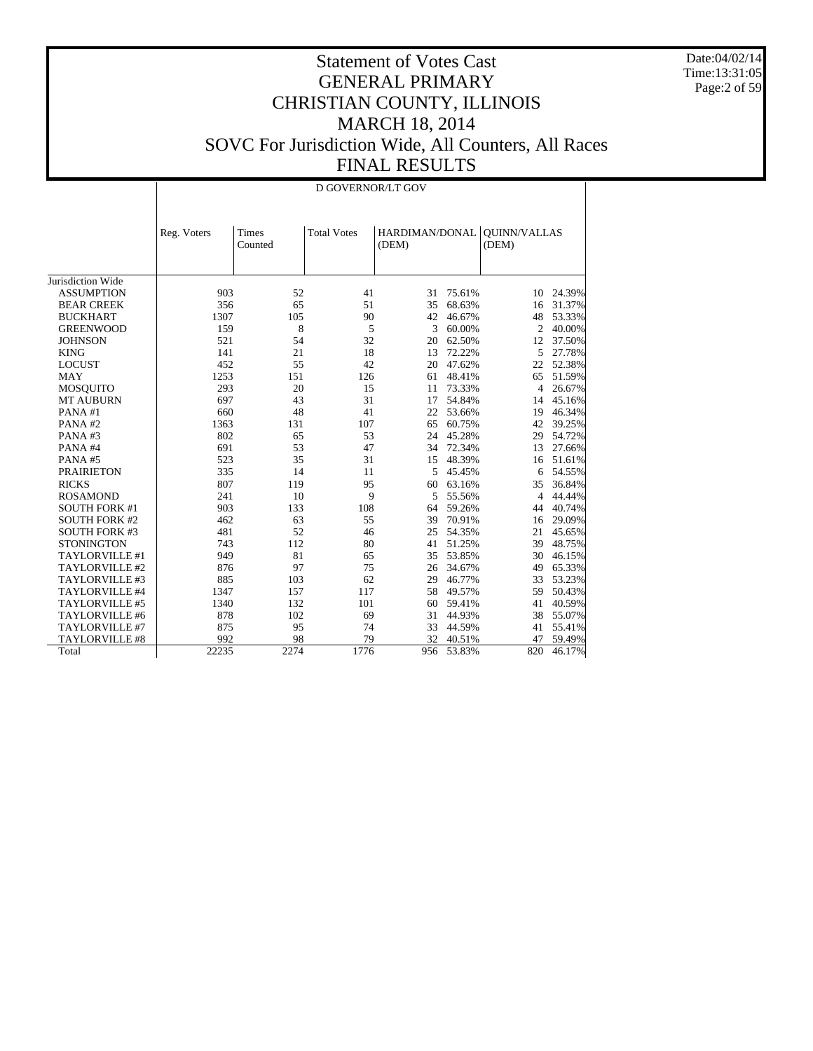Date:04/02/14 Time:13:31:05 Page:2 of 59

|                       |             | D GOVERNOR/LT GOV |                    |                         |        |                              |        |  |  |
|-----------------------|-------------|-------------------|--------------------|-------------------------|--------|------------------------------|--------|--|--|
|                       | Reg. Voters | Times<br>Counted  | <b>Total Votes</b> | HARDIMAN/DONAL<br>(DEM) |        | <b>OUINN/VALLAS</b><br>(DEM) |        |  |  |
| Jurisdiction Wide     |             |                   |                    |                         |        |                              |        |  |  |
| <b>ASSUMPTION</b>     | 903         | 52                | 41                 | 31                      | 75.61% | 10                           | 24.39% |  |  |
| <b>BEAR CREEK</b>     | 356         | 65                | 51                 | 35                      | 68.63% | 16                           | 31.37% |  |  |
| <b>BUCKHART</b>       | 1307        | 105               | 90                 | 42                      | 46.67% | 48                           | 53.33% |  |  |
| <b>GREENWOOD</b>      | 159         | 8                 | 5                  | 3                       | 60.00% | $\overline{2}$               | 40.00% |  |  |
| <b>JOHNSON</b>        | 521         | 54                | 32                 | 20                      | 62.50% | 12                           | 37.50% |  |  |
| <b>KING</b>           | 141         | 21                | 18                 | 13                      | 72.22% | 5                            | 27.78% |  |  |
| <b>LOCUST</b>         | 452         | 55                | 42                 | 20                      | 47.62% | 22                           | 52.38% |  |  |
| <b>MAY</b>            | 1253        | 151               | 126                | 61                      | 48.41% | 65                           | 51.59% |  |  |
| <b>MOSQUITO</b>       | 293         | 20                | 15                 | 11                      | 73.33% | 4                            | 26.67% |  |  |
| <b>MT AUBURN</b>      | 697         | 43                | 31                 | 17                      | 54.84% | 14                           | 45.16% |  |  |
| PANA#1                | 660         | 48                | 41                 | 22                      | 53.66% | 19                           | 46.34% |  |  |
| PANA#2                | 1363        | 131               | 107                | 65                      | 60.75% | 42                           | 39.25% |  |  |
| PANA#3                | 802         | 65                | 53                 | 24                      | 45.28% | 29                           | 54.72% |  |  |
| PANA#4                | 691         | 53                | 47                 | 34                      | 72.34% | 13                           | 27.66% |  |  |
| PANA#5                | 523         | 35                | 31                 | 15                      | 48.39% | 16                           | 51.61% |  |  |
| <b>PRAIRIETON</b>     | 335         | 14                | 11                 | 5                       | 45.45% | 6                            | 54.55% |  |  |
| <b>RICKS</b>          | 807         | 119               | 95                 | 60                      | 63.16% | 35                           | 36.84% |  |  |
| <b>ROSAMOND</b>       | 241         | 10                | 9                  | 5                       | 55.56% | 4                            | 44.44% |  |  |
| <b>SOUTH FORK #1</b>  | 903         | 133               | 108                | 64                      | 59.26% | 44                           | 40.74% |  |  |
| <b>SOUTH FORK #2</b>  | 462         | 63                | 55                 | 39                      | 70.91% | 16                           | 29.09% |  |  |
| <b>SOUTH FORK #3</b>  | 481         | 52                | 46                 | 25                      | 54.35% | 21                           | 45.65% |  |  |
| <b>STONINGTON</b>     | 743         | 112               | 80                 | 41                      | 51.25% | 39                           | 48.75% |  |  |
| TAYLORVILLE #1        | 949         | 81                | 65                 | 35                      | 53.85% | 30                           | 46.15% |  |  |
| TAYLORVILLE #2        | 876         | 97                | 75                 | 26                      | 34.67% | 49                           | 65.33% |  |  |
| TAYLORVILLE #3        | 885         | 103               | 62                 | 29                      | 46.77% | 33                           | 53.23% |  |  |
| TAYLORVILLE #4        | 1347        | 157               | 117                | 58                      | 49.57% | 59                           | 50.43% |  |  |
| TAYLORVILLE #5        | 1340        | 132               | 101                | 60                      | 59.41% | 41                           | 40.59% |  |  |
| TAYLORVILLE #6        | 878         | 102               | 69                 | 31                      | 44.93% | 38                           | 55.07% |  |  |
| TAYLORVILLE #7        | 875         | 95                | 74                 | 33                      | 44.59% | 41                           | 55.41% |  |  |
| <b>TAYLORVILLE #8</b> | 992         | 98                | 79                 | 32                      | 40.51% | 47                           | 59.49% |  |  |
| Total                 | 22235       | 2274              | 1776               | 956                     | 53.83% | 820                          | 46.17% |  |  |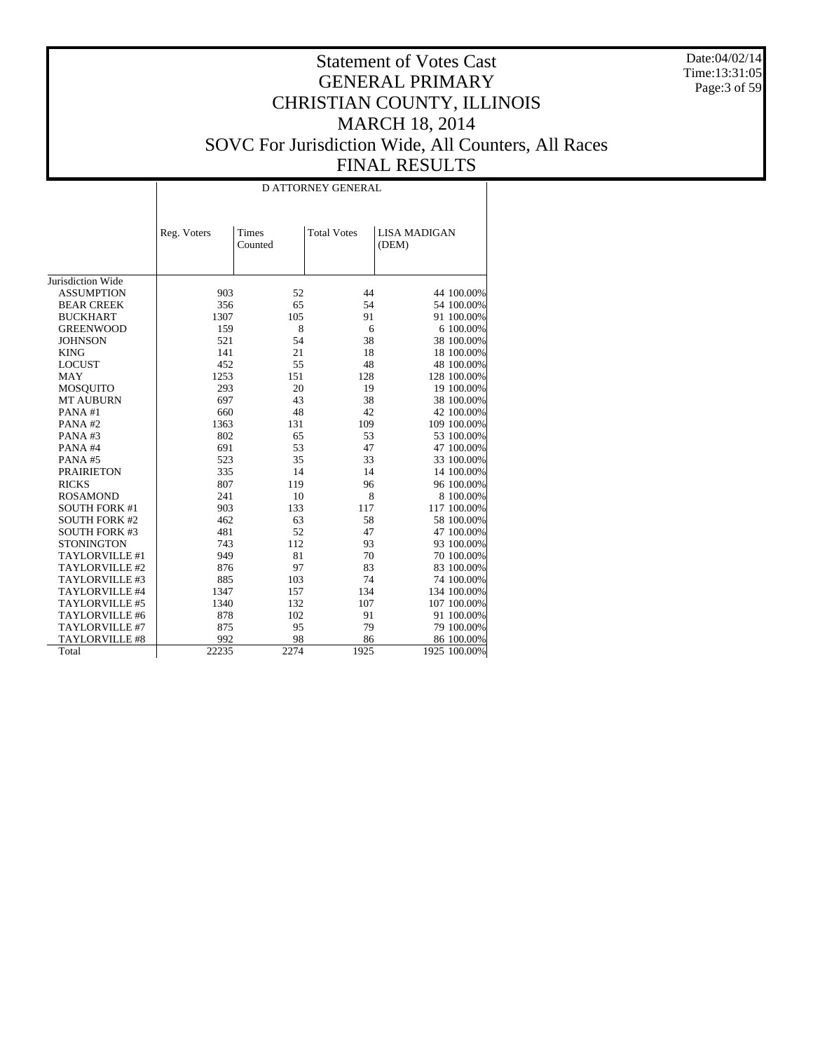Date:04/02/14 Time:13:31:05 Page:3 of 59

|                      |             |                  | <b>D ATTORNEY GENERAL</b> |                              |
|----------------------|-------------|------------------|---------------------------|------------------------------|
|                      | Reg. Voters | Times<br>Counted | <b>Total Votes</b>        | <b>LISA MADIGAN</b><br>(DEM) |
| Jurisdiction Wide    |             |                  |                           |                              |
| <b>ASSUMPTION</b>    | 903         | 52               | 44                        | 44 100.00%                   |
| <b>BEAR CREEK</b>    | 356         | 65               | 54                        | 54 100.00%                   |
| <b>BUCKHART</b>      | 1307        | 105              | 91                        | 91 100.00%                   |
| <b>GREENWOOD</b>     | 159         | 8                | 6                         | 6 100.00%                    |
| <b>JOHNSON</b>       | 521         | 54               | 38                        | 38 100.00%                   |
| <b>KING</b>          | 141         | 21               | 18                        | 18 100.00%                   |
| <b>LOCUST</b>        | 452         | 55               | 48                        | 48 100.00%                   |
| <b>MAY</b>           | 1253        | 151              | 128                       | 128 100.00%                  |
| <b>MOSQUITO</b>      | 293         | 20               | 19                        | 19 100.00%                   |
| <b>MT AUBURN</b>     | 697         | 43               | 38                        | 38 100.00%                   |
| PANA#1               | 660         | 48               | 42                        | 42 100.00%                   |
| PANA#2               | 1363        | 131              | 109                       | 109 100.00%                  |
| PANA#3               | 802         | 65               | 53                        | 53 100.00%                   |
| PANA#4               | 691         | 53               | 47                        | 47 100.00%                   |
| PANA#5               | 523         | 35               | 33                        | 33 100.00%                   |
| <b>PRAIRIETON</b>    | 335         | 14               | 14                        | 14 100.00%                   |
| <b>RICKS</b>         | 807         | 119              | 96                        | 96 100.00%                   |
| <b>ROSAMOND</b>      | 241         | 10               | 8                         | 8 100.00%                    |
| <b>SOUTH FORK #1</b> | 903         | 133              | 117                       | 117 100.00%                  |
| <b>SOUTH FORK #2</b> | 462         | 63               | 58                        | 58 100.00%                   |
| <b>SOUTH FORK #3</b> | 481         | 52               | 47                        | 47 100.00%                   |
| <b>STONINGTON</b>    | 743         | 112              | 93                        | 93 100.00%                   |
| TAYLORVILLE #1       | 949         | 81               | 70                        | 70 100.00%                   |
| TAYLORVILLE #2       | 876         | 97               | 83                        | 83 100.00%                   |
| TAYLORVILLE #3       | 885         | 103              | 74                        | 74 100.00%                   |
| TAYLORVILLE #4       | 1347        | 157              | 134                       | 134 100.00%                  |
| TAYLORVILLE #5       | 1340        | 132              | 107                       | 107 100.00%                  |
| TAYLORVILLE #6       | 878         | 102              | 91                        | 91 100.00%                   |
| TAYLORVILLE #7       | 875         | 95               | 79                        | 79 100.00%                   |
| TAYLORVILLE #8       | 992         | 98               | 86                        | 86 100.00%                   |
| Total                | 22235       | 2274             | 1925                      | 1925 100.00%                 |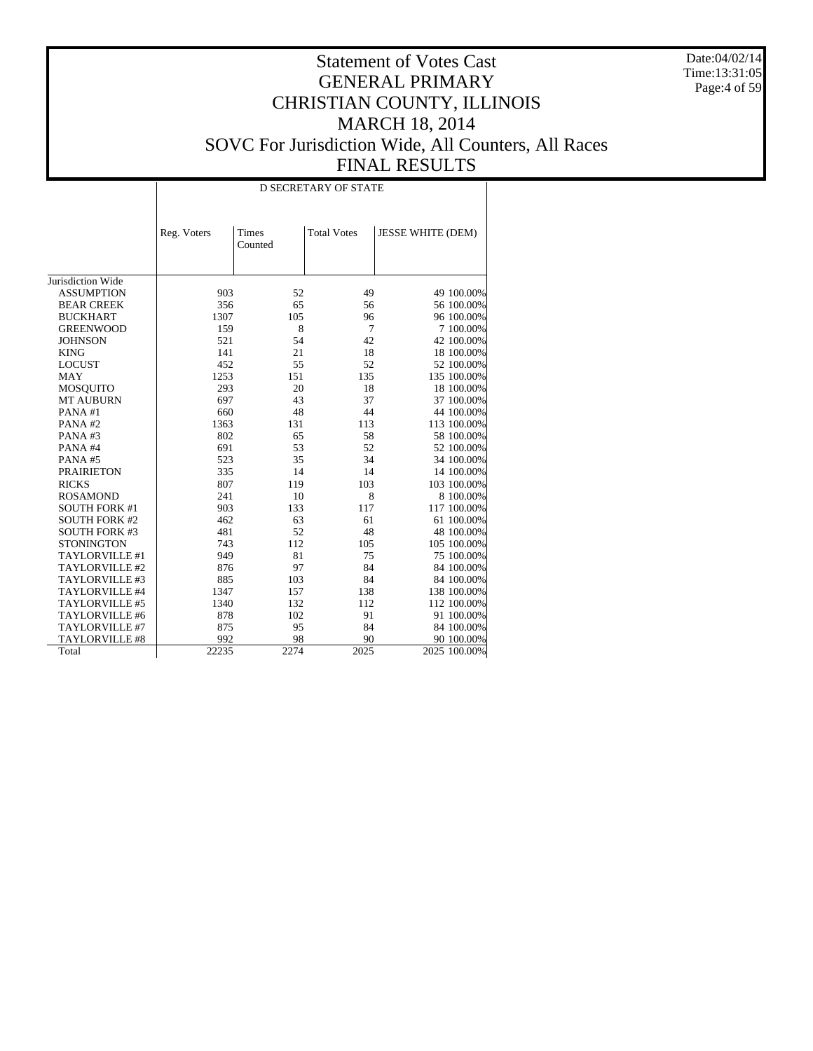Date:04/02/14 Time:13:31:05 Page:4 of 59

|                       |             |                  | <b>D SECRETARY OF STATE</b> |                          |
|-----------------------|-------------|------------------|-----------------------------|--------------------------|
|                       | Reg. Voters | Times<br>Counted | <b>Total Votes</b>          | <b>JESSE WHITE (DEM)</b> |
| Jurisdiction Wide     |             |                  |                             |                          |
| <b>ASSUMPTION</b>     | 903         | 52               | 49                          | 49 100.00%               |
| <b>BEAR CREEK</b>     | 356         | 65               | 56                          | 56 100.00%               |
| <b>BUCKHART</b>       | 1307        | 105              | 96                          | 96 100.00%               |
| <b>GREENWOOD</b>      | 159         | 8                | 7                           | 7 100.00%                |
| <b>JOHNSON</b>        | 521         | 54               | 42                          | 42 100.00%               |
| <b>KING</b>           | 141         | 21               | 18                          | 18 100.00%               |
| <b>LOCUST</b>         | 452         | 55               | 52                          | 52 100.00%               |
| <b>MAY</b>            | 1253        | 151              | 135                         | 135 100.00%              |
| <b>MOSQUITO</b>       | 293         | 20               | 18                          | 18 100.00%               |
| <b>MT AUBURN</b>      | 697         | 43               | 37                          | 37 100.00%               |
| PANA#1                | 660         | 48               | 44                          | 44 100.00%               |
| PANA#2                | 1363        | 131              | 113                         | 113 100.00%              |
| PANA#3                | 802         | 65               | 58                          | 58 100.00%               |
| PANA#4                | 691         | 53               | 52                          | 52 100.00%               |
| PANA#5                | 523         | 35               | 34                          | 34 100.00%               |
| <b>PRAIRIETON</b>     | 335         | 14               | 14                          | 14 100.00%               |
| <b>RICKS</b>          | 807         | 119              | 103                         | 103 100.00%              |
| <b>ROSAMOND</b>       | 241         | 10               | 8                           | 8 100.00%                |
| <b>SOUTH FORK #1</b>  | 903         | 133              | 117                         | 117 100.00%              |
| <b>SOUTH FORK #2</b>  | 462         | 63               | 61                          | 61 100.00%               |
| <b>SOUTH FORK #3</b>  | 481         | 52               | 48                          | 48 100.00%               |
| <b>STONINGTON</b>     | 743         | 112              | 105                         | 105 100.00%              |
| TAYLORVILLE #1        | 949         | 81               | 75                          | 75 100.00%               |
| TAYLORVILLE #2        | 876         | 97               | 84                          | 84 100.00%               |
| TAYLORVILLE #3        | 885         | 103              | 84                          | 84 100.00%               |
| TAYLORVILLE #4        | 1347        | 157              | 138                         | 138 100.00%              |
| TAYLORVILLE #5        | 1340        | 132              | 112                         | 112 100.00%              |
| TAYLORVILLE #6        | 878         | 102              | 91                          | 91 100.00%               |
| TAYLORVILLE #7        | 875         | 95               | 84                          | 84 100.00%               |
| <b>TAYLORVILLE #8</b> | 992         | 98               | 90                          | 90 100.00%               |
| Total                 | 22235       | 2274             | 2025                        | 2025 100.00%             |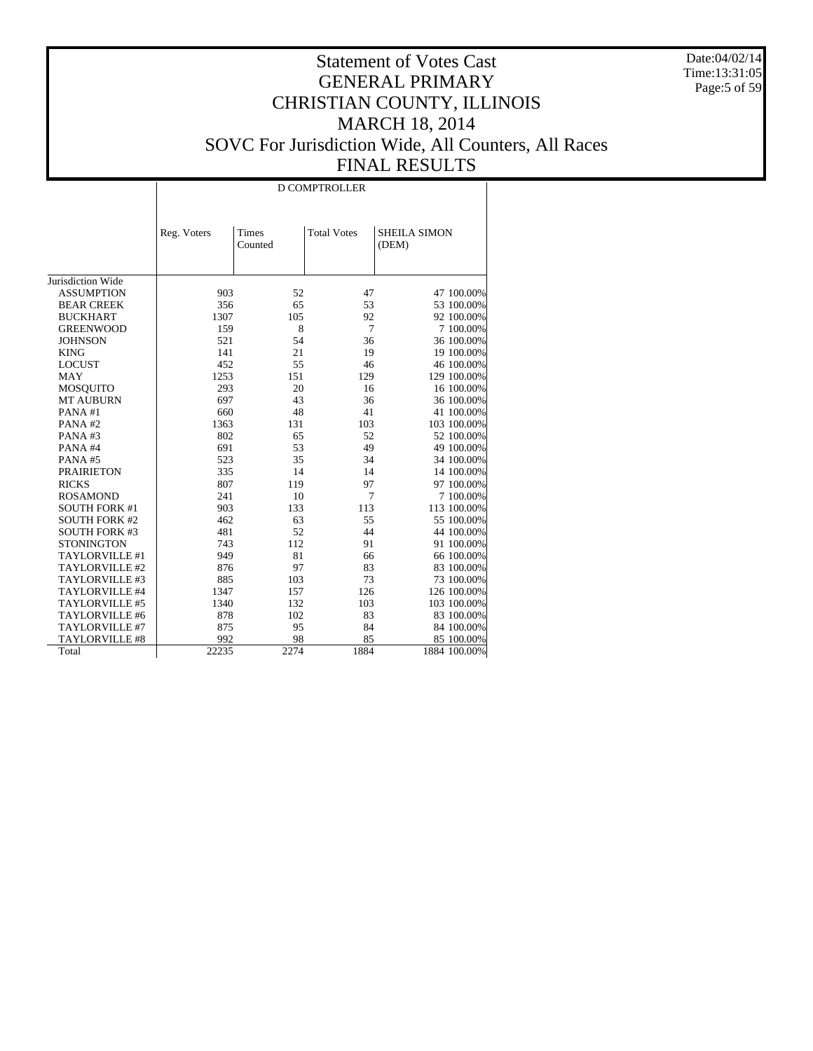Date:04/02/14 Time:13:31:05 Page:5 of 59

|                       |             |                  | <b>D COMPTROLLER</b> |                              |
|-----------------------|-------------|------------------|----------------------|------------------------------|
|                       | Reg. Voters | Times<br>Counted | <b>Total Votes</b>   | <b>SHEILA SIMON</b><br>(DEM) |
|                       |             |                  |                      |                              |
| Jurisdiction Wide     |             |                  |                      |                              |
| <b>ASSUMPTION</b>     | 903         | 52               | 47                   | 47 100.00%                   |
| <b>BEAR CREEK</b>     | 356         | 65               | 53                   | 53 100.00%                   |
| <b>BUCKHART</b>       | 1307        | 105              | 92                   | 92 100.00%                   |
| <b>GREENWOOD</b>      | 159         | 8                | 7                    | 7 100.00%                    |
| <b>JOHNSON</b>        | 521         | 54               | 36                   | 36 100.00%                   |
| <b>KING</b>           | 141         | 21               | 19                   | 19 100.00%                   |
| <b>LOCUST</b>         | 452         | 55               | 46                   | 46 100.00%                   |
| MAY                   | 1253        | 151              | 129                  | 129 100.00%                  |
| <b>MOSQUITO</b>       | 293         | 20               | 16                   | 16 100.00%                   |
| <b>MT AUBURN</b>      | 697         | 43               | 36                   | 36 100.00%                   |
| PANA#1                | 660         | 48               | 41                   | 41 100.00%                   |
| PANA#2                | 1363        | 131              | 103                  | 103 100.00%                  |
| PANA#3                | 802         | 65               | 52                   | 52 100.00%                   |
| PANA#4                | 691         | 53               | 49                   | 49 100.00%                   |
| PANA#5                | 523         | 35               | 34                   | 34 100.00%                   |
| <b>PRAIRIETON</b>     | 335         | 14               | 14                   | 14 100.00%                   |
| <b>RICKS</b>          | 807         | 119              | 97                   | 97 100.00%                   |
| <b>ROSAMOND</b>       | 241         | 10               | 7                    | 7 100.00%                    |
| <b>SOUTH FORK #1</b>  | 903         | 133              | 113                  | 113 100.00%                  |
| <b>SOUTH FORK #2</b>  | 462         | 63               | 55                   | 55 100.00%                   |
| <b>SOUTH FORK #3</b>  | 481         | 52               | 44                   | 44 100.00%                   |
| <b>STONINGTON</b>     | 743         | 112              | 91                   | 91 100.00%                   |
| TAYLORVILLE #1        | 949         | 81               | 66                   | 66 100.00%                   |
| TAYLORVILLE #2        | 876         | 97               | 83                   | 83 100.00%                   |
| TAYLORVILLE #3        | 885         | 103              | 73                   | 73 100,00%                   |
| TAYLORVILLE #4        | 1347        | 157              | 126                  | 126 100.00%                  |
| TAYLORVILLE #5        | 1340        | 132              | 103                  | 103 100.00%                  |
| TAYLORVILLE #6        | 878         | 102              | 83                   | 83 100.00%                   |
| TAYLORVILLE #7        | 875         | 95               | 84                   | 84 100.00%                   |
| <b>TAYLORVILLE #8</b> | 992         | 98               | 85                   | 85 100.00%                   |
| Total                 | 22235       | 2274             | 1884                 | 1884 100.00%                 |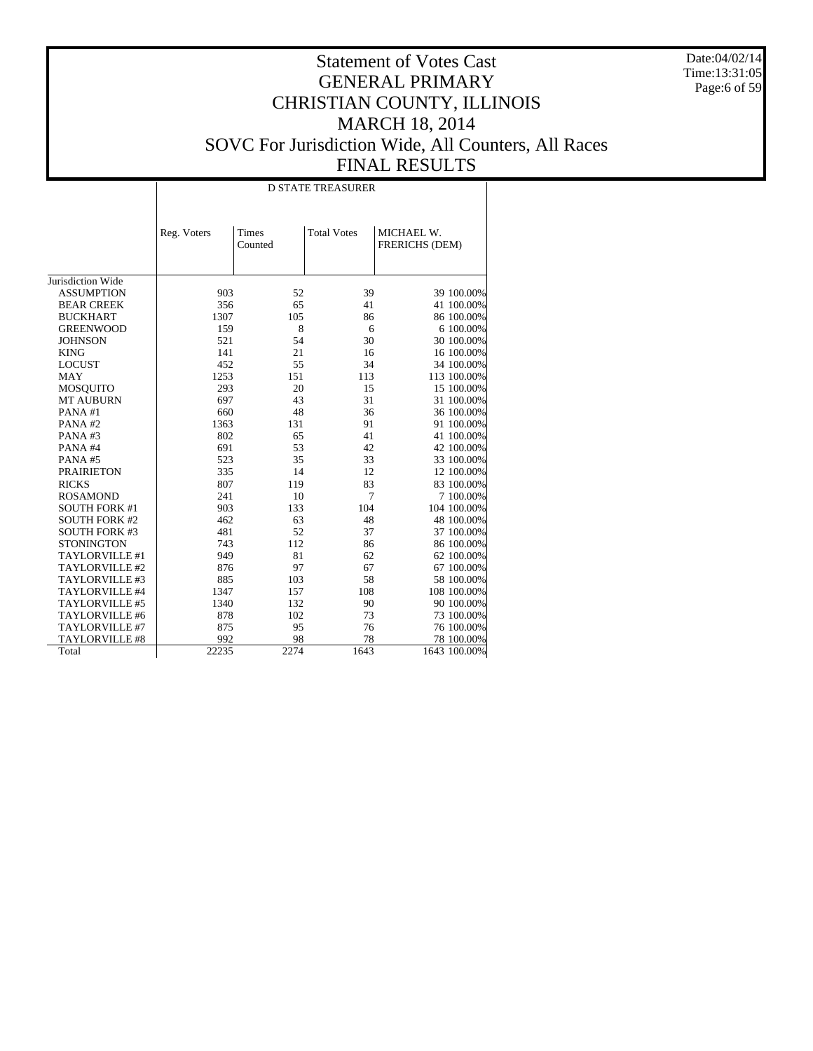Date:04/02/14 Time:13:31:05 Page:6 of 59

|                       |             |                  | <b>D STATE TREASURER</b> |                              |
|-----------------------|-------------|------------------|--------------------------|------------------------------|
|                       | Reg. Voters | Times<br>Counted | <b>Total Votes</b>       | MICHAEL W.<br>FRERICHS (DEM) |
| Jurisdiction Wide     |             |                  |                          |                              |
| <b>ASSUMPTION</b>     | 903         | 52               | 39                       | 39 100.00%                   |
| <b>BEAR CREEK</b>     | 356         | 65               | 41                       | 41 100.00%                   |
| <b>BUCKHART</b>       | 1307        | 105              | 86                       | 86 100.00%                   |
| <b>GREENWOOD</b>      | 159         | 8                | 6                        | 6 100.00%                    |
| <b>JOHNSON</b>        | 521         | 54               | 30                       | 30 100.00%                   |
| <b>KING</b>           | 141         | 21               | 16                       | 16 100.00%                   |
| <b>LOCUST</b>         | 452         | 55               | 34                       | 34 100.00%                   |
| <b>MAY</b>            | 1253        | 151              | 113                      | 113 100.00%                  |
| <b>MOSQUITO</b>       | 293         | 20               | 15                       | 15 100.00%                   |
| <b>MT AUBURN</b>      | 697         | 43               | 31                       | 31 100.00%                   |
| PANA#1                | 660         | 48               | 36                       | 36 100.00%                   |
| PANA#2                | 1363        | 131              | 91                       | 91 100.00%                   |
| PANA#3                | 802         | 65               | 41                       | 41 100.00%                   |
| PANA#4                | 691         | 53               | 42                       | 42 100.00%                   |
| PANA#5                | 523         | 35               | 33                       | 33 100.00%                   |
| <b>PRAIRIETON</b>     | 335         | 14               | 12                       | 12 100.00%                   |
| <b>RICKS</b>          | 807         | 119              | 83                       | 83 100.00%                   |
| <b>ROSAMOND</b>       | 241         | 10               | 7                        | 7 100.00%                    |
| <b>SOUTH FORK #1</b>  | 903         | 133              | 104                      | 104 100.00%                  |
| <b>SOUTH FORK #2</b>  | 462         | 63               | 48                       | 48 100.00%                   |
| <b>SOUTH FORK #3</b>  | 481         | 52               | 37                       | 37 100.00%                   |
| <b>STONINGTON</b>     | 743         | 112              | 86                       | 86 100.00%                   |
| TAYLORVILLE #1        | 949         | 81               | 62                       | 62 100.00%                   |
| TAYLORVILLE #2        | 876         | 97               | 67                       | 67 100.00%                   |
| TAYLORVILLE #3        | 885         | 103              | 58                       | 58 100.00%                   |
| TAYLORVILLE #4        | 1347        | 157              | 108                      | 108 100.00%                  |
| TAYLORVILLE #5        | 1340        | 132              | 90                       | 90 100.00%                   |
| TAYLORVILLE #6        | 878         | 102              | 73                       | 73 100.00%                   |
| TAYLORVILLE #7        | 875         | 95               | 76                       | 76 100.00%                   |
| <b>TAYLORVILLE #8</b> | 992         | 98               | 78                       | 78 100.00%                   |
| Total                 | 22235       | 2274             | 1643                     | 1643 100.00%                 |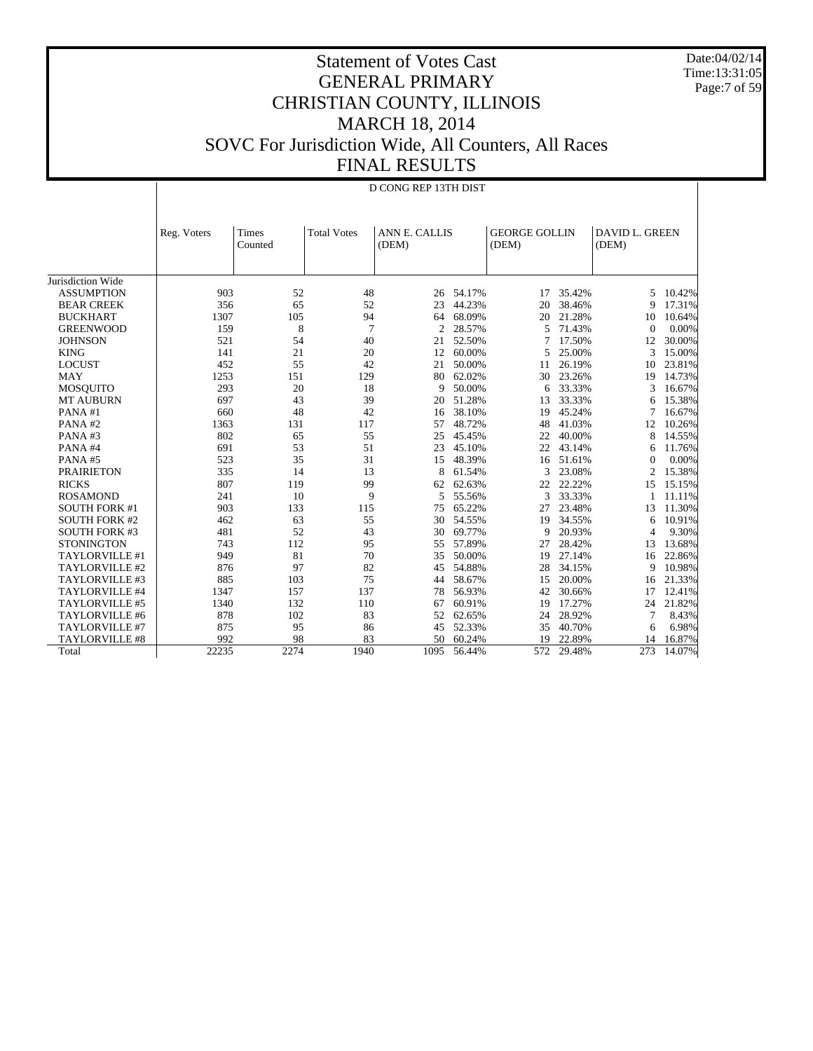Date:04/02/14 Time:13:31:05 Page:7 of 59

# Statement of Votes Cast GENERAL PRIMARY CHRISTIAN COUNTY, ILLINOIS MARCH 18, 2014 SOVC For Jurisdiction Wide, All Counters, All Races FINAL RESULTS

|                       | D CONG REP 13TH DIST |                  |                    |                        |        |                               |        |                                |        |
|-----------------------|----------------------|------------------|--------------------|------------------------|--------|-------------------------------|--------|--------------------------------|--------|
|                       |                      |                  |                    |                        |        |                               |        |                                |        |
|                       | Reg. Voters          | Times<br>Counted | <b>Total Votes</b> | ANN E. CALLIS<br>(DEM) |        | <b>GEORGE GOLLIN</b><br>(DEM) |        | <b>DAVID L. GREEN</b><br>(DEM) |        |
|                       |                      |                  |                    |                        |        |                               |        |                                |        |
| Jurisdiction Wide     |                      |                  |                    |                        |        |                               |        |                                |        |
| <b>ASSUMPTION</b>     | 903                  | 52               | 48                 | 26                     | 54.17% | 17                            | 35.42% | 5                              | 10.42% |
| <b>BEAR CREEK</b>     | 356                  | 65               | 52                 | 23                     | 44.23% | 20                            | 38.46% | 9                              | 17.31% |
| <b>BUCKHART</b>       | 1307                 | 105              | 94                 | 64                     | 68.09% | 20                            | 21.28% | 10                             | 10.64% |
| <b>GREENWOOD</b>      | 159                  | 8                | $\overline{7}$     | 2                      | 28.57% | 5                             | 71.43% | $\Omega$                       | 0.00%  |
| <b>JOHNSON</b>        | 521                  | 54               | 40                 | 21                     | 52.50% | 7                             | 17.50% | 12                             | 30.00% |
| <b>KING</b>           | 141                  | 21               | 20                 | 12                     | 60.00% | 5                             | 25.00% | 3                              | 15.00% |
| <b>LOCUST</b>         | 452                  | 55               | 42                 | 21                     | 50.00% | 11                            | 26.19% | 10                             | 23.81% |
| <b>MAY</b>            | 1253                 | 151              | 129                | 80                     | 62.02% | 30                            | 23.26% | 19                             | 14.73% |
| <b>MOSQUITO</b>       | 293                  | 20               | 18                 | 9                      | 50.00% | 6                             | 33.33% | 3                              | 16.67% |
| MT AUBURN             | 697                  | 43               | 39                 | 20                     | 51.28% | 13                            | 33.33% | 6                              | 15.38% |
| PANA#1                | 660                  | 48               | 42                 | 16                     | 38.10% | 19                            | 45.24% | 7                              | 16.67% |
| PANA#2                | 1363                 | 131              | 117                | 57                     | 48.72% | 48                            | 41.03% | 12                             | 10.26% |
| PANA#3                | 802                  | 65               | 55                 | 25                     | 45.45% | 22                            | 40.00% | 8                              | 14.55% |
| PANA#4                | 691                  | 53               | 51                 | 23                     | 45.10% | 22                            | 43.14% | 6                              | 11.76% |
| PANA#5                | 523                  | 35               | 31                 | 15                     | 48.39% | 16                            | 51.61% | $\Omega$                       | 0.00%  |
| <b>PRAIRIETON</b>     | 335                  | 14               | 13                 | 8                      | 61.54% | 3                             | 23.08% | $\overline{2}$                 | 15.38% |
| <b>RICKS</b>          | 807                  | 119              | 99                 | 62                     | 62.63% | 22                            | 22.22% | 15                             | 15.15% |
| <b>ROSAMOND</b>       | 241                  | 10               | 9                  | 5                      | 55.56% | 3                             | 33.33% | 1                              | 11.11% |
| <b>SOUTH FORK #1</b>  | 903                  | 133              | 115                | 75                     | 65.22% | 27                            | 23.48% | 13                             | 11.30% |
| <b>SOUTH FORK #2</b>  | 462                  | 63               | 55                 | 30                     | 54.55% | 19                            | 34.55% | 6                              | 10.91% |
| <b>SOUTH FORK #3</b>  | 481                  | 52               | 43                 | 30                     | 69.77% | 9                             | 20.93% | 4                              | 9.30%  |
| <b>STONINGTON</b>     | 743                  | 112              | 95                 | 55                     | 57.89% | 27                            | 28.42% | 13                             | 13.68% |
| TAYLORVILLE #1        | 949                  | 81               | 70                 | 35                     | 50.00% | 19                            | 27.14% | 16                             | 22.86% |
| TAYLORVILLE #2        | 876                  | 97               | 82                 | 45                     | 54.88% | 28                            | 34.15% | 9                              | 10.98% |
| TAYLORVILLE #3        | 885                  | 103              | 75                 | 44                     | 58.67% | 15                            | 20.00% | 16                             | 21.33% |
| TAYLORVILLE #4        | 1347                 | 157              | 137                | 78                     | 56.93% | 42                            | 30.66% | 17                             | 12.41% |
| TAYLORVILLE #5        | 1340                 | 132              | 110                | 67                     | 60.91% | 19                            | 17.27% | 24                             | 21.82% |
| TAYLORVILLE #6        | 878                  | 102              | 83                 | 52                     | 62.65% | 24                            | 28.92% | 7                              | 8.43%  |
| TAYLORVILLE #7        | 875                  | 95               | 86                 | 45                     | 52.33% | 35                            | 40.70% | 6                              | 6.98%  |
| <b>TAYLORVILLE #8</b> | 992                  | 98               | 83                 | 50                     | 60.24% | 19                            | 22.89% | 14                             | 16.87% |
| Total                 | 22235                | 2274             | 1940               | 1095                   | 56.44% | 572                           | 29.48% | 273                            | 14.07% |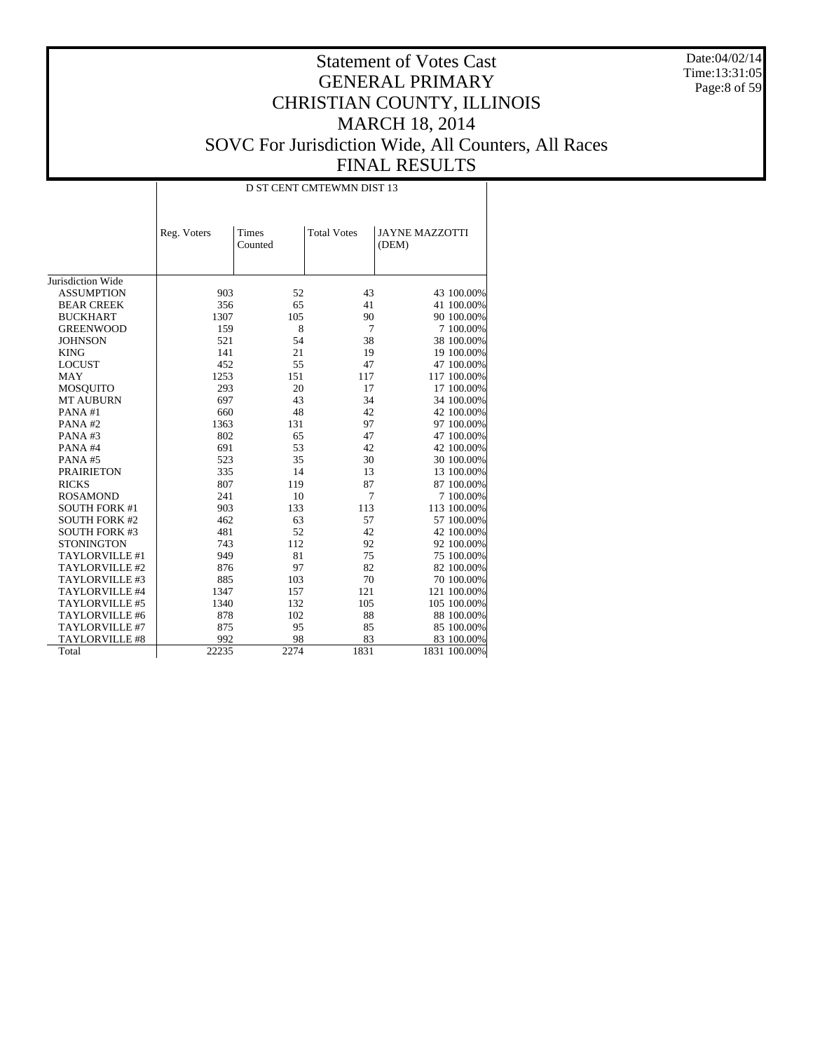Date:04/02/14 Time:13:31:05 Page:8 of 59

|                      |             | D ST CENT CMTEWMN DIST 13 |                    |                                |  |  |  |  |
|----------------------|-------------|---------------------------|--------------------|--------------------------------|--|--|--|--|
|                      | Reg. Voters | Times<br>Counted          | <b>Total Votes</b> | <b>JAYNE MAZZOTTI</b><br>(DEM) |  |  |  |  |
|                      |             |                           |                    |                                |  |  |  |  |
| Jurisdiction Wide    |             |                           |                    |                                |  |  |  |  |
| <b>ASSUMPTION</b>    | 903         | 52                        | 43                 | 43 100.00%                     |  |  |  |  |
| <b>BEAR CREEK</b>    | 356         | 65                        | 41                 | 41 100.00%                     |  |  |  |  |
| <b>BUCKHART</b>      | 1307        | 105                       | 90                 | 90 100.00%                     |  |  |  |  |
| <b>GREENWOOD</b>     | 159         | 8                         | 7                  | 7 100.00%                      |  |  |  |  |
| <b>JOHNSON</b>       | 521         | 54                        | 38                 | 38 100.00%                     |  |  |  |  |
| <b>KING</b>          | 141         | 21                        | 19                 | 19 100.00%                     |  |  |  |  |
| <b>LOCUST</b>        | 452         | 55                        | 47                 | 47 100.00%                     |  |  |  |  |
| <b>MAY</b>           | 1253        | 151                       | 117                | 117 100.00%                    |  |  |  |  |
| <b>MOSQUITO</b>      | 293         | 20                        | 17                 | 17 100.00%                     |  |  |  |  |
| <b>MT AUBURN</b>     | 697         | 43                        | 34                 | 34 100.00%                     |  |  |  |  |
| PANA#1               | 660         | 48                        | 42                 | 42 100.00%                     |  |  |  |  |
| PANA#2               | 1363        | 131                       | 97                 | 97 100.00%                     |  |  |  |  |
| PANA#3               | 802         | 65                        | 47                 | 47 100.00%                     |  |  |  |  |
| PANA#4               | 691         | 53                        | 42                 | 42 100.00%                     |  |  |  |  |
| PANA#5               | 523         | 35                        | 30                 | 30 100.00%                     |  |  |  |  |
| <b>PRAIRIETON</b>    | 335         | 14                        | 13                 | 13 100.00%                     |  |  |  |  |
| <b>RICKS</b>         | 807         | 119                       | 87                 | 87 100.00%                     |  |  |  |  |
| <b>ROSAMOND</b>      | 241         | 10                        | 7                  | 7 100.00%                      |  |  |  |  |
| <b>SOUTH FORK #1</b> | 903         | 133                       | 113                | 113 100.00%                    |  |  |  |  |
| <b>SOUTH FORK #2</b> | 462         | 63                        | 57                 | 57 100.00%                     |  |  |  |  |
| <b>SOUTH FORK #3</b> | 481         | 52                        | 42                 | 42 100.00%                     |  |  |  |  |
| <b>STONINGTON</b>    | 743         | 112                       | 92                 | 92 100.00%                     |  |  |  |  |
| TAYLORVILLE #1       | 949         | 81                        | 75                 | 75 100.00%                     |  |  |  |  |
| TAYLORVILLE #2       | 876         | 97                        | 82                 | 82 100.00%                     |  |  |  |  |
| TAYLORVILLE #3       | 885         | 103                       | 70                 | 70 100.00%                     |  |  |  |  |
| TAYLORVILLE #4       | 1347        | 157                       | 121                | 121 100.00%                    |  |  |  |  |
| TAYLORVILLE #5       | 1340        | 132                       | 105                | 105 100.00%                    |  |  |  |  |
| TAYLORVILLE #6       | 878         | 102                       | 88                 | 88 100.00%                     |  |  |  |  |
| TAYLORVILLE #7       | 875         | 95                        | 85                 | 85 100.00%                     |  |  |  |  |
| TAYLORVILLE #8       | 992         | 98                        | 83                 | 83 100.00%                     |  |  |  |  |
| Total                | 22235       | 2274                      | 1831               | 1831 100.00%                   |  |  |  |  |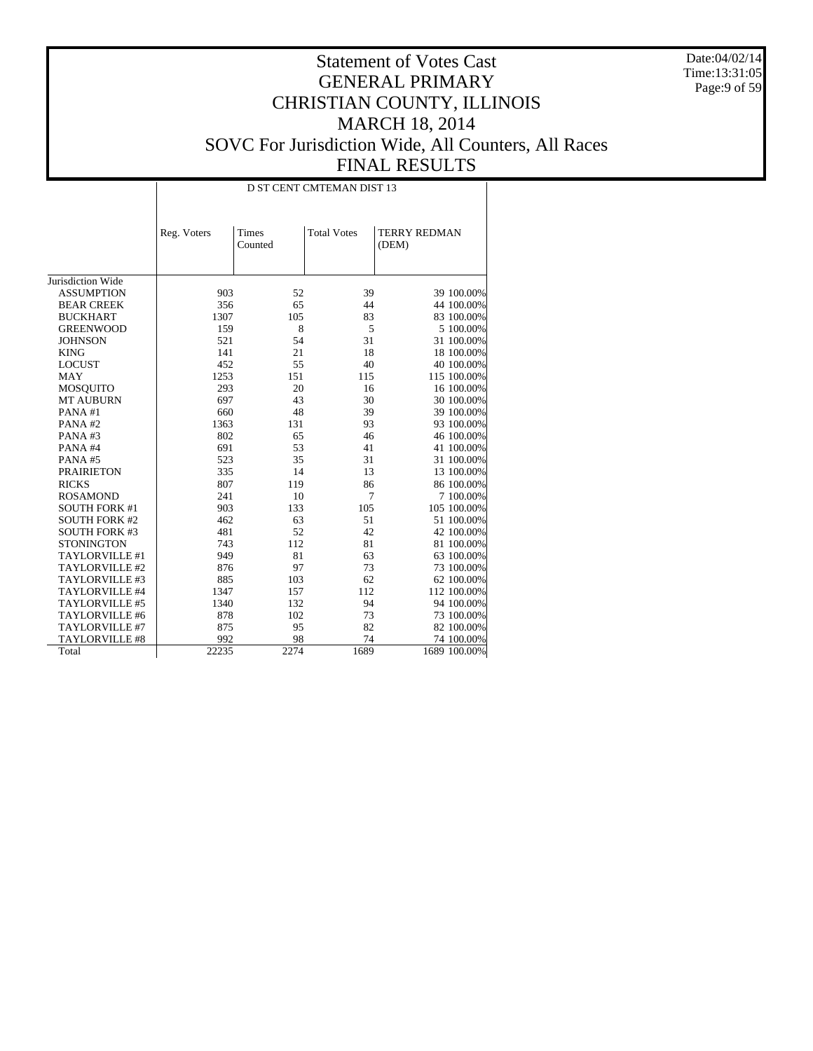Date:04/02/14 Time:13:31:05 Page:9 of 59

|                       |             |                  | D ST CENT CMTEMAN DIST 13 |                              |
|-----------------------|-------------|------------------|---------------------------|------------------------------|
|                       | Reg. Voters | Times<br>Counted | <b>Total Votes</b>        | <b>TERRY REDMAN</b><br>(DEM) |
| Jurisdiction Wide     |             |                  |                           |                              |
| <b>ASSUMPTION</b>     | 903         | 52               | 39                        | 39 100.00%                   |
| <b>BEAR CREEK</b>     | 356         | 65               | 44                        | 44 100.00%                   |
| <b>BUCKHART</b>       | 1307        | 105              | 83                        | 83 100.00%                   |
| <b>GREENWOOD</b>      | 159         | 8                | 5                         | 5 100.00%                    |
| <b>JOHNSON</b>        | 521         | 54               | 31                        | 31 100.00%                   |
| <b>KING</b>           | 141         | 21               | 18                        | 18 100.00%                   |
| <b>LOCUST</b>         | 452         | 55               | 40                        | 40 100.00%                   |
| <b>MAY</b>            | 1253        | 151              | 115                       | 115 100.00%                  |
| MOSQUITO              | 293         | 20               | 16                        | 16 100.00%                   |
| <b>MT AUBURN</b>      | 697         | 43               | 30                        | 30 100.00%                   |
| PANA#1                | 660         | 48               | 39                        | 39 100.00%                   |
| PANA#2                | 1363        | 131              | 93                        | 93 100.00%                   |
| PANA#3                | 802         | 65               | 46                        | 46 100.00%                   |
| PANA#4                | 691         | 53               | 41                        | 41 100.00%                   |
| PANA#5                | 523         | 35               | 31                        | 31 100.00%                   |
| <b>PRAIRIETON</b>     | 335         | 14               | 13                        | 13 100.00%                   |
| <b>RICKS</b>          | 807         | 119              | 86                        | 86 100.00%                   |
| <b>ROSAMOND</b>       | 241         | 10               | 7                         | 7 100.00%                    |
| <b>SOUTH FORK #1</b>  | 903         | 133              | 105                       | 105 100.00%                  |
| <b>SOUTH FORK #2</b>  | 462         | 63               | 51                        | 51 100.00%                   |
| <b>SOUTH FORK #3</b>  | 481         | 52               | 42                        | 42 100.00%                   |
| <b>STONINGTON</b>     | 743         | 112              | 81                        | 81 100.00%                   |
| TAYLORVILLE #1        | 949         | 81               | 63                        | 63 100.00%                   |
| TAYLORVILLE #2        | 876         | 97               | 73                        | 73 100.00%                   |
| TAYLORVILLE #3        | 885         | 103              | 62                        | 62 100.00%                   |
| TAYLORVILLE #4        | 1347        | 157              | 112                       | 112 100.00%                  |
| TAYLORVILLE #5        | 1340        | 132              | 94                        | 94 100.00%                   |
| TAYLORVILLE #6        | 878         | 102              | 73                        | 73 100.00%                   |
| TAYLORVILLE #7        | 875         | 95               | 82                        | 82 100.00%                   |
| <b>TAYLORVILLE #8</b> | 992         | 98               | 74                        | 74 100.00%                   |
| Total                 | 22235       | 2274             | 1689                      | 1689 100.00%                 |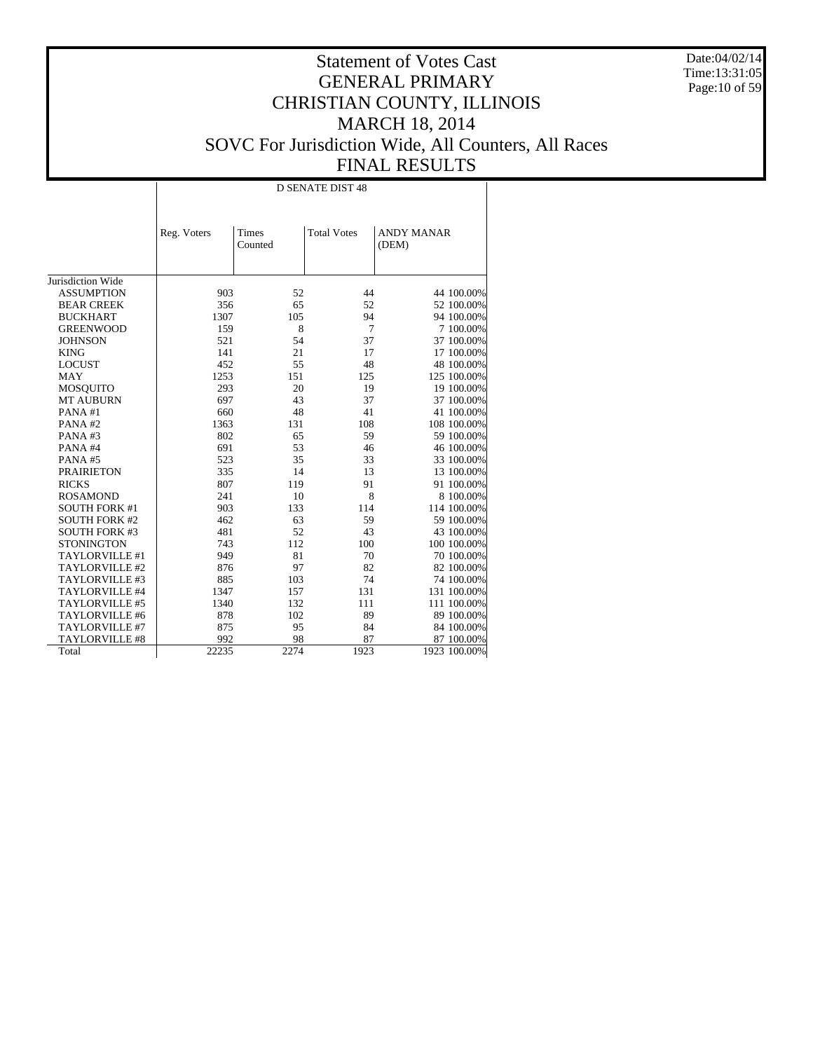Date:04/02/14 Time:13:31:05 Page:10 of 59

|                       |             |                  | <b>D SENATE DIST 48</b> |                            |
|-----------------------|-------------|------------------|-------------------------|----------------------------|
|                       | Reg. Voters | Times<br>Counted | <b>Total Votes</b>      | <b>ANDY MANAR</b><br>(DEM) |
| Jurisdiction Wide     |             |                  |                         |                            |
| <b>ASSUMPTION</b>     |             | 52               |                         |                            |
|                       | 903         |                  | 44                      | 44 100.00%                 |
| <b>BEAR CREEK</b>     | 356         | 65               | 52                      | 52 100.00%                 |
| <b>BUCKHART</b>       | 1307        | 105              | 94                      | 94 100.00%                 |
| <b>GREENWOOD</b>      | 159         | 8                | 7                       | 7 100.00%                  |
| <b>JOHNSON</b>        | 521         | 54               | 37                      | 37 100.00%                 |
| <b>KING</b>           | 141         | 21               | 17                      | 17 100.00%                 |
| <b>LOCUST</b>         | 452         | 55               | 48                      | 48 100.00%                 |
| <b>MAY</b>            | 1253        | 151              | 125                     | 125 100.00%                |
| <b>MOSQUITO</b>       | 293         | 20               | 19                      | 19 100.00%                 |
| <b>MT AUBURN</b>      | 697         | 43               | 37                      | 37 100.00%                 |
| PANA#1                | 660         | 48               | 41                      | 41 100.00%                 |
| PANA#2                | 1363        | 131              | 108                     | 108 100.00%                |
| PANA#3                | 802         | 65               | 59                      | 59 100.00%                 |
| PANA#4                | 691         | 53               | 46                      | 46 100.00%                 |
| PANA#5                | 523         | 35               | 33                      | 33 100.00%                 |
| <b>PRAIRIETON</b>     | 335         | 14               | 13                      | 13 100.00%                 |
| <b>RICKS</b>          | 807         | 119              | 91                      | 91 100.00%                 |
| <b>ROSAMOND</b>       | 241         | 10               | 8                       | 8 100.00%                  |
| <b>SOUTH FORK #1</b>  | 903         | 133              | 114                     | 114 100.00%                |
| <b>SOUTH FORK #2</b>  | 462         | 63               | 59                      | 59 100.00%                 |
| <b>SOUTH FORK #3</b>  | 481         | 52               | 43                      | 43 100.00%                 |
| <b>STONINGTON</b>     | 743         | 112              | 100                     | 100 100.00%                |
| TAYLORVILLE #1        | 949         | 81               | 70                      | 70 100.00%                 |
| TAYLORVILLE #2        | 876         | 97               | 82                      | 82 100.00%                 |
| TAYLORVILLE #3        | 885         | 103              | 74                      | 74 100.00%                 |
| TAYLORVILLE #4        | 1347        | 157              | 131                     | 131 100.00%                |
| TAYLORVILLE #5        | 1340        | 132              | 111                     | 111 100.00%                |
| TAYLORVILLE #6        | 878         | 102              | 89                      | 89 100.00%                 |
| TAYLORVILLE #7        | 875         | 95               | 84                      | 84 100.00%                 |
| <b>TAYLORVILLE #8</b> | 992         | 98               | 87                      | 87 100.00%                 |
| Total                 | 22235       | 2274             | 1923                    | 1923 100.00%               |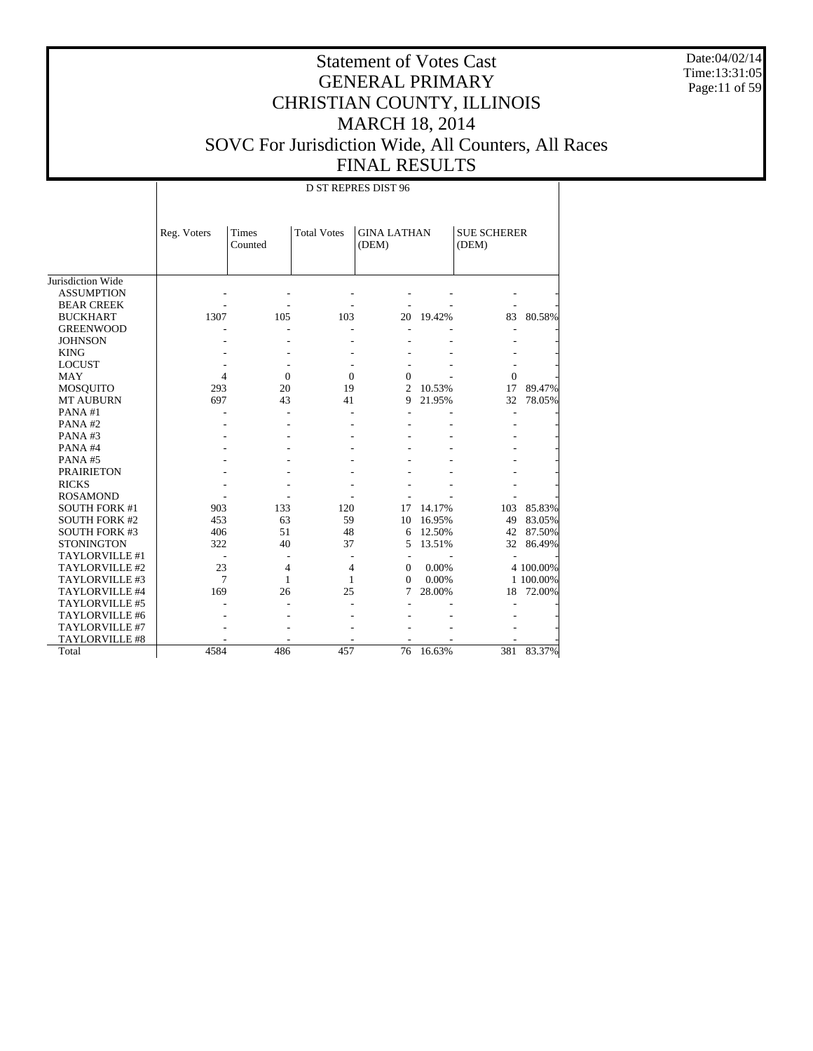Date:04/02/14 Time:13:31:05 Page:11 of 59

|                      |             |                  |                    | D ST REPRES DIST 96         |        |                             |           |
|----------------------|-------------|------------------|--------------------|-----------------------------|--------|-----------------------------|-----------|
|                      | Reg. Voters | Times<br>Counted | <b>Total Votes</b> | <b>GINA LATHAN</b><br>(DEM) |        | <b>SUE SCHERER</b><br>(DEM) |           |
| Jurisdiction Wide    |             |                  |                    |                             |        |                             |           |
| <b>ASSUMPTION</b>    |             |                  |                    |                             |        |                             |           |
| <b>BEAR CREEK</b>    |             |                  |                    |                             |        |                             |           |
| <b>BUCKHART</b>      | 1307        | 105              | 103                | 20                          | 19.42% | 83                          | 80.58%    |
| <b>GREENWOOD</b>     |             |                  |                    |                             |        |                             |           |
| <b>JOHNSON</b>       |             |                  |                    |                             |        |                             |           |
| <b>KING</b>          |             |                  |                    |                             |        |                             |           |
| <b>LOCUST</b>        |             |                  |                    |                             |        |                             |           |
| <b>MAY</b>           | 4           | $\mathbf{0}$     | $\mathbf{0}$       | $\mathbf{0}$                |        | $\Omega$                    |           |
| <b>MOSQUITO</b>      | 293         | 20               | 19                 | $\overline{c}$              | 10.53% | 17                          | 89.47%    |
| <b>MT AUBURN</b>     | 697         | 43               | 41                 | 9                           | 21.95% | 32                          | 78.05%    |
| PANA#1               |             |                  |                    |                             |        |                             |           |
| PANA#2               |             |                  |                    |                             |        |                             |           |
| PANA#3               |             |                  |                    |                             |        |                             |           |
| PANA#4               |             |                  |                    |                             |        |                             |           |
| PANA#5               |             |                  |                    |                             |        |                             |           |
| <b>PRAIRIETON</b>    |             |                  |                    |                             |        |                             |           |
| <b>RICKS</b>         |             |                  |                    |                             |        |                             |           |
| <b>ROSAMOND</b>      |             |                  |                    |                             |        |                             |           |
| SOUTH FORK #1        | 903         | 133              | 120                | 17                          | 14.17% | 103                         | 85.83%    |
| <b>SOUTH FORK #2</b> | 453         | 63               | 59                 | 10                          | 16.95% | 49                          | 83.05%    |
| SOUTH FORK #3        | 406         | 51               | 48                 | 6                           | 12.50% | 42                          | 87.50%    |
| <b>STONINGTON</b>    | 322         | 40               | 37                 | 5                           | 13.51% | 32                          | 86.49%    |
| TAYLORVILLE #1       |             |                  |                    | $\overline{\phantom{a}}$    |        |                             |           |
| TAYLORVILLE #2       | 23          | $\overline{4}$   | 4                  | $\Omega$                    | 0.00%  |                             | 4 100.00% |
| TAYLORVILLE #3       | $\tau$      | 1                | 1                  | $\Omega$                    | 0.00%  |                             | 1 100.00% |
| TAYLORVILLE #4       | 169         | 26               | 25                 | 7                           | 28.00% | 18                          | 72.00%    |
| TAYLORVILLE #5       |             |                  |                    |                             |        |                             |           |
| TAYLORVILLE #6       |             |                  |                    |                             |        |                             |           |
| TAYLORVILLE #7       |             |                  |                    |                             |        |                             |           |
| TAYLORVILLE #8       |             |                  |                    |                             |        |                             |           |
| Total                | 4584        | 486              | 457                | 76                          | 16.63% | 381                         | 83.37%    |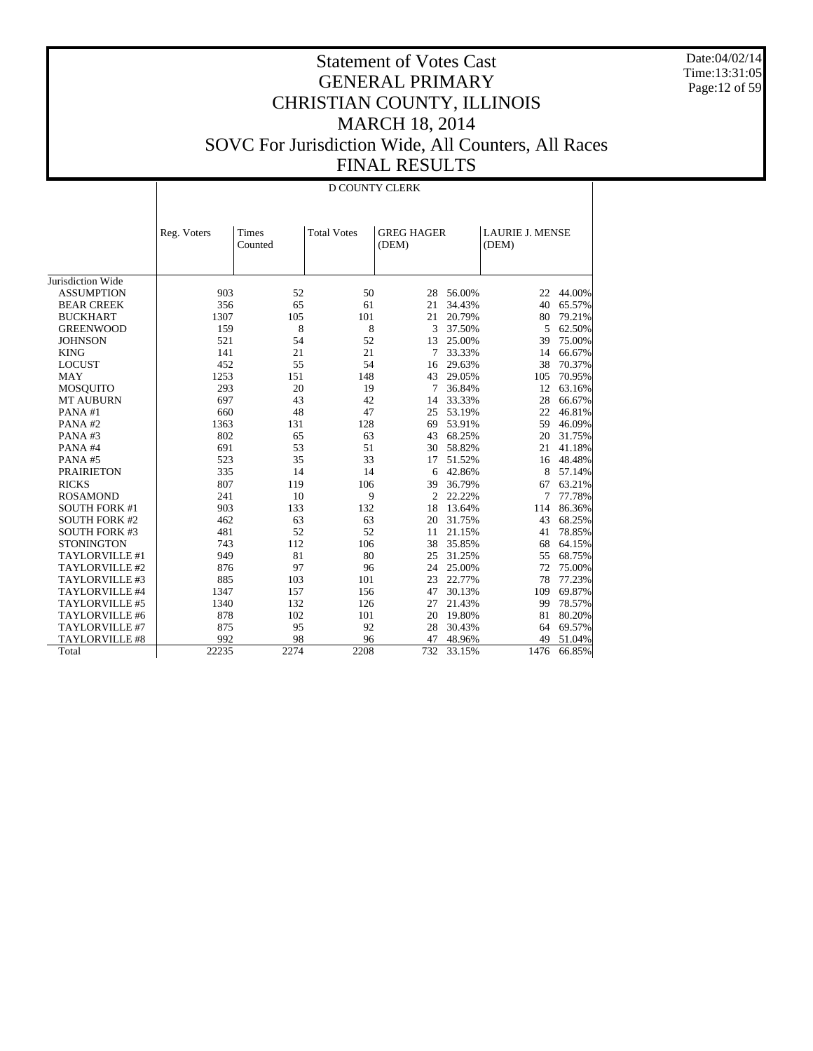Date:04/02/14 Time:13:31:05 Page:12 of 59

|                      |             | D COUNTY CLERK   |                    |                            |        |                                 |        |  |  |
|----------------------|-------------|------------------|--------------------|----------------------------|--------|---------------------------------|--------|--|--|
|                      | Reg. Voters | Times<br>Counted | <b>Total Votes</b> | <b>GREG HAGER</b><br>(DEM) |        | <b>LAURIE J. MENSE</b><br>(DEM) |        |  |  |
| Jurisdiction Wide    |             |                  |                    |                            |        |                                 |        |  |  |
| <b>ASSUMPTION</b>    | 903         | 52               | 50                 | 28                         | 56.00% | 22                              | 44.00% |  |  |
| <b>BEAR CREEK</b>    | 356         | 65               | 61                 | 21                         | 34.43% | 40                              | 65.57% |  |  |
| <b>BUCKHART</b>      | 1307        | 105              | 101                | 21                         | 20.79% | 80                              | 79.21% |  |  |
| <b>GREENWOOD</b>     | 159         | 8                | 8                  | 3                          | 37.50% | 5                               | 62.50% |  |  |
| <b>JOHNSON</b>       | 521         | 54               | 52                 | 13                         | 25.00% | 39                              | 75.00% |  |  |
| <b>KING</b>          | 141         | 21               | 21                 | 7                          | 33.33% | 14                              | 66.67% |  |  |
| <b>LOCUST</b>        | 452         | 55               | 54                 | 16                         | 29.63% | 38                              | 70.37% |  |  |
| <b>MAY</b>           | 1253        | 151              | 148                | 43                         | 29.05% | 105                             | 70.95% |  |  |
| MOSQUITO             | 293         | 20               | 19                 | 7                          | 36.84% | 12                              | 63.16% |  |  |
| <b>MT AUBURN</b>     | 697         | 43               | 42                 | 14                         | 33.33% | 28                              | 66.67% |  |  |
| PANA#1               | 660         | 48               | 47                 | 25                         | 53.19% | 22                              | 46.81% |  |  |
| PANA#2               | 1363        | 131              | 128                | 69                         | 53.91% | 59                              | 46.09% |  |  |
| PANA#3               | 802         | 65               | 63                 | 43                         | 68.25% | 20                              | 31.75% |  |  |
| PANA#4               | 691         | 53               | 51                 | 30                         | 58.82% | 21                              | 41.18% |  |  |
| PANA#5               | 523         | 35               | 33                 | 17                         | 51.52% | 16                              | 48.48% |  |  |
| <b>PRAIRIETON</b>    | 335         | 14               | 14                 | 6                          | 42.86% | 8                               | 57.14% |  |  |
| <b>RICKS</b>         | 807         | 119              | 106                | 39                         | 36.79% | 67                              | 63.21% |  |  |
| <b>ROSAMOND</b>      | 241         | 10               | 9                  | 2                          | 22.22% | 7                               | 77.78% |  |  |
| <b>SOUTH FORK #1</b> | 903         | 133              | 132                | 18                         | 13.64% | 114                             | 86.36% |  |  |
| <b>SOUTH FORK #2</b> | 462         | 63               | 63                 | 20                         | 31.75% | 43                              | 68.25% |  |  |
| <b>SOUTH FORK #3</b> | 481         | 52               | 52                 | 11                         | 21.15% | 41                              | 78.85% |  |  |
| <b>STONINGTON</b>    | 743         | 112              | 106                | 38                         | 35.85% | 68                              | 64.15% |  |  |
| TAYLORVILLE #1       | 949         | 81               | 80                 | 25                         | 31.25% | 55                              | 68.75% |  |  |
| TAYLORVILLE #2       | 876         | 97               | 96                 | 24                         | 25.00% | 72                              | 75.00% |  |  |
| TAYLORVILLE #3       | 885         | 103              | 101                | 23                         | 22.77% | 78                              | 77.23% |  |  |
| TAYLORVILLE #4       | 1347        | 157              | 156                | 47                         | 30.13% | 109                             | 69.87% |  |  |
| TAYLORVILLE #5       | 1340        | 132              | 126                | 27                         | 21.43% | 99                              | 78.57% |  |  |
| TAYLORVILLE #6       | 878         | 102              | 101                | 20                         | 19.80% | 81                              | 80.20% |  |  |
| TAYLORVILLE #7       | 875         | 95               | 92                 | 28                         | 30.43% | 64                              | 69.57% |  |  |
| TAYLORVILLE #8       | 992         | 98               | 96                 | 47                         | 48.96% | 49                              | 51.04% |  |  |
| Total                | 22235       | 2274             | 2208               | 732                        | 33.15% | 1476                            | 66.85% |  |  |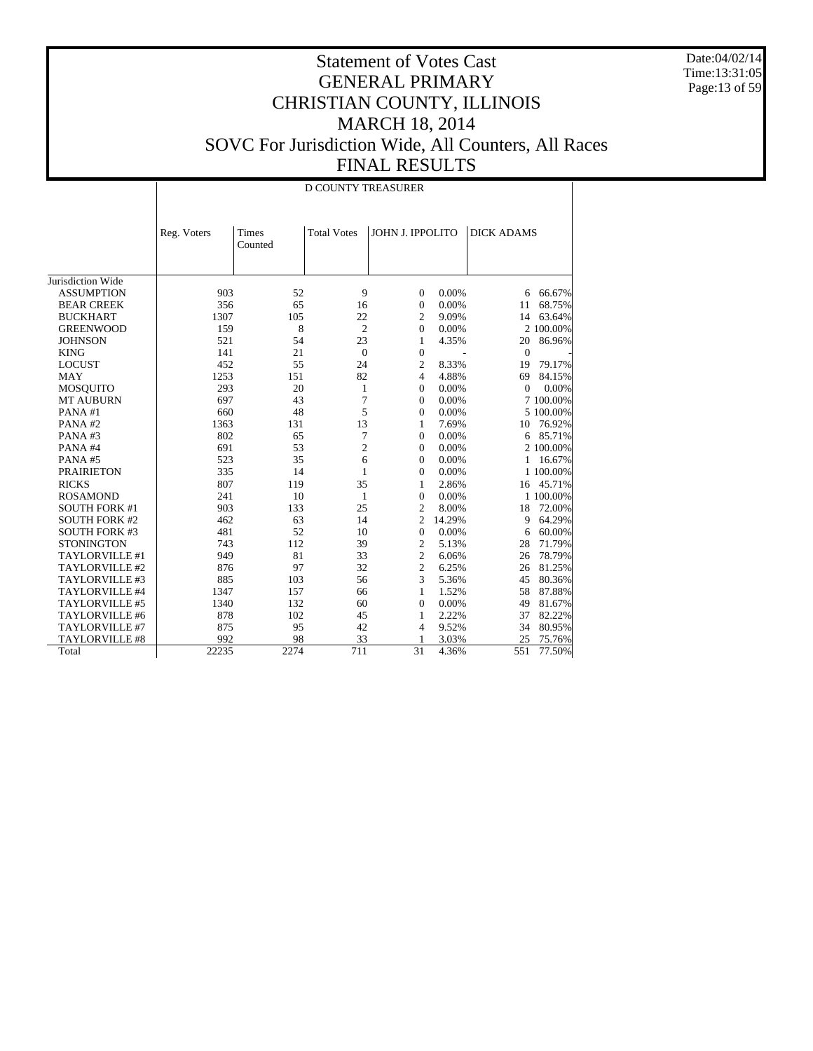Date:04/02/14 Time:13:31:05 Page:13 of 59

#### Statement of Votes Cast GENERAL PRIMARY CHRISTIAN COUNTY, ILLINOIS MARCH 18, 2014 SOVC For Jurisdiction Wide, All Counters, All Races FINAL RESULTS

Jurisdiction Wide ASSUMPTION BEAR CREEK BUCKHART GREENWOOD **JOHNSON**  KING LOCUST MAY MOSQUITO MT AUBURN PANA #1 PANA #2 PANA #3 PANA #4 PANA #5 PRAIRIETON RICKS ROSAMOND SOUTH FORK #1 SOUTH FORK #2 SOUTH FORK #3 **STONINGTON**  TAYLORVILLE #1 TAYLORVILLE #2 TAYLORVILLE #3 TAYLORVILLE #4 TAYLORVILLE #5 TAYLORVILLE #6 TAYLORVILLE #7 TAYLORVILLE #8 Total Reg. Voters | Times Counted Total Votes | JOHN J. IPPOLITO | DICK ADAMS D COUNTY TREASURER 903 52 9 0 0.00% 6 66.67%<br>356 65 16 0 0.00% 11 68.75% 356 65 16 0 0.00% 11 68.75%<br>1307 105 22 2 9.09% 14 63.64% 1307 105 22 2 9.09% 14 63.64%<br>159 8 2 0 0.00% 2 100.00% 159 8 2 0 0.00% 2 100.00%<br>521 54 23 1 4.35% 20 86.96% 521 54 23 1 4.35% 20 86.96% 141 21 0 0 - 0 -452 55 24 2 8.33% 19 79.17% 1253 151 82 4 4.88% 69 84.15% 293 20 1 0 0.00% 0 0.00% 697 43 7 0 0.00% 7 100.00% 660 48 5 0 0.00% 5 100.00% 13 1 7.69% 10 76.92%<br>7 0 0.00% 6 85.71% 802 65 7 0 0.00% 6 85.71%<br>691 53 2 0 0.00% 2 100.00%  $\begin{array}{ccccccccc} 53 & & 2 & & 0 & 0.00\% & & & 2 & 100.00\% \\ 35 & & & 6 & & 0 & 0.00\% & & & 1 & 16.67\% \end{array}$ 523 35 6 0 0.00% 1 16.67% 335 14 1 0 0.00% 1 100.00%<br>807 119 35 1 2.86% 16 45.71%  $\begin{array}{ccc} 2.86\% & \qquad & 16 & 45.71\% \\ 0.00\% & \qquad & 1\ 100.00\% \end{array}$ 241 10 1 0 0.00% 1 100.00%<br>903 133 25 2 8.00% 18 72.00% 25 2 8.00% 18 72.00%<br>14 2 14.29% 9 64.29% 462 63 14 2 14.29% 9 64.29%<br>481 52 10 0 0.00% 6 60.00% 481 52 10 0 0.00% 6 60.00% 743 112 39 2 5.13% 28 71.79% 949 81 33 2 6.06% 26 78.79% 876 97 32 2 6.25% 26 81.25% 885 103 56 3 5.36% 45 80.36% 1347 157 66 1 1.52% 58 87.88% 1340 132 60 0 0.00% 49 81.67% 878 102 45 1 2.22% 37 82.22% 875 95 42 4 9.52% 34 80.95% 992 98 33 1 3.03% 25 75.76% 22235 2274 711 31 4.36% 551 77.50%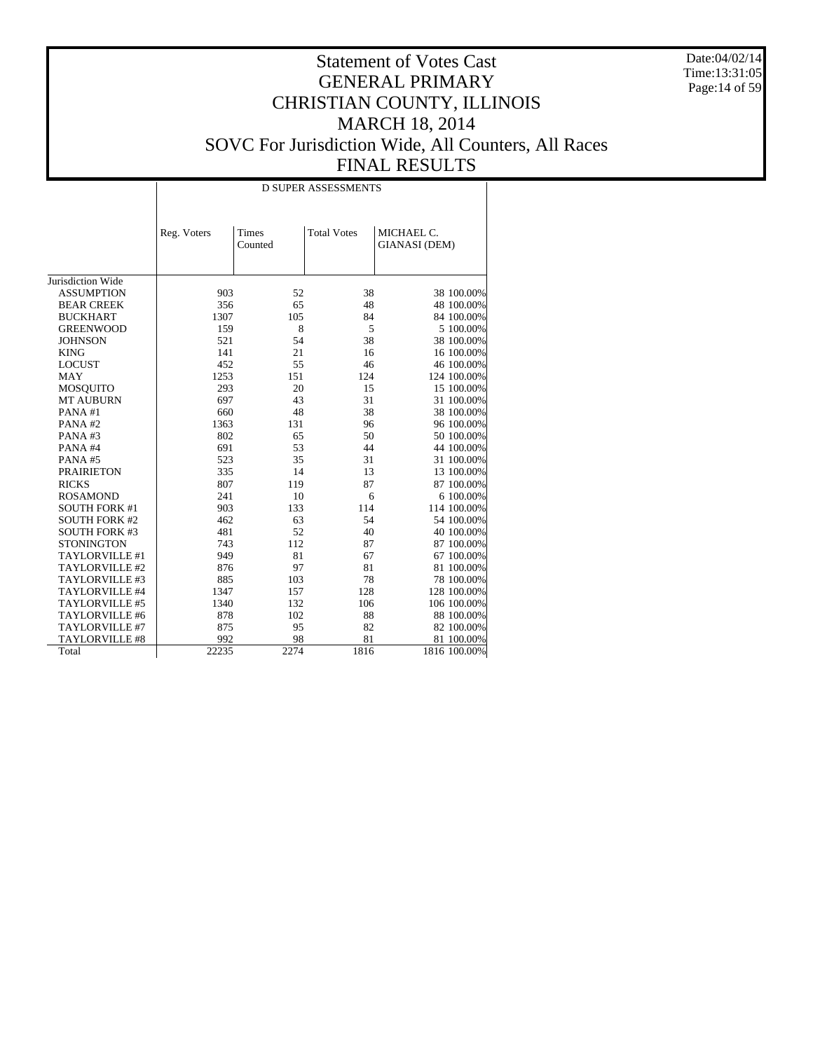Date:04/02/14 Time:13:31:05 Page:14 of 59

|                       |             |                  | <b>D SUPER ASSESSMENTS</b> |                                    |
|-----------------------|-------------|------------------|----------------------------|------------------------------------|
|                       | Reg. Voters | Times<br>Counted | <b>Total Votes</b>         | MICHAEL C.<br><b>GIANASI</b> (DEM) |
| Jurisdiction Wide     |             |                  |                            |                                    |
| <b>ASSUMPTION</b>     | 903         | 52               | 38                         | 38 100.00%                         |
| <b>BEAR CREEK</b>     | 356         | 65               | 48                         | 48 100.00%                         |
| <b>BUCKHART</b>       | 1307        | 105              | 84                         | 84 100.00%                         |
| <b>GREENWOOD</b>      | 159         | 8                | 5                          | 5 100.00%                          |
| <b>JOHNSON</b>        | 521         | 54               | 38                         | 38 100.00%                         |
| <b>KING</b>           | 141         | 21               | 16                         | 16 100.00%                         |
| <b>LOCUST</b>         | 452         | 55               | 46                         | 46 100.00%                         |
| <b>MAY</b>            | 1253        | 151              | 124                        | 124 100.00%                        |
| <b>MOSQUITO</b>       | 293         | 20               | 15                         | 15 100.00%                         |
| <b>MT AUBURN</b>      | 697         | 43               | 31                         | 31 100.00%                         |
| PANA#1                | 660         | 48               | 38                         | 38 100.00%                         |
| PANA#2                | 1363        | 131              | 96                         | 96 100.00%                         |
| PANA#3                | 802         | 65               | 50                         | 50 100.00%                         |
| PANA#4                | 691         | 53               | 44                         | 44 100.00%                         |
| PANA#5                | 523         | 35               | 31                         | 31 100.00%                         |
| <b>PRAIRIETON</b>     | 335         | 14               | 13                         | 13 100.00%                         |
| <b>RICKS</b>          | 807         | 119              | 87                         | 87 100.00%                         |
| <b>ROSAMOND</b>       | 241         | 10               | 6                          | 6 100.00%                          |
| <b>SOUTH FORK #1</b>  | 903         | 133              | 114                        | 114 100.00%                        |
| <b>SOUTH FORK #2</b>  | 462         | 63               | 54                         | 54 100.00%                         |
| <b>SOUTH FORK #3</b>  | 481         | 52               | 40                         | 40 100.00%                         |
| <b>STONINGTON</b>     | 743         | 112              | 87                         | 87 100.00%                         |
| TAYLORVILLE #1        | 949         | 81               | 67                         | 67 100.00%                         |
| TAYLORVILLE #2        | 876         | 97               | 81                         | 81 100.00%                         |
| TAYLORVILLE #3        | 885         | 103              | 78                         | 78 100.00%                         |
| TAYLORVILLE #4        | 1347        | 157              | 128                        | 128 100.00%                        |
| TAYLORVILLE #5        | 1340        | 132              | 106                        | 106 100.00%                        |
| TAYLORVILLE #6        | 878         | 102              | 88                         | 88 100.00%                         |
| TAYLORVILLE #7        | 875         | 95               | 82                         | 82 100.00%                         |
| <b>TAYLORVILLE #8</b> | 992         | 98               | 81                         | 81 100.00%                         |
| Total                 | 22235       | 2274             | 1816                       | 1816 100.00%                       |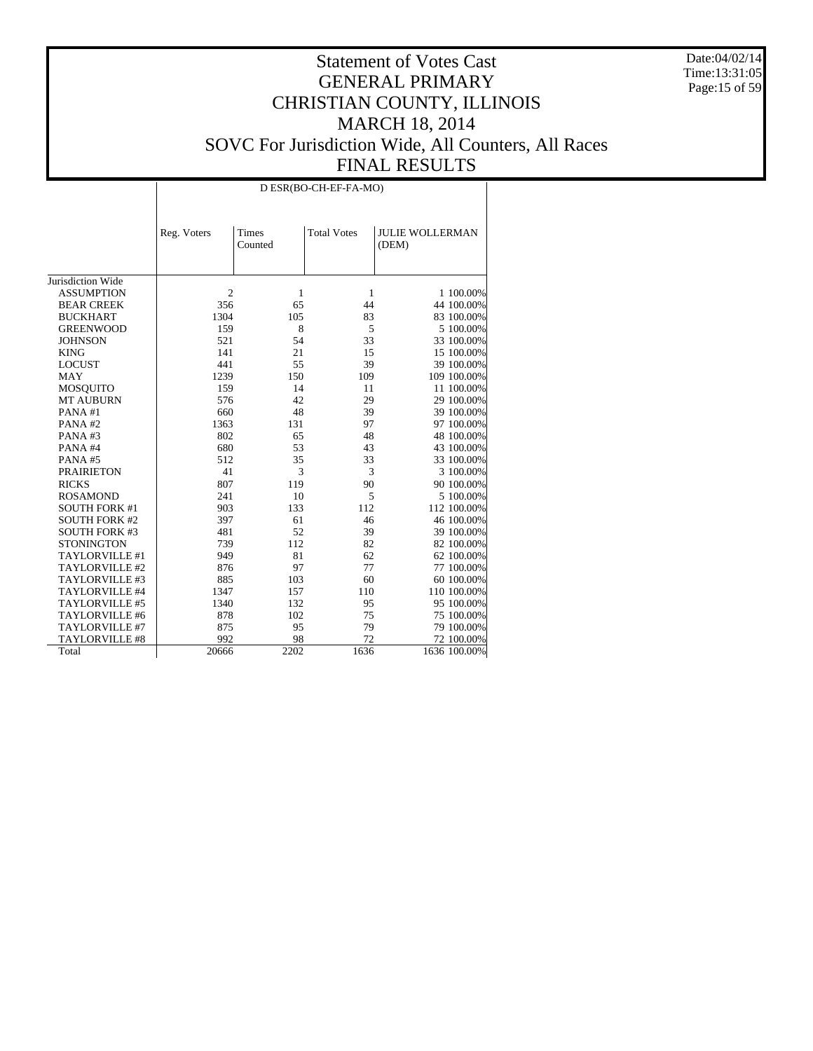Date:04/02/14 Time:13:31:05 Page:15 of 59

|                      |                |                  | D ESR(BO-CH-EF-FA-MO) |                                 |
|----------------------|----------------|------------------|-----------------------|---------------------------------|
|                      | Reg. Voters    | Times<br>Counted | <b>Total Votes</b>    | <b>JULIE WOLLERMAN</b><br>(DEM) |
| Jurisdiction Wide    |                |                  |                       |                                 |
| <b>ASSUMPTION</b>    | $\overline{2}$ | 1                | 1                     | 1 100.00%                       |
| <b>BEAR CREEK</b>    | 356            | 65               | 44                    | 44 100.00%                      |
| <b>BUCKHART</b>      | 1304           | 105              | 83                    | 83 100.00%                      |
| <b>GREENWOOD</b>     | 159            | 8                | 5                     | 5 100.00%                       |
| <b>JOHNSON</b>       | 521            | 54               | 33                    | 33 100.00%                      |
| <b>KING</b>          | 141            | 21               | 15                    | 15 100.00%                      |
| <b>LOCUST</b>        | 441            | 55               | 39                    | 39 100.00%                      |
| <b>MAY</b>           | 1239           | 150              | 109                   | 109 100.00%                     |
| <b>MOSQUITO</b>      | 159            | 14               | 11                    | 11 100.00%                      |
| <b>MT AUBURN</b>     | 576            | 42               | 29                    | 29 100.00%                      |
| PANA#1               | 660            | 48               | 39                    | 39 100.00%                      |
| PANA#2               | 1363           | 131              | 97                    | 97 100.00%                      |
| PANA#3               | 802            | 65               | 48                    | 48 100.00%                      |
| PANA#4               | 680            | 53               | 43                    | 43 100.00%                      |
| PANA#5               | 512            | 35               | 33                    | 33 100.00%                      |
| <b>PRAIRIETON</b>    | 41             | 3                | 3                     | 3 100.00%                       |
| <b>RICKS</b>         | 807            | 119              | 90                    | 90 100.00%                      |
| <b>ROSAMOND</b>      | 241            | 10               | 5                     | 5 100.00%                       |
| <b>SOUTH FORK #1</b> | 903            | 133              | 112                   | 112 100.00%                     |
| <b>SOUTH FORK #2</b> | 397            | 61               | 46                    | 46 100.00%                      |
| <b>SOUTH FORK #3</b> | 481            | 52               | 39                    | 39 100.00%                      |
| <b>STONINGTON</b>    | 739            | 112              | 82                    | 82 100.00%                      |
| TAYLORVILLE #1       | 949            | 81               | 62                    | 62 100.00%                      |
| TAYLORVILLE #2       | 876            | 97               | 77                    | 77 100.00%                      |
| TAYLORVILLE #3       | 885            | 103              | 60                    | 60 100.00%                      |
| TAYLORVILLE #4       | 1347           | 157              | 110                   | 110 100.00%                     |
| TAYLORVILLE #5       | 1340           | 132              | 95                    | 95 100.00%                      |
| TAYLORVILLE #6       | 878            | 102              | 75                    | 75 100.00%                      |
| TAYLORVILLE #7       | 875            | 95               | 79                    | 79 100.00%                      |
| TAYLORVILLE #8       | 992            | 98               | 72                    | 72 100.00%                      |
| Total                | 20666          | 2202             | 1636                  | 1636 100.00%                    |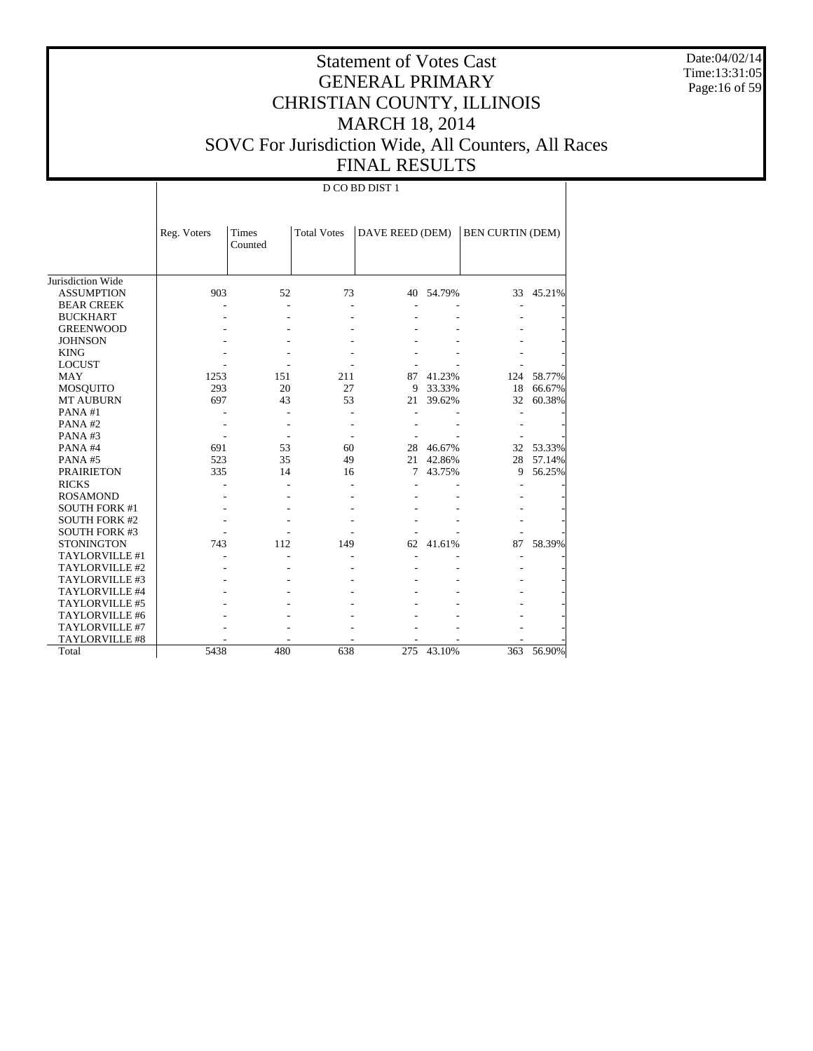Date:04/02/14 Time:13:31:05 Page:16 of 59

# Statement of Votes Cast GENERAL PRIMARY CHRISTIAN COUNTY, ILLINOIS MARCH 18, 2014 SOVC For Jurisdiction Wide, All Counters, All Races FINAL RESULTS

|                      | Reg. Voters | <b>Times</b> | <b>Total Votes</b> | DAVE REED (DEM) |        | <b>BEN CURTIN (DEM)</b> |        |
|----------------------|-------------|--------------|--------------------|-----------------|--------|-------------------------|--------|
|                      |             | Counted      |                    |                 |        |                         |        |
|                      |             |              |                    |                 |        |                         |        |
|                      |             |              |                    |                 |        |                         |        |
| Jurisdiction Wide    |             |              |                    |                 |        |                         |        |
| <b>ASSUMPTION</b>    | 903         | 52           | 73                 | 40              | 54.79% | 33                      | 45.21% |
| <b>BEAR CREEK</b>    |             |              |                    |                 |        |                         |        |
| <b>BUCKHART</b>      |             |              |                    |                 |        |                         |        |
| <b>GREENWOOD</b>     |             |              |                    |                 |        |                         |        |
| <b>JOHNSON</b>       |             |              |                    |                 |        |                         |        |
| <b>KING</b>          |             |              |                    |                 |        |                         |        |
| <b>LOCUST</b>        |             |              |                    |                 |        |                         |        |
| MAY                  | 1253        | 151          | 211                | 87              | 41.23% | 124                     | 58.77% |
| <b>MOSQUITO</b>      | 293         | 20           | 27                 | 9               | 33.33% | 18                      | 66.67% |
| <b>MT AUBURN</b>     | 697         | 43           | 53                 | 21              | 39.62% | 32                      | 60.38% |
| PANA#1               |             |              |                    |                 |        |                         |        |
| PANA#2               |             |              |                    |                 |        |                         |        |
| PANA#3               |             |              |                    |                 |        |                         |        |
| PANA#4               | 691         | 53           | 60                 | 28              | 46.67% | 32                      | 53.33% |
| PANA#5               | 523         | 35           | 49                 | 21              | 42.86% | 28                      | 57.14% |
| <b>PRAIRIETON</b>    | 335         | 14           | 16                 | 7               | 43.75% | 9                       | 56.25% |
| <b>RICKS</b>         |             |              |                    |                 |        |                         |        |
| <b>ROSAMOND</b>      |             |              |                    |                 |        |                         |        |
| <b>SOUTH FORK #1</b> |             |              |                    |                 |        |                         |        |
| <b>SOUTH FORK #2</b> |             |              |                    |                 |        |                         |        |
| <b>SOUTH FORK #3</b> |             |              |                    |                 |        |                         |        |
| <b>STONINGTON</b>    | 743         | 112          | 149                | 62              | 41.61% | 87                      | 58.39% |
| TAYLORVILLE #1       |             |              |                    |                 |        |                         |        |
| TAYLORVILLE #2       |             |              |                    |                 |        |                         |        |
| TAYLORVILLE #3       |             |              |                    |                 |        |                         |        |
| TAYLORVILLE #4       |             |              |                    |                 |        |                         |        |
| TAYLORVILLE #5       |             |              |                    |                 |        |                         |        |
| TAYLORVILLE #6       |             |              |                    |                 |        |                         |        |
| TAYLORVILLE #7       |             |              |                    |                 |        |                         |        |
| TAYLORVILLE #8       |             |              |                    |                 |        |                         |        |
| Total                | 5438        | 480          | 638                | 275             | 43.10% | 363                     | 56.90% |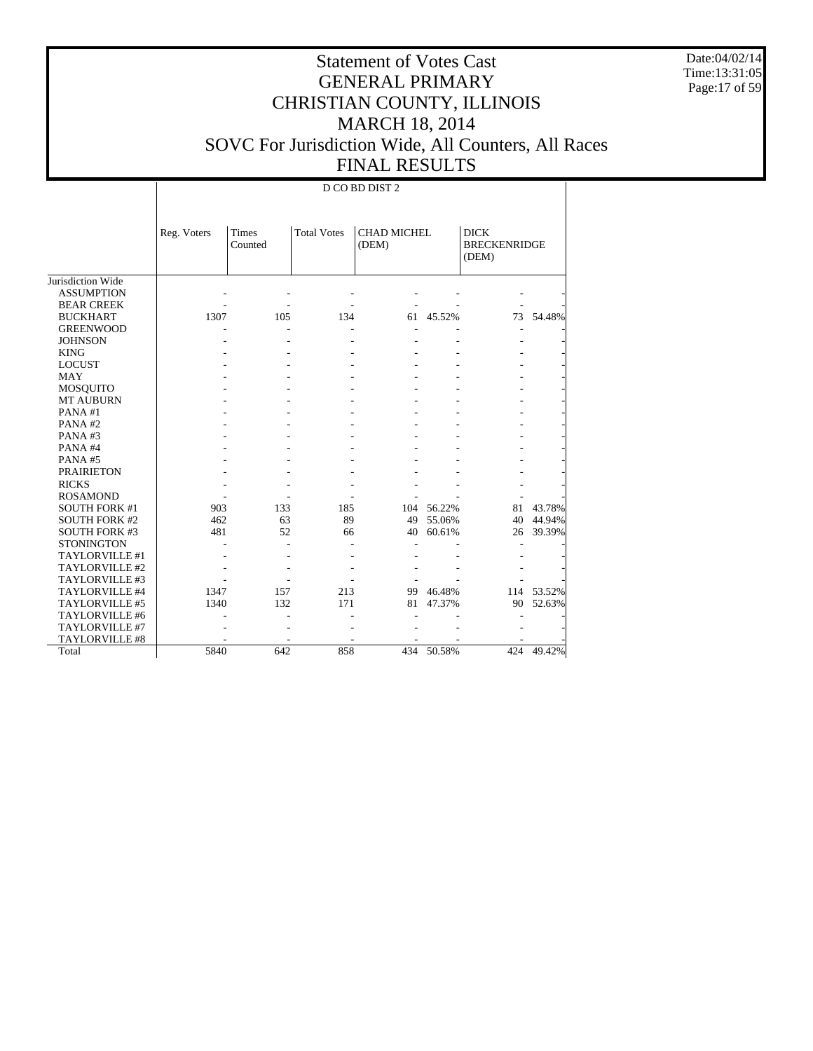Date:04/02/14 Time:13:31:05 Page:17 of 59

# Statement of Votes Cast GENERAL PRIMARY CHRISTIAN COUNTY, ILLINOIS MARCH 18, 2014 SOVC For Jurisdiction Wide, All Counters, All Races FINAL RESULTS

|                      | Reg. Voters | <b>Times</b><br>Counted | <b>Total Votes</b> | (DEM) | CHAD MICHEL |     | <b>BRECKENRIDGE</b> |
|----------------------|-------------|-------------------------|--------------------|-------|-------------|-----|---------------------|
| Jurisdiction Wide    |             |                         |                    |       |             |     |                     |
| <b>ASSUMPTION</b>    |             |                         |                    |       |             |     |                     |
| <b>BEAR CREEK</b>    |             |                         |                    |       |             |     |                     |
| <b>BUCKHART</b>      | 1307        | 105                     | 134                | 61    | 45.52%      | 73  | 54.48%              |
| <b>GREENWOOD</b>     |             |                         |                    |       |             |     |                     |
| <b>JOHNSON</b>       |             |                         |                    |       |             |     |                     |
| <b>KING</b>          |             |                         |                    |       |             |     |                     |
| <b>LOCUST</b>        |             |                         |                    |       |             |     |                     |
| MAY                  |             |                         |                    |       |             |     |                     |
| <b>MOSQUITO</b>      |             |                         |                    |       |             |     |                     |
| <b>MT AUBURN</b>     |             |                         |                    |       |             |     |                     |
| PANA#1               |             |                         |                    |       |             |     |                     |
| PANA#2               |             |                         |                    |       |             |     |                     |
| PANA#3               |             |                         |                    |       |             |     |                     |
| PANA#4               |             |                         |                    |       |             |     |                     |
| PANA#5               |             |                         |                    |       |             |     |                     |
| <b>PRAIRIETON</b>    |             |                         |                    |       |             |     |                     |
| <b>RICKS</b>         |             |                         |                    |       |             |     |                     |
| <b>ROSAMOND</b>      |             |                         |                    |       |             |     |                     |
| <b>SOUTH FORK #1</b> | 903         | 133                     | 185                | 104   | 56.22%      | 81  | 43.78%              |
| <b>SOUTH FORK #2</b> | 462         | 63                      | 89                 | 49    | 55.06%      | 40  | 44.94%              |
| <b>SOUTH FORK #3</b> | 481         | 52                      | 66                 | 40    | 60.61%      | 26  | 39.39%              |
| <b>STONINGTON</b>    |             |                         |                    |       |             |     |                     |
| TAYLORVILLE #1       |             |                         |                    |       |             |     |                     |
| TAYLORVILLE #2       |             |                         |                    |       |             |     |                     |
| TAYLORVILLE #3       |             |                         |                    |       |             |     |                     |
| TAYLORVILLE #4       | 1347        | 157                     | 213                | 99    | 46.48%      | 114 | 53.52%              |
| TAYLORVILLE #5       | 1340        | 132                     | 171                | 81    | 47.37%      | 90  | 52.63%              |
| TAYLORVILLE #6       |             |                         |                    |       |             |     |                     |
| TAYLORVILLE #7       |             |                         |                    |       |             |     |                     |
| TAYLORVILLE #8       |             |                         |                    |       |             |     |                     |
| Total                | 5840        | 642                     | 858                |       | 434 50.58%  | 424 | 49.42%              |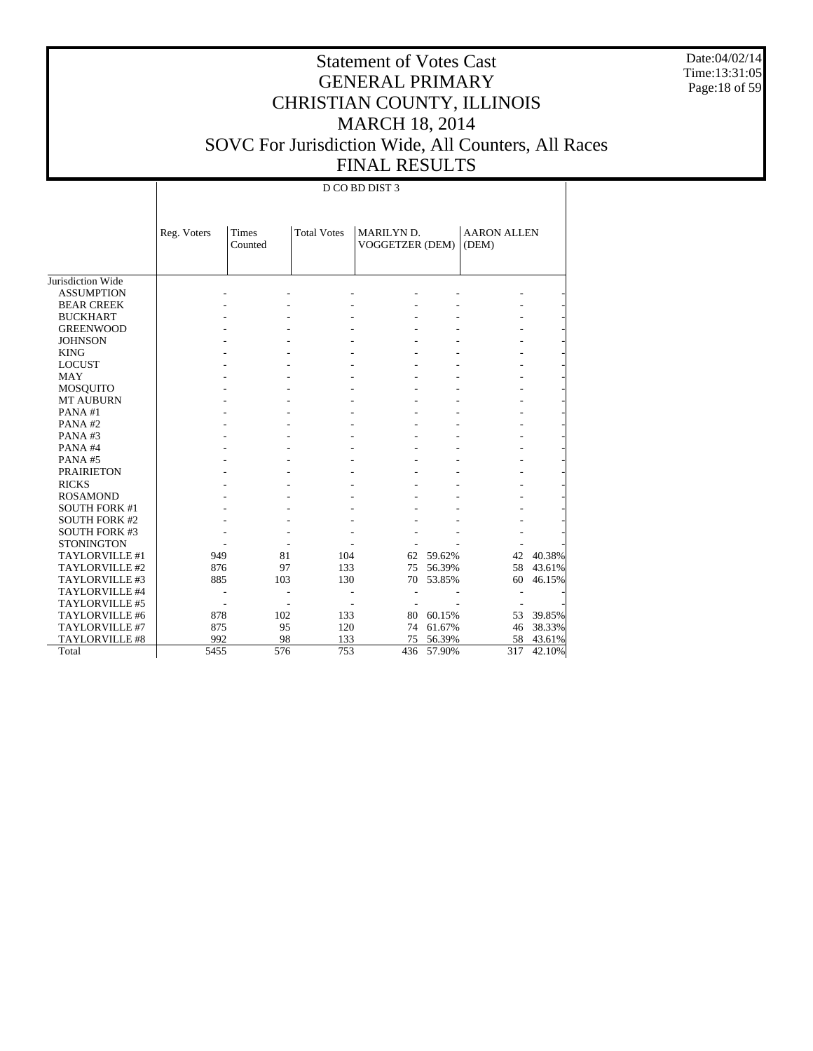Date:04/02/14 Time:13:31:05 Page:18 of 59

# Statement of Votes Cast GENERAL PRIMARY CHRISTIAN COUNTY, ILLINOIS MARCH 18, 2014 SOVC For Jurisdiction Wide, All Counters, All Races FINAL RESULTS

|                       | Reg. Voters | Times<br>Counted | <b>Total Votes</b> | MARILYN D.<br>VOGGETZER (DEM) |        | <b>AARON ALLEN</b><br>(DEM) |        |
|-----------------------|-------------|------------------|--------------------|-------------------------------|--------|-----------------------------|--------|
|                       |             |                  |                    |                               |        |                             |        |
| Jurisdiction Wide     |             |                  |                    |                               |        |                             |        |
| <b>ASSUMPTION</b>     |             |                  |                    |                               |        |                             |        |
| <b>BEAR CREEK</b>     |             |                  |                    |                               |        |                             |        |
| <b>BUCKHART</b>       |             |                  |                    |                               |        |                             |        |
| <b>GREENWOOD</b>      |             |                  |                    |                               |        |                             |        |
| <b>JOHNSON</b>        |             |                  |                    |                               |        |                             |        |
| <b>KING</b>           |             |                  |                    |                               |        |                             |        |
| <b>LOCUST</b>         |             |                  |                    |                               |        |                             |        |
| <b>MAY</b>            |             |                  |                    |                               |        |                             |        |
| <b>MOSQUITO</b>       |             |                  |                    |                               |        |                             |        |
| <b>MT AUBURN</b>      |             |                  |                    |                               |        |                             |        |
| PANA#1                |             |                  |                    |                               |        |                             |        |
| PANA#2                |             |                  |                    |                               |        |                             |        |
| PANA#3                |             |                  |                    |                               |        |                             |        |
| PANA#4                |             |                  |                    |                               |        |                             |        |
| PANA#5                |             |                  |                    |                               |        |                             |        |
| <b>PRAIRIETON</b>     |             |                  |                    |                               |        |                             |        |
| <b>RICKS</b>          |             |                  |                    |                               |        |                             |        |
| <b>ROSAMOND</b>       |             |                  |                    |                               |        |                             |        |
| <b>SOUTH FORK #1</b>  |             |                  |                    |                               |        |                             |        |
| <b>SOUTH FORK #2</b>  |             |                  |                    |                               |        |                             |        |
| <b>SOUTH FORK #3</b>  |             |                  |                    |                               |        |                             |        |
| <b>STONINGTON</b>     |             |                  |                    |                               |        |                             |        |
| TAYLORVILLE #1        | 949         | 81               | 104                | 62                            | 59.62% | 42                          | 40.38% |
| TAYLORVILLE #2        | 876         | 97               | 133                | 75                            | 56.39% | 58                          | 43.61% |
| TAYLORVILLE #3        | 885         | 103              | 130                | 70                            | 53.85% | 60                          | 46.15% |
| TAYLORVILLE #4        |             |                  |                    |                               |        |                             |        |
| TAYLORVILLE #5        |             |                  |                    |                               |        |                             |        |
| TAYLORVILLE #6        | 878         | 102              | 133                | 80                            | 60.15% | 53                          | 39.85% |
| TAYLORVILLE #7        | 875         | 95               | 120                | 74                            | 61.67% | 46                          | 38.33% |
| <b>TAYLORVILLE #8</b> | 992         | 98               | 133                | 75                            | 56.39% | 58                          | 43.61% |
| Total                 | 5455        | 576              | 753                | 436                           | 57.90% | 317                         | 42.10% |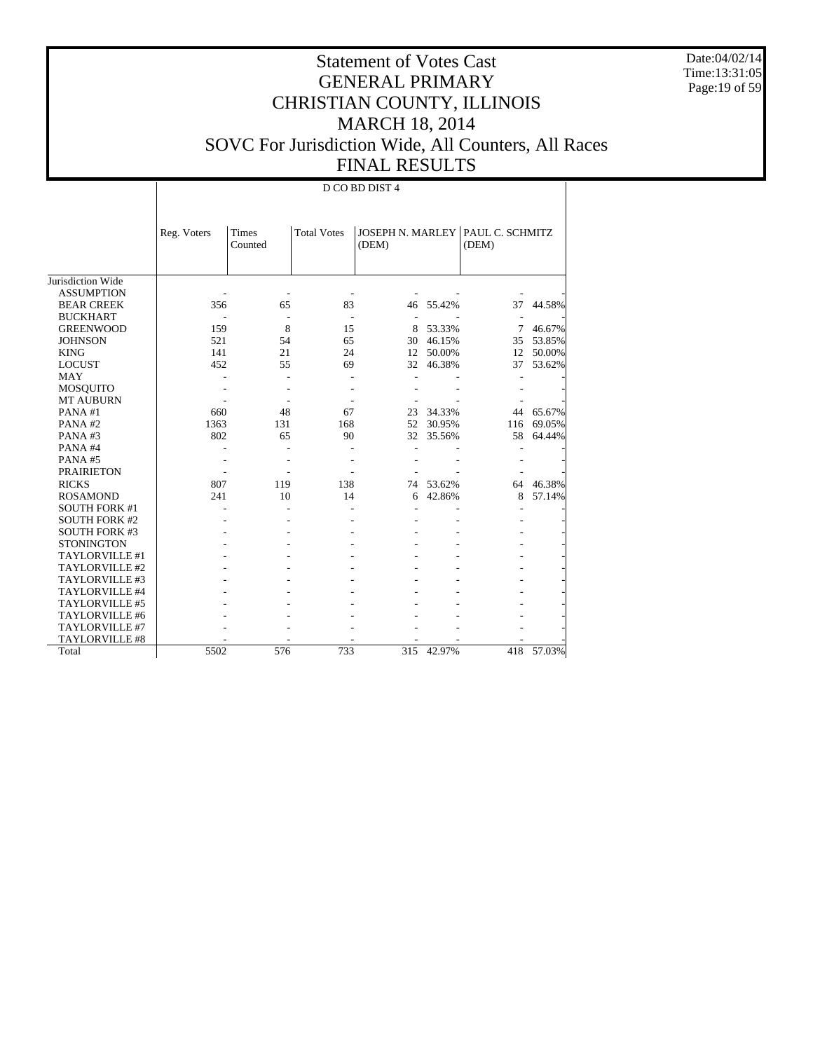Date:04/02/14 Time:13:31:05 Page:19 of 59

# Statement of Votes Cast GENERAL PRIMARY CHRISTIAN COUNTY, ILLINOIS MARCH 18, 2014 SOVC For Jurisdiction Wide, All Counters, All Races FINAL RESULTS

|                      | Reg. Voters | Times   | <b>Total Votes</b> |       |        | JOSEPH N. MARLEY   PAUL C. SCHMITZ |        |
|----------------------|-------------|---------|--------------------|-------|--------|------------------------------------|--------|
|                      |             | Counted |                    | (DEM) |        | (DEM)                              |        |
|                      |             |         |                    |       |        |                                    |        |
|                      |             |         |                    |       |        |                                    |        |
| Jurisdiction Wide    |             |         |                    |       |        |                                    |        |
| <b>ASSUMPTION</b>    |             |         |                    |       |        |                                    |        |
| <b>BEAR CREEK</b>    | 356         | 65      | 83                 | 46    | 55.42% | 37                                 | 44.58% |
| <b>BUCKHART</b>      |             |         |                    |       |        |                                    |        |
| <b>GREENWOOD</b>     | 159         | 8       | 15                 | 8     | 53.33% | 7                                  | 46.67% |
| <b>JOHNSON</b>       | 521         | 54      | 65                 | 30    | 46.15% | 35                                 | 53.85% |
| <b>KING</b>          | 141         | 21      | 24                 | 12    | 50.00% | 12                                 | 50.00% |
| <b>LOCUST</b>        | 452         | 55      | 69                 | 32    | 46.38% | 37                                 | 53.62% |
| <b>MAY</b>           |             |         |                    |       |        |                                    |        |
| <b>MOSQUITO</b>      |             |         |                    |       |        |                                    |        |
| <b>MT AUBURN</b>     |             |         |                    |       |        |                                    |        |
| PANA#1               | 660         | 48      | 67                 | 23    | 34.33% | 44                                 | 65.67% |
| PANA#2               | 1363        | 131     | 168                | 52    | 30.95% | 116                                | 69.05% |
| PANA#3               | 802         | 65      | 90                 | 32    | 35.56% | 58                                 | 64.44% |
| PANA#4               |             |         |                    |       |        |                                    |        |
| PANA#5               |             |         |                    |       |        |                                    |        |
| <b>PRAIRIETON</b>    |             |         |                    |       |        |                                    |        |
| <b>RICKS</b>         | 807         | 119     | 138                | 74    | 53.62% | 64                                 | 46.38% |
| <b>ROSAMOND</b>      | 241         | 10      | 14                 | 6     | 42.86% | 8                                  | 57.14% |
| <b>SOUTH FORK #1</b> |             |         |                    |       |        |                                    |        |
| <b>SOUTH FORK #2</b> |             |         |                    |       |        |                                    |        |
| <b>SOUTH FORK #3</b> |             |         |                    |       |        |                                    |        |
| <b>STONINGTON</b>    |             |         |                    |       |        |                                    |        |
| TAYLORVILLE #1       |             |         |                    |       |        |                                    |        |
| TAYLORVILLE #2       |             |         |                    |       |        |                                    |        |
| TAYLORVILLE #3       |             |         |                    |       |        |                                    |        |
| TAYLORVILLE #4       |             |         |                    |       |        |                                    |        |
| TAYLORVILLE #5       |             |         |                    |       |        |                                    |        |
| TAYLORVILLE #6       |             |         |                    |       |        |                                    |        |
| TAYLORVILLE #7       |             |         |                    |       |        |                                    |        |
| TAYLORVILLE #8       |             |         |                    |       |        |                                    |        |
| Total                | 5502        | 576     | 733                | 315   | 42.97% | 418                                | 57.03% |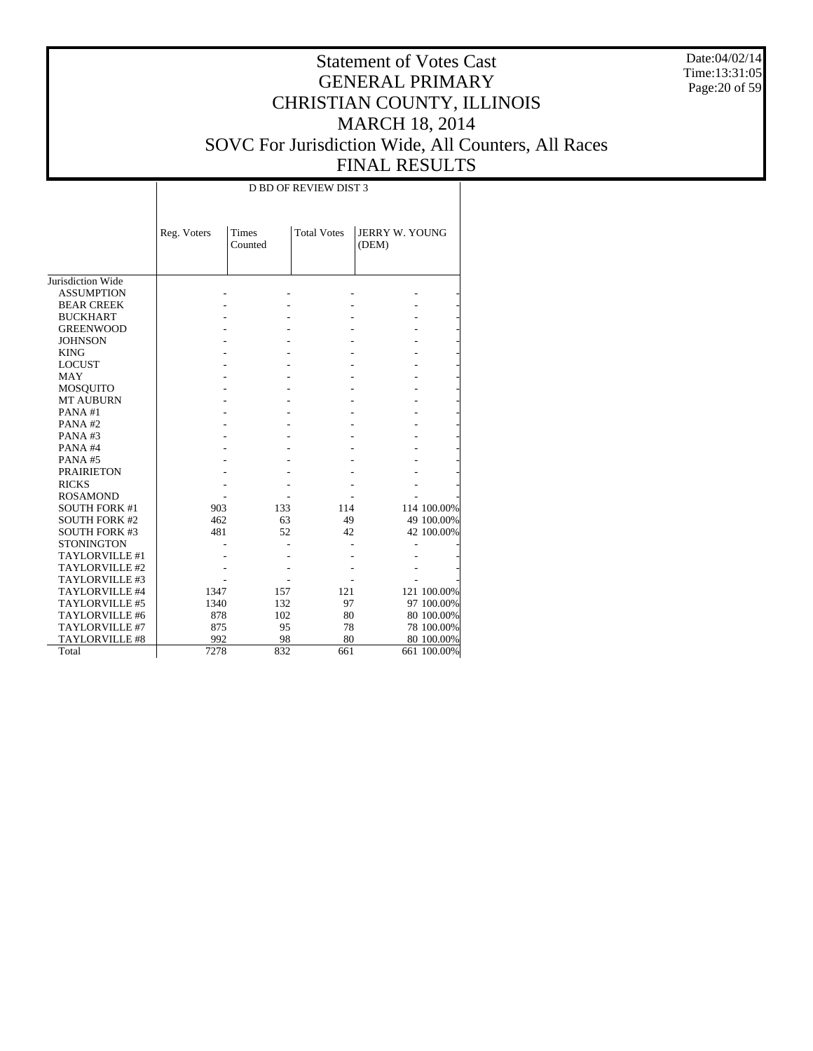Date:04/02/14 Time:13:31:05 Page:20 of 59

# Statement of Votes Cast GENERAL PRIMARY CHRISTIAN COUNTY, ILLINOIS MARCH 18, 2014 SOVC For Jurisdiction Wide, All Counters, All Races FINAL RESULTS

Τ

|                       |             |                         | <b>D BD OF REVIEW DIST 3</b> |                                |             |
|-----------------------|-------------|-------------------------|------------------------------|--------------------------------|-------------|
|                       | Reg. Voters | <b>Times</b><br>Counted | <b>Total Votes</b>           | <b>JERRY W. YOUNG</b><br>(DEM) |             |
| Jurisdiction Wide     |             |                         |                              |                                |             |
| <b>ASSUMPTION</b>     |             |                         |                              |                                |             |
| <b>BEAR CREEK</b>     |             |                         |                              |                                |             |
| <b>BUCKHART</b>       |             |                         |                              |                                |             |
| <b>GREENWOOD</b>      |             |                         |                              |                                |             |
| <b>JOHNSON</b>        |             |                         |                              |                                |             |
| <b>KING</b>           |             |                         |                              |                                |             |
| <b>LOCUST</b>         |             |                         |                              |                                |             |
| <b>MAY</b>            |             |                         |                              |                                |             |
| MOSQUITO              |             |                         |                              |                                |             |
| <b>MT AUBURN</b>      |             |                         |                              |                                |             |
| PANA#1                |             |                         |                              |                                |             |
| PANA#2                |             |                         |                              |                                |             |
| PANA#3                |             |                         |                              |                                |             |
| PANA#4                |             |                         |                              |                                |             |
| PANA#5                |             |                         |                              |                                |             |
| <b>PRAIRIETON</b>     |             |                         |                              |                                |             |
| <b>RICKS</b>          |             |                         |                              |                                |             |
| <b>ROSAMOND</b>       |             |                         |                              |                                |             |
| <b>SOUTH FORK #1</b>  | 903         | 133                     | 114                          |                                | 114 100.00% |
| <b>SOUTH FORK #2</b>  | 462         | 63                      | 49                           |                                | 49 100.00%  |
| <b>SOUTH FORK #3</b>  | 481         | 52                      | 42                           |                                | 42 100.00%  |
| <b>STONINGTON</b>     |             |                         |                              |                                |             |
| TAYLORVILLE #1        |             |                         |                              |                                |             |
| TAYLORVILLE #2        |             |                         |                              |                                |             |
| TAYLORVILLE #3        |             |                         |                              |                                |             |
| TAYLORVILLE #4        | 1347        | 157                     | 121                          |                                | 121 100.00% |
| TAYLORVILLE #5        | 1340        | 132                     | 97                           |                                | 97 100.00%  |
| TAYLORVILLE #6        | 878         | 102                     | 80                           |                                | 80 100.00%  |
| TAYLORVILLE #7        | 875         | 95                      | 78                           |                                | 78 100.00%  |
| <b>TAYLORVILLE #8</b> | 992         | 98                      | 80                           |                                | 80 100.00%  |
| Total                 | 7278        | 832                     | 661                          |                                | 661 100.00% |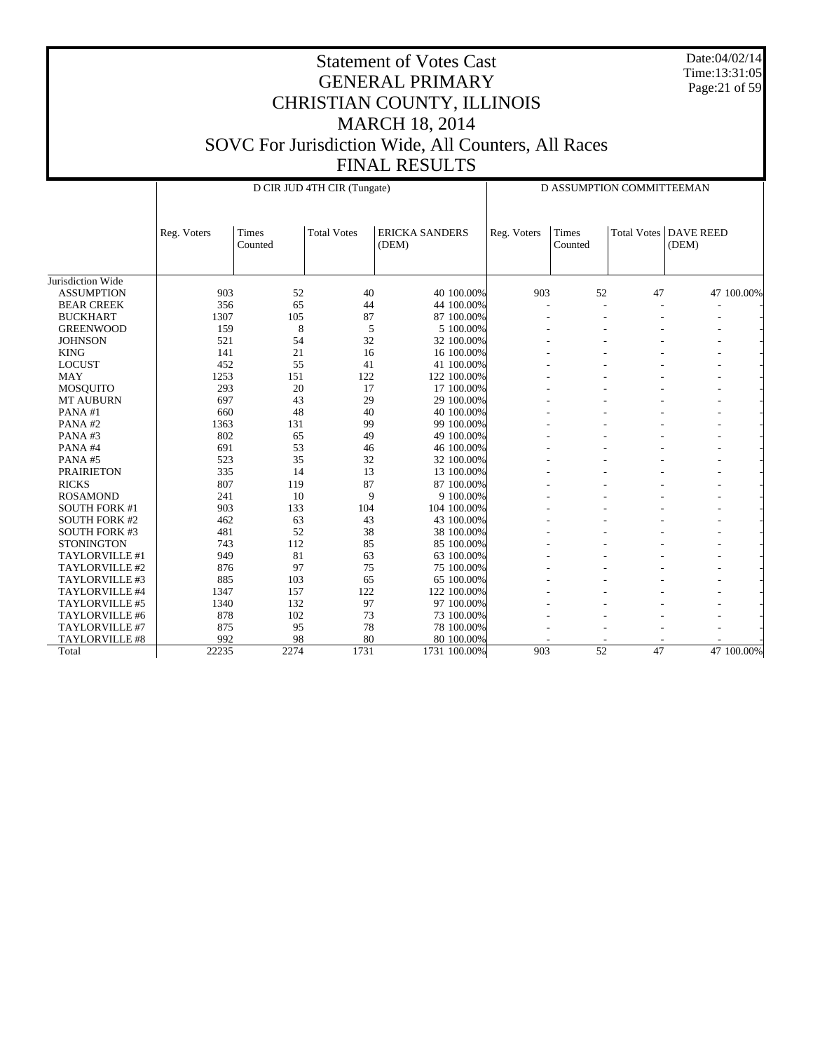Date:04/02/14 Time:13:31:05 Page:21 of 59

|                      | D CIR JUD 4TH CIR (Tungate) |                  |                    |                                |             | D ASSUMPTION COMMITTEEMAN |                    |                           |  |
|----------------------|-----------------------------|------------------|--------------------|--------------------------------|-------------|---------------------------|--------------------|---------------------------|--|
|                      | Reg. Voters                 | Times<br>Counted | <b>Total Votes</b> | <b>ERICKA SANDERS</b><br>(DEM) | Reg. Voters | Times<br>Counted          | <b>Total Votes</b> | <b>DAVE REED</b><br>(DEM) |  |
| Jurisdiction Wide    |                             |                  |                    |                                |             |                           |                    |                           |  |
| <b>ASSUMPTION</b>    | 903                         | 52               | 40                 | 40 100,00%                     | 903         | 52                        | 47                 | 47 100.00%                |  |
| <b>BEAR CREEK</b>    | 356                         | 65               | 44                 | 44 100,00%                     |             | ä,                        |                    |                           |  |
| <b>BUCKHART</b>      | 1307                        | 105              | 87                 | 87 100.00%                     |             |                           |                    |                           |  |
| <b>GREENWOOD</b>     | 159                         | 8                | 5                  | 5 100.00%                      |             |                           |                    |                           |  |
| <b>JOHNSON</b>       | 521                         | 54               | 32                 | 32 100.00%                     |             |                           |                    |                           |  |
| <b>KING</b>          | 141                         | 21               | 16                 | 16 100,00%                     |             |                           |                    |                           |  |
| <b>LOCUST</b>        | 452                         | 55               | 41                 | 41 100.00%                     |             |                           |                    |                           |  |
| <b>MAY</b>           | 1253                        | 151              | 122                | 122 100.00%                    |             |                           |                    |                           |  |
| <b>MOSQUITO</b>      | 293                         | 20               | 17                 | 17 100.00%                     |             |                           |                    |                           |  |
| <b>MT AUBURN</b>     | 697                         | 43               | 29                 | 29 100.00%                     |             |                           |                    |                           |  |
| PANA#1               | 660                         | 48               | 40                 | 40 100.00%                     |             |                           |                    |                           |  |
| PANA#2               | 1363                        | 131              | 99                 | 99 100.00%                     |             |                           |                    |                           |  |
| PANA#3               | 802                         | 65               | 49                 | 49 100.00%                     |             |                           |                    |                           |  |
| PANA#4               | 691                         | 53               | 46                 | 46 100.00%                     |             |                           |                    |                           |  |
| PANA#5               | 523                         | 35               | 32                 | 32 100.00%                     |             |                           |                    |                           |  |
| <b>PRAIRIETON</b>    | 335                         | 14               | 13                 | 13 100.00%                     |             |                           |                    |                           |  |
| <b>RICKS</b>         | 807                         | 119              | 87                 | 87 100.00%                     |             |                           |                    | ۰                         |  |
| <b>ROSAMOND</b>      | 241                         | 10               | 9                  | 9 100.00%                      |             |                           |                    |                           |  |
| <b>SOUTH FORK #1</b> | 903                         | 133              | 104                | 104 100.00%                    |             |                           |                    |                           |  |
| <b>SOUTH FORK #2</b> | 462                         | 63               | 43                 | 43 100.00%                     |             |                           |                    |                           |  |
| <b>SOUTH FORK #3</b> | 481                         | 52               | 38                 | 38 100.00%                     |             |                           |                    |                           |  |
| <b>STONINGTON</b>    | 743                         | 112              | 85                 | 85 100.00%                     |             |                           |                    |                           |  |
| TAYLORVILLE #1       | 949                         | 81               | 63                 | 63 100.00%                     |             |                           |                    |                           |  |
| TAYLORVILLE #2       | 876                         | 97               | 75                 | 75 100.00%                     |             |                           |                    |                           |  |
| TAYLORVILLE #3       | 885                         | 103              | 65                 | 65 100.00%                     |             |                           |                    |                           |  |
| TAYLORVILLE #4       | 1347                        | 157              | 122                | 122 100.00%                    |             |                           |                    |                           |  |
| TAYLORVILLE #5       | 1340                        | 132              | 97                 | 97 100,00%                     |             |                           |                    |                           |  |
| TAYLORVILLE #6       | 878                         | 102              | 73                 | 73 100,00%                     |             |                           |                    |                           |  |
| TAYLORVILLE #7       | 875                         | 95               | 78                 | 78 100.00%                     |             |                           |                    |                           |  |
| TAYLORVILLE #8       | 992                         | 98               | 80                 | 80 100.00%                     |             |                           |                    |                           |  |
| Total                | 22235                       | 2274             | 1731               | 1731 100.00%                   | 903         | $\overline{52}$           | 47                 | 47 100,00%                |  |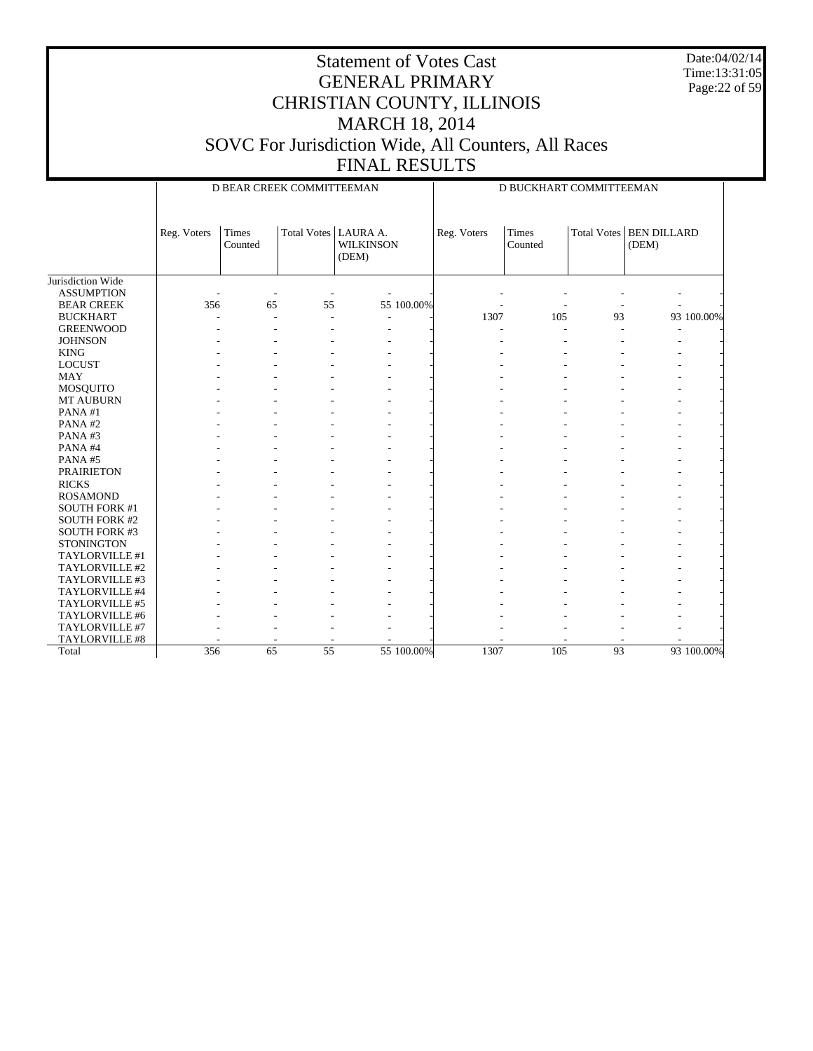Date:04/02/14 Time:13:31:05 Page:22 of 59

|                      |             |                         | D BEAR CREEK COMMITTEEMAN |                           |            | D BUCKHART COMMITTEEMAN |                  |    |                                    |            |
|----------------------|-------------|-------------------------|---------------------------|---------------------------|------------|-------------------------|------------------|----|------------------------------------|------------|
|                      | Reg. Voters | <b>Times</b><br>Counted | Total Votes   LAURA A.    | <b>WILKINSON</b><br>(DEM) |            | Reg. Voters             | Times<br>Counted |    | Total Votes   BEN DILLARD<br>(DEM) |            |
| Jurisdiction Wide    |             |                         |                           |                           |            |                         |                  |    |                                    |            |
| <b>ASSUMPTION</b>    |             |                         |                           |                           |            |                         |                  |    |                                    |            |
| <b>BEAR CREEK</b>    | 356         | 65                      | 55                        |                           | 55 100.00% |                         |                  |    |                                    |            |
| <b>BUCKHART</b>      |             |                         | $\sim$                    |                           |            | 1307                    | 105              | 93 |                                    | 93 100.00% |
| <b>GREENWOOD</b>     |             |                         |                           |                           |            |                         |                  |    |                                    |            |
| <b>JOHNSON</b>       |             |                         |                           |                           |            |                         |                  |    |                                    |            |
| <b>KING</b>          |             |                         |                           |                           |            |                         |                  |    |                                    |            |
| <b>LOCUST</b>        |             |                         |                           |                           |            |                         |                  |    |                                    |            |
| <b>MAY</b>           |             |                         |                           |                           |            |                         |                  |    |                                    |            |
| <b>MOSQUITO</b>      |             |                         |                           |                           |            |                         |                  |    |                                    |            |
| MT AUBURN            |             |                         |                           |                           |            |                         |                  |    |                                    |            |
| PANA#1               |             |                         |                           |                           |            |                         |                  |    |                                    |            |
| PANA#2               |             |                         |                           |                           |            |                         |                  |    |                                    |            |
| PANA#3               |             |                         |                           |                           |            |                         |                  |    |                                    |            |
| PANA#4               |             |                         |                           |                           |            |                         |                  |    |                                    |            |
| PANA#5               |             |                         |                           |                           |            |                         |                  |    |                                    |            |
| <b>PRAIRIETON</b>    |             |                         |                           |                           |            |                         |                  |    |                                    |            |
| <b>RICKS</b>         |             |                         |                           |                           |            |                         |                  |    |                                    |            |
| <b>ROSAMOND</b>      |             |                         |                           |                           |            |                         |                  |    |                                    |            |
| <b>SOUTH FORK #1</b> |             |                         |                           |                           |            |                         |                  |    |                                    |            |
| <b>SOUTH FORK #2</b> |             |                         |                           |                           |            |                         |                  |    |                                    |            |
| <b>SOUTH FORK #3</b> |             |                         |                           |                           |            |                         |                  |    |                                    |            |
| <b>STONINGTON</b>    |             |                         |                           |                           |            |                         |                  |    |                                    |            |
| TAYLORVILLE #1       |             |                         |                           |                           |            |                         |                  |    |                                    |            |
| TAYLORVILLE #2       |             |                         |                           |                           |            |                         |                  |    |                                    |            |
| TAYLORVILLE #3       |             |                         |                           |                           |            |                         |                  |    |                                    |            |
| TAYLORVILLE #4       |             |                         |                           |                           |            |                         |                  |    |                                    |            |
| TAYLORVILLE #5       |             |                         |                           |                           |            |                         |                  |    |                                    |            |
| TAYLORVILLE #6       |             |                         |                           |                           |            |                         |                  |    |                                    |            |
| TAYLORVILLE #7       |             |                         |                           |                           |            |                         |                  |    |                                    |            |
| TAYLORVILLE #8       |             |                         |                           |                           |            |                         |                  |    |                                    |            |
| Total                | 356         | 65                      | 55                        |                           | 55 100,00% | 1307                    | 105              | 93 |                                    | 93 100.00% |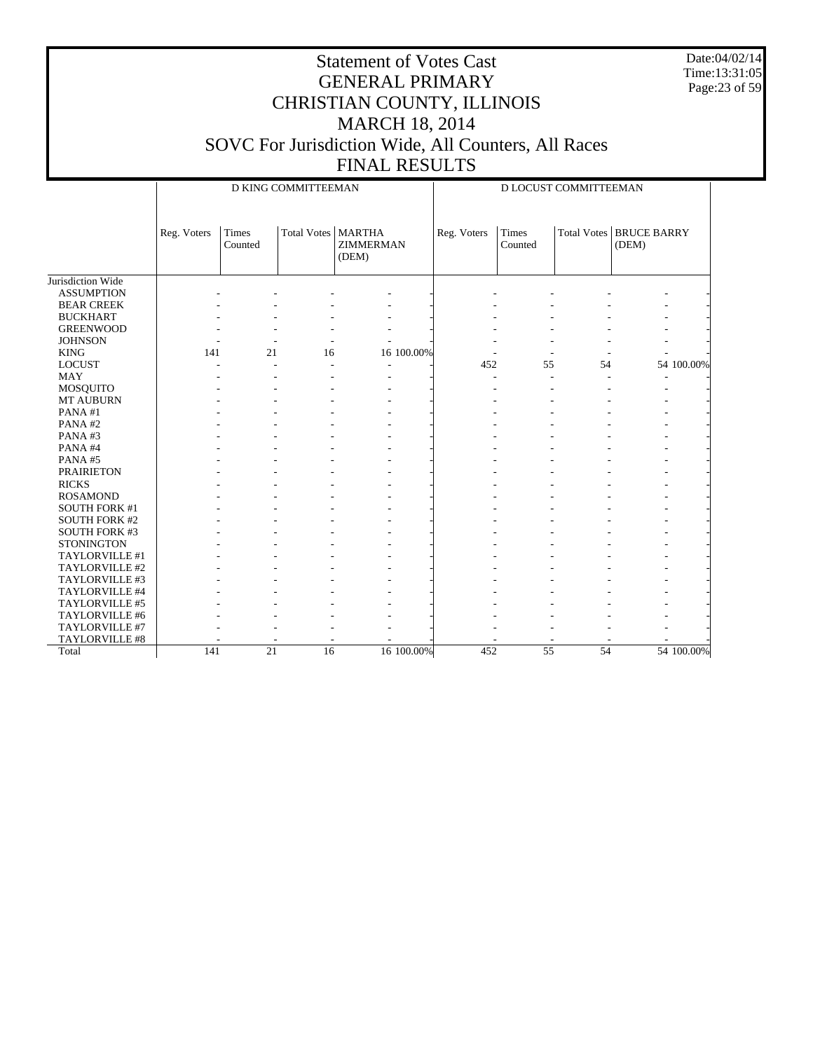Date:04/02/14 Time:13:31:05 Page:23 of 59

|                      |             |                  | D KING COMMITTEEMAN |                                            |             | D LOCUST COMMITTEEMAN |                  |    |                                         |            |
|----------------------|-------------|------------------|---------------------|--------------------------------------------|-------------|-----------------------|------------------|----|-----------------------------------------|------------|
|                      | Reg. Voters | Times<br>Counted | <b>Total Votes</b>  | <b>MARTHA</b><br><b>ZIMMERMAN</b><br>(DEM) | Reg. Voters |                       | Times<br>Counted |    | <b>Total Votes BRUCE BARRY</b><br>(DEM) |            |
| Jurisdiction Wide    |             |                  |                     |                                            |             |                       |                  |    |                                         |            |
| <b>ASSUMPTION</b>    |             |                  |                     |                                            |             |                       |                  |    |                                         |            |
| <b>BEAR CREEK</b>    |             |                  |                     |                                            |             |                       |                  |    |                                         |            |
| <b>BUCKHART</b>      |             |                  |                     |                                            |             |                       |                  |    |                                         |            |
| <b>GREENWOOD</b>     |             |                  |                     |                                            |             |                       |                  |    |                                         |            |
| <b>JOHNSON</b>       |             |                  |                     |                                            |             |                       |                  |    |                                         |            |
| <b>KING</b>          | 141         | 21               | 16                  | 16 100.00%                                 |             |                       |                  |    |                                         |            |
| <b>LOCUST</b>        |             |                  |                     |                                            |             | 452                   | 55               | 54 |                                         | 54 100.00% |
| <b>MAY</b>           |             |                  |                     |                                            |             |                       | ÷,               |    |                                         |            |
| MOSQUITO             |             |                  |                     |                                            |             |                       |                  |    |                                         |            |
| <b>MT AUBURN</b>     |             |                  |                     |                                            |             |                       |                  |    |                                         |            |
| PANA#1               |             |                  |                     |                                            |             |                       |                  |    |                                         |            |
| PANA#2               |             |                  |                     |                                            |             |                       |                  |    |                                         |            |
| PANA#3               |             |                  |                     |                                            |             |                       |                  |    |                                         |            |
| PANA#4               |             |                  |                     |                                            |             |                       |                  |    |                                         |            |
| PANA#5               |             |                  |                     |                                            |             |                       |                  |    |                                         |            |
| <b>PRAIRIETON</b>    |             |                  |                     |                                            |             |                       |                  |    |                                         |            |
| <b>RICKS</b>         |             |                  |                     |                                            |             |                       |                  |    |                                         |            |
| <b>ROSAMOND</b>      |             |                  |                     |                                            |             |                       |                  |    |                                         |            |
| <b>SOUTH FORK #1</b> |             |                  |                     |                                            |             |                       |                  |    |                                         |            |
| <b>SOUTH FORK #2</b> |             |                  |                     |                                            |             |                       |                  |    |                                         |            |
| <b>SOUTH FORK #3</b> |             |                  |                     |                                            |             |                       |                  |    |                                         |            |
| <b>STONINGTON</b>    |             |                  |                     |                                            |             |                       |                  |    |                                         |            |
| TAYLORVILLE #1       |             |                  |                     |                                            |             |                       |                  |    |                                         |            |
| TAYLORVILLE #2       |             |                  |                     |                                            |             |                       |                  |    |                                         |            |
| TAYLORVILLE #3       |             |                  |                     |                                            |             |                       |                  |    |                                         |            |
| TAYLORVILLE #4       |             |                  |                     |                                            |             |                       |                  |    |                                         |            |
| TAYLORVILLE #5       |             |                  |                     |                                            |             |                       |                  |    |                                         |            |
| TAYLORVILLE #6       |             |                  |                     |                                            |             |                       |                  |    |                                         |            |
| TAYLORVILLE #7       |             |                  |                     |                                            |             |                       |                  |    |                                         |            |
| TAYLORVILLE #8       |             |                  |                     |                                            |             |                       |                  |    |                                         |            |
| Total                | 141         | $\overline{21}$  | $\overline{16}$     | 16 100.00%                                 |             | 452                   | $\overline{55}$  | 54 |                                         | 54 100.00% |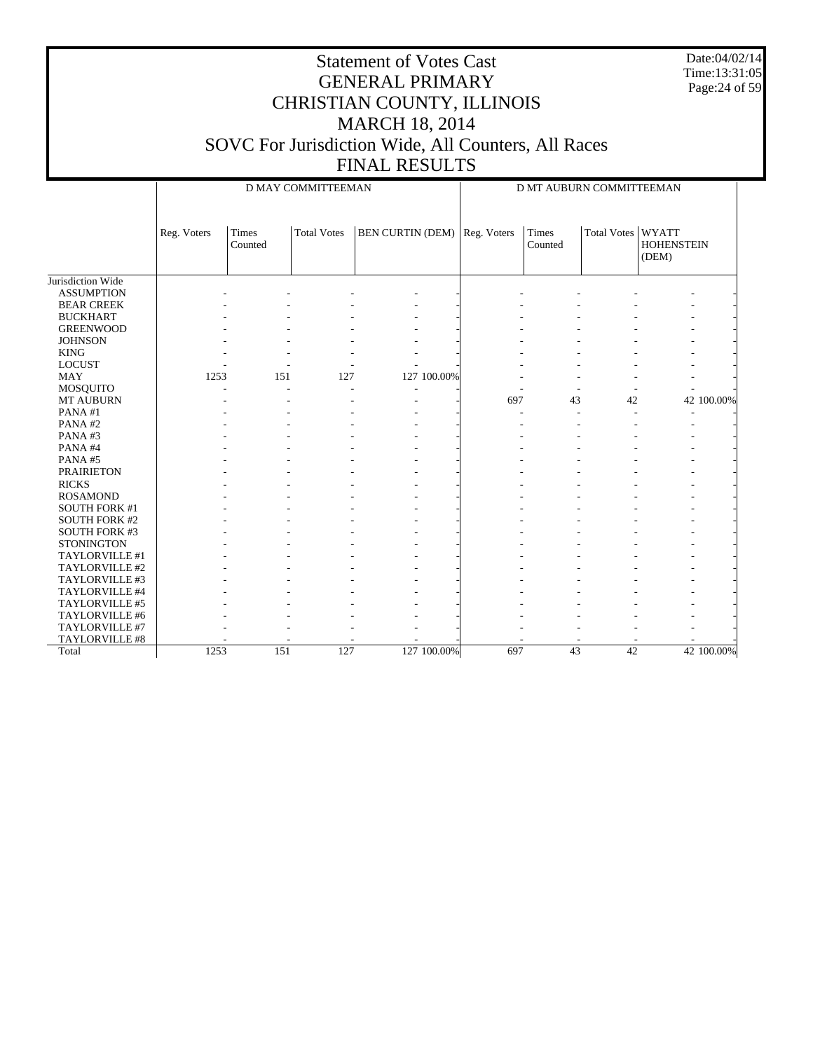Date:04/02/14 Time:13:31:05 Page:24 of 59

|                      |             |                  | D MAY COMMITTEEMAN |                         |             | D MT AUBURN COMMITTEEMAN |                    |                                            |  |  |
|----------------------|-------------|------------------|--------------------|-------------------------|-------------|--------------------------|--------------------|--------------------------------------------|--|--|
|                      | Reg. Voters | Times<br>Counted | <b>Total Votes</b> | <b>BEN CURTIN (DEM)</b> | Reg. Voters | Times<br>Counted         | <b>Total Votes</b> | <b>WYATT</b><br><b>HOHENSTEIN</b><br>(DEM) |  |  |
| Jurisdiction Wide    |             |                  |                    |                         |             |                          |                    |                                            |  |  |
| <b>ASSUMPTION</b>    |             |                  |                    |                         |             |                          |                    |                                            |  |  |
| <b>BEAR CREEK</b>    |             |                  |                    |                         |             |                          |                    |                                            |  |  |
| <b>BUCKHART</b>      |             |                  |                    |                         |             |                          |                    |                                            |  |  |
| <b>GREENWOOD</b>     |             |                  |                    |                         |             |                          |                    |                                            |  |  |
| <b>JOHNSON</b>       |             |                  |                    |                         |             |                          |                    |                                            |  |  |
| <b>KING</b>          |             |                  |                    |                         |             |                          |                    |                                            |  |  |
| <b>LOCUST</b>        |             |                  |                    |                         |             |                          |                    |                                            |  |  |
| <b>MAY</b>           | 1253        | 151              | 127                | 127 100.00%             |             |                          |                    |                                            |  |  |
| MOSQUITO             |             |                  |                    |                         |             |                          |                    |                                            |  |  |
| <b>MT AUBURN</b>     |             |                  |                    |                         | 697         | 43                       | 42                 | 42 100.00%                                 |  |  |
| PANA#1               |             |                  |                    |                         |             |                          |                    |                                            |  |  |
| PANA#2               |             |                  |                    |                         |             |                          |                    |                                            |  |  |
| PANA#3               |             |                  |                    |                         |             |                          |                    |                                            |  |  |
| PANA#4               |             |                  |                    |                         |             |                          |                    |                                            |  |  |
| PANA#5               |             |                  |                    |                         |             |                          |                    |                                            |  |  |
| <b>PRAIRIETON</b>    |             |                  |                    |                         |             |                          |                    |                                            |  |  |
| <b>RICKS</b>         |             |                  |                    |                         |             |                          |                    |                                            |  |  |
| <b>ROSAMOND</b>      |             |                  |                    |                         |             |                          |                    |                                            |  |  |
| <b>SOUTH FORK #1</b> |             |                  |                    |                         |             |                          |                    |                                            |  |  |
| <b>SOUTH FORK #2</b> |             |                  |                    |                         |             |                          |                    |                                            |  |  |
| <b>SOUTH FORK #3</b> |             |                  |                    |                         |             |                          |                    |                                            |  |  |
| <b>STONINGTON</b>    |             |                  |                    |                         |             |                          |                    |                                            |  |  |
| TAYLORVILLE #1       |             |                  |                    |                         |             |                          |                    |                                            |  |  |
| TAYLORVILLE #2       |             |                  |                    |                         |             |                          |                    |                                            |  |  |
| TAYLORVILLE #3       |             |                  |                    |                         |             |                          |                    |                                            |  |  |
| TAYLORVILLE #4       |             |                  |                    |                         |             |                          |                    |                                            |  |  |
| TAYLORVILLE #5       |             |                  |                    |                         |             |                          |                    |                                            |  |  |
| TAYLORVILLE #6       |             |                  |                    |                         |             |                          |                    |                                            |  |  |
| TAYLORVILLE #7       |             |                  |                    |                         |             |                          |                    |                                            |  |  |
| TAYLORVILLE #8       |             |                  |                    |                         |             |                          |                    |                                            |  |  |
| Total                | 1253        | 151              | 127                | 127 100.00%             | 697         | 43                       | $\overline{42}$    | 42 100.00%                                 |  |  |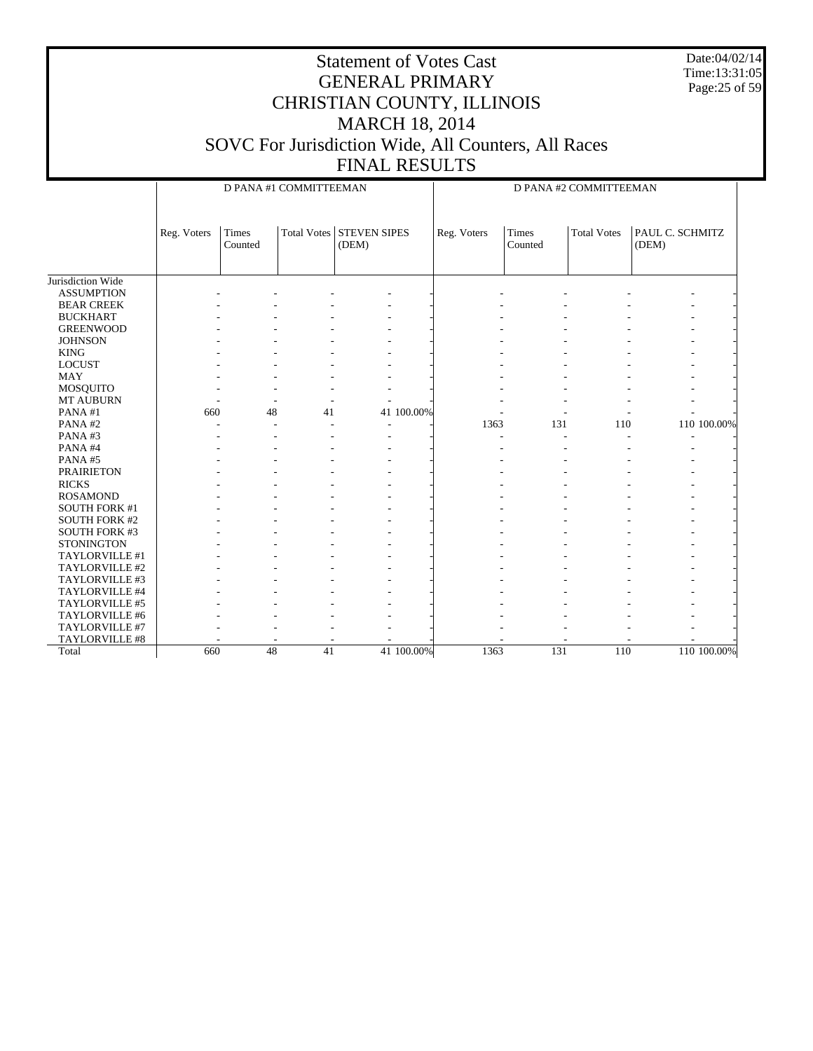Date:04/02/14 Time:13:31:05 Page:25 of 59

|                       |             |                          | D PANA #1 COMMITTEEMAN |                                   |             | D PANA #2 COMMITTEEMAN   |                    |                          |  |  |
|-----------------------|-------------|--------------------------|------------------------|-----------------------------------|-------------|--------------------------|--------------------|--------------------------|--|--|
|                       | Reg. Voters | Times<br>Counted         |                        | Total Votes STEVEN SIPES<br>(DEM) | Reg. Voters | Times<br>Counted         | <b>Total Votes</b> | PAUL C. SCHMITZ<br>(DEM) |  |  |
| Jurisdiction Wide     |             |                          |                        |                                   |             |                          |                    |                          |  |  |
| <b>ASSUMPTION</b>     |             |                          |                        |                                   |             |                          |                    |                          |  |  |
| <b>BEAR CREEK</b>     |             |                          |                        |                                   |             |                          |                    |                          |  |  |
| <b>BUCKHART</b>       |             |                          |                        |                                   |             |                          |                    |                          |  |  |
| <b>GREENWOOD</b>      |             |                          |                        |                                   |             |                          |                    |                          |  |  |
| <b>JOHNSON</b>        |             |                          |                        |                                   |             |                          |                    |                          |  |  |
| <b>KING</b>           |             |                          |                        |                                   |             |                          |                    |                          |  |  |
| <b>LOCUST</b>         |             |                          |                        |                                   |             |                          |                    |                          |  |  |
| <b>MAY</b>            |             |                          |                        |                                   |             |                          |                    |                          |  |  |
| <b>MOSQUITO</b>       |             |                          |                        |                                   |             |                          |                    |                          |  |  |
| <b>MT AUBURN</b>      |             |                          |                        |                                   |             |                          |                    |                          |  |  |
| PANA#1                | 660         | 48                       | 41                     | 41 100.00%                        |             | ÷.                       |                    |                          |  |  |
| PANA#2                |             |                          |                        |                                   | 1363        | 131                      | 110                | 110 100.00%              |  |  |
| PANA#3                |             |                          |                        |                                   |             | $\overline{\phantom{a}}$ |                    |                          |  |  |
| PANA#4                |             |                          |                        |                                   |             |                          |                    |                          |  |  |
| PANA#5                |             |                          |                        |                                   |             |                          |                    |                          |  |  |
| <b>PRAIRIETON</b>     |             |                          |                        |                                   |             |                          |                    |                          |  |  |
| <b>RICKS</b>          |             |                          |                        |                                   |             |                          |                    |                          |  |  |
| <b>ROSAMOND</b>       |             |                          |                        |                                   |             |                          |                    |                          |  |  |
| <b>SOUTH FORK #1</b>  |             |                          |                        |                                   |             |                          |                    |                          |  |  |
| <b>SOUTH FORK #2</b>  |             |                          |                        |                                   |             |                          |                    |                          |  |  |
| <b>SOUTH FORK #3</b>  |             |                          |                        |                                   |             |                          |                    |                          |  |  |
| <b>STONINGTON</b>     |             |                          |                        |                                   |             |                          |                    |                          |  |  |
| TAYLORVILLE #1        |             |                          |                        |                                   |             |                          |                    |                          |  |  |
| TAYLORVILLE #2        |             |                          |                        |                                   |             |                          |                    |                          |  |  |
| TAYLORVILLE #3        |             |                          |                        |                                   |             |                          |                    |                          |  |  |
| TAYLORVILLE #4        |             |                          |                        |                                   |             |                          |                    |                          |  |  |
| TAYLORVILLE #5        |             |                          |                        |                                   |             |                          |                    |                          |  |  |
| TAYLORVILLE #6        |             |                          |                        |                                   |             |                          |                    |                          |  |  |
| TAYLORVILLE #7        |             |                          |                        |                                   |             |                          |                    |                          |  |  |
| <b>TAYLORVILLE #8</b> |             | $\overline{\phantom{a}}$ |                        |                                   |             |                          |                    |                          |  |  |
| Total                 | 660         | $\overline{48}$          | 41                     | 41 100.00%                        | 1363        | 131                      | 110                | 110 100.00%              |  |  |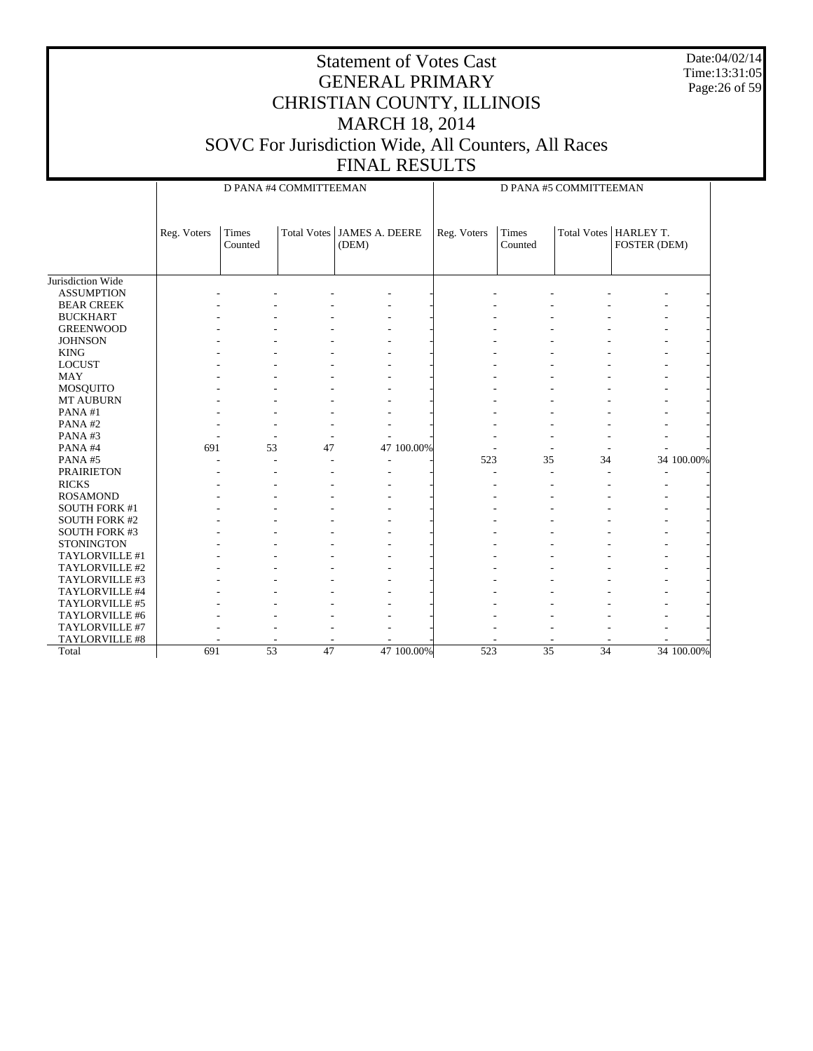Date:04/02/14 Time:13:31:05 Page:26 of 59

|                      |             |                  | D PANA #4 COMMITTEEMAN |                                       | D PANA #5 COMMITTEEMAN |                         |        |                                         |  |
|----------------------|-------------|------------------|------------------------|---------------------------------------|------------------------|-------------------------|--------|-----------------------------------------|--|
|                      | Reg. Voters | Times<br>Counted |                        | Total Votes   JAMES A. DEERE<br>(DEM) | Reg. Voters            | <b>Times</b><br>Counted |        | Total Votes   HARLEY T.<br>FOSTER (DEM) |  |
| Jurisdiction Wide    |             |                  |                        |                                       |                        |                         |        |                                         |  |
| <b>ASSUMPTION</b>    |             |                  |                        |                                       |                        |                         |        |                                         |  |
| <b>BEAR CREEK</b>    |             |                  |                        |                                       |                        |                         |        |                                         |  |
| <b>BUCKHART</b>      |             |                  |                        |                                       |                        |                         |        |                                         |  |
| <b>GREENWOOD</b>     |             |                  |                        |                                       |                        |                         |        |                                         |  |
| <b>JOHNSON</b>       |             |                  |                        |                                       |                        |                         |        |                                         |  |
| <b>KING</b>          |             |                  |                        |                                       |                        |                         |        |                                         |  |
| <b>LOCUST</b>        |             |                  |                        |                                       |                        |                         |        |                                         |  |
| <b>MAY</b>           |             |                  |                        |                                       |                        |                         |        |                                         |  |
| MOSQUITO             |             |                  |                        |                                       |                        |                         |        |                                         |  |
| MT AUBURN            |             |                  |                        |                                       |                        |                         |        |                                         |  |
| PANA#1               |             |                  |                        |                                       |                        |                         |        |                                         |  |
| PANA#2               |             |                  |                        |                                       |                        |                         |        |                                         |  |
| PANA#3               |             | ٠                | ٠                      |                                       |                        |                         |        |                                         |  |
| PANA#4               | 691         | 53               | 47                     | 47 100.00%                            |                        |                         | ÷,     |                                         |  |
| PANA#5               |             |                  | ÷.                     | ÷                                     | 523                    | 35                      | 34     | 34 100.00%                              |  |
| <b>PRAIRIETON</b>    |             |                  |                        |                                       |                        |                         | ٠<br>٠ |                                         |  |
| <b>RICKS</b>         |             |                  |                        | ٠                                     |                        |                         | ٠      |                                         |  |
| <b>ROSAMOND</b>      |             |                  |                        | ٠                                     |                        |                         |        |                                         |  |
| <b>SOUTH FORK #1</b> |             |                  |                        |                                       |                        |                         |        |                                         |  |
| <b>SOUTH FORK #2</b> |             |                  |                        |                                       |                        |                         |        |                                         |  |
| <b>SOUTH FORK #3</b> |             |                  |                        |                                       |                        |                         |        |                                         |  |
| <b>STONINGTON</b>    |             |                  |                        |                                       |                        |                         |        |                                         |  |
| TAYLORVILLE #1       |             |                  |                        |                                       |                        |                         |        |                                         |  |
| TAYLORVILLE #2       |             |                  |                        |                                       |                        |                         |        |                                         |  |
| TAYLORVILLE #3       |             |                  |                        |                                       |                        |                         |        |                                         |  |
| TAYLORVILLE #4       |             |                  |                        |                                       |                        |                         |        |                                         |  |
| TAYLORVILLE #5       |             |                  |                        |                                       |                        |                         |        |                                         |  |
| TAYLORVILLE #6       |             |                  |                        |                                       |                        |                         |        |                                         |  |
| TAYLORVILLE #7       |             |                  |                        |                                       |                        |                         |        |                                         |  |
| TAYLORVILLE #8       |             |                  |                        |                                       |                        |                         |        |                                         |  |
| Total                | 691         | $\overline{53}$  | 47                     | 47 100.00%                            | 523                    | 35                      | 34     | 34 100,00%                              |  |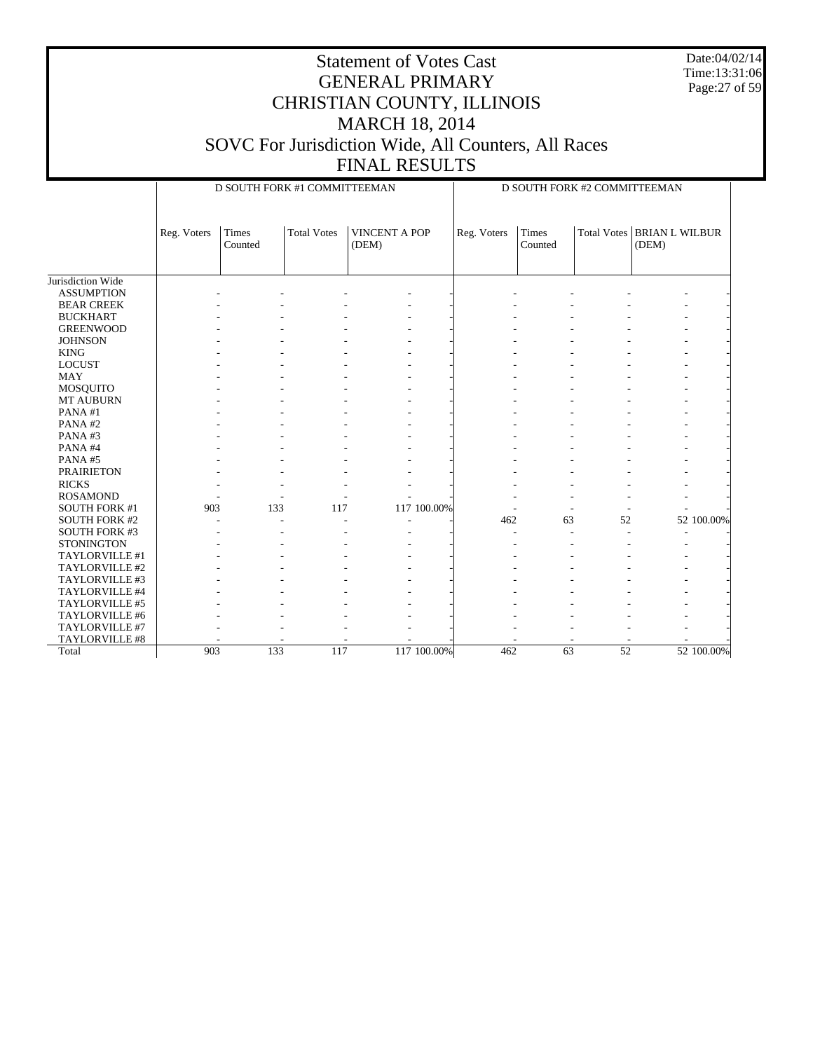Date:04/02/14 Time:13:31:06 Page:27 of 59

|                      |             |                  | D SOUTH FORK #1 COMMITTEEMAN |                               | D SOUTH FORK #2 COMMITTEEMAN |                  |                 |                                |  |
|----------------------|-------------|------------------|------------------------------|-------------------------------|------------------------------|------------------|-----------------|--------------------------------|--|
|                      |             |                  |                              |                               |                              |                  |                 |                                |  |
|                      | Reg. Voters | Times<br>Counted | <b>Total Votes</b>           | <b>VINCENT A POP</b><br>(DEM) | Reg. Voters                  | Times<br>Counted | Total Votes     | <b>BRIAN L WILBUR</b><br>(DEM) |  |
|                      |             |                  |                              |                               |                              |                  |                 |                                |  |
| Jurisdiction Wide    |             |                  |                              |                               |                              |                  |                 |                                |  |
| <b>ASSUMPTION</b>    |             |                  |                              |                               |                              |                  |                 |                                |  |
| <b>BEAR CREEK</b>    |             |                  |                              |                               |                              |                  |                 |                                |  |
| <b>BUCKHART</b>      |             |                  |                              |                               |                              |                  |                 |                                |  |
| <b>GREENWOOD</b>     |             |                  |                              |                               |                              |                  |                 |                                |  |
| <b>JOHNSON</b>       |             |                  |                              |                               |                              |                  |                 |                                |  |
| <b>KING</b>          |             |                  |                              |                               |                              |                  |                 |                                |  |
| <b>LOCUST</b>        |             |                  |                              |                               |                              |                  |                 |                                |  |
| <b>MAY</b>           |             |                  |                              |                               |                              |                  |                 |                                |  |
| <b>MOSQUITO</b>      |             |                  |                              |                               |                              |                  |                 |                                |  |
| MT AUBURN            |             |                  |                              |                               |                              |                  |                 |                                |  |
| PANA#1               |             |                  |                              |                               |                              |                  |                 |                                |  |
| PANA#2               |             |                  |                              |                               |                              |                  |                 |                                |  |
| PANA#3               |             |                  |                              |                               |                              |                  |                 |                                |  |
| PANA#4               |             |                  |                              |                               |                              |                  |                 |                                |  |
| PANA#5               |             |                  |                              |                               |                              |                  |                 |                                |  |
| <b>PRAIRIETON</b>    |             |                  |                              |                               |                              |                  |                 |                                |  |
| <b>RICKS</b>         |             |                  |                              |                               |                              |                  |                 |                                |  |
| <b>ROSAMOND</b>      |             |                  |                              |                               |                              |                  |                 |                                |  |
| <b>SOUTH FORK #1</b> | 903         | 133              | 117                          | 117 100.00%                   |                              |                  |                 |                                |  |
| <b>SOUTH FORK #2</b> |             |                  |                              |                               | 462                          | 63               | 52              | 52 100.00%                     |  |
| <b>SOUTH FORK #3</b> |             |                  |                              |                               |                              |                  |                 |                                |  |
| <b>STONINGTON</b>    |             |                  |                              |                               |                              |                  |                 |                                |  |
| TAYLORVILLE #1       |             |                  |                              |                               |                              |                  |                 |                                |  |
| TAYLORVILLE #2       |             |                  |                              |                               |                              |                  |                 |                                |  |
| TAYLORVILLE #3       |             |                  |                              |                               |                              |                  |                 |                                |  |
| TAYLORVILLE #4       |             |                  |                              |                               |                              |                  |                 |                                |  |
| TAYLORVILLE #5       |             |                  |                              |                               |                              |                  |                 |                                |  |
| TAYLORVILLE #6       |             |                  |                              |                               |                              |                  |                 |                                |  |
| TAYLORVILLE #7       |             |                  |                              |                               |                              |                  |                 |                                |  |
| TAYLORVILLE #8       |             |                  |                              |                               |                              |                  |                 |                                |  |
| Total                | 903         | 133              | 117                          | 117 100.00%                   | 462                          | 63               | $\overline{52}$ | 52 100.00%                     |  |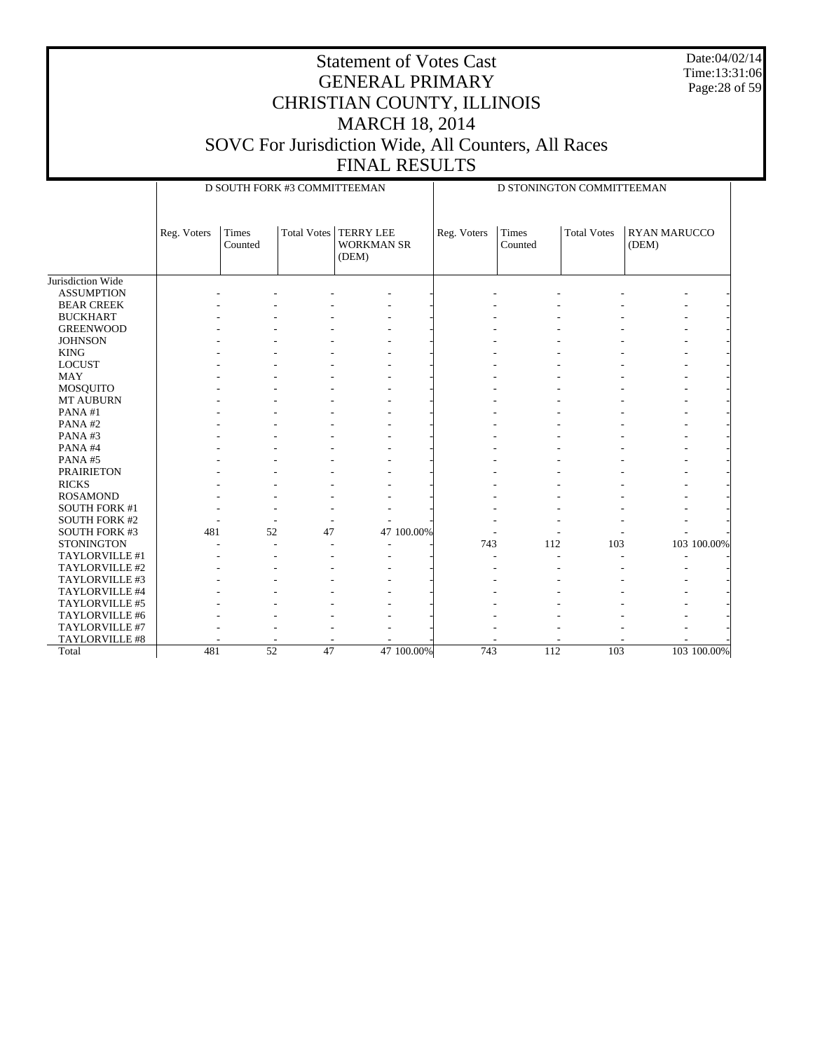Date:04/02/14 Time:13:31:06 Page:28 of 59

|                      |             | D SOUTH FORK #3 COMMITTEEMAN |                    |                                                | D STONINGTON COMMITTEEMAN |                         |                    |                              |             |  |
|----------------------|-------------|------------------------------|--------------------|------------------------------------------------|---------------------------|-------------------------|--------------------|------------------------------|-------------|--|
|                      | Reg. Voters | Times<br>Counted             | <b>Total Votes</b> | <b>TERRY LEE</b><br><b>WORKMAN SR</b><br>(DEM) | Reg. Voters               | <b>Times</b><br>Counted | <b>Total Votes</b> | <b>RYAN MARUCCO</b><br>(DEM) |             |  |
| Jurisdiction Wide    |             |                              |                    |                                                |                           |                         |                    |                              |             |  |
| <b>ASSUMPTION</b>    |             |                              |                    |                                                |                           |                         |                    |                              |             |  |
| <b>BEAR CREEK</b>    |             |                              |                    |                                                |                           |                         |                    |                              |             |  |
| <b>BUCKHART</b>      |             |                              |                    |                                                |                           |                         |                    |                              |             |  |
| <b>GREENWOOD</b>     |             |                              |                    |                                                |                           |                         |                    |                              |             |  |
| <b>JOHNSON</b>       |             |                              |                    |                                                |                           |                         |                    |                              |             |  |
| <b>KING</b>          |             |                              |                    |                                                |                           |                         |                    |                              |             |  |
| <b>LOCUST</b>        |             |                              |                    |                                                |                           |                         |                    |                              |             |  |
| <b>MAY</b>           |             |                              |                    |                                                |                           |                         |                    |                              |             |  |
| <b>MOSQUITO</b>      |             |                              |                    |                                                |                           |                         |                    |                              |             |  |
| <b>MT AUBURN</b>     |             |                              |                    |                                                |                           |                         |                    |                              |             |  |
| PANA#1               |             |                              |                    |                                                |                           |                         |                    |                              |             |  |
| PANA#2               |             |                              |                    |                                                |                           |                         |                    |                              |             |  |
| PANA#3               |             |                              |                    |                                                |                           |                         |                    |                              |             |  |
| PANA#4               |             |                              |                    |                                                |                           |                         |                    |                              |             |  |
| PANA#5               |             |                              |                    |                                                |                           |                         |                    |                              |             |  |
| <b>PRAIRIETON</b>    |             |                              |                    |                                                |                           |                         |                    |                              |             |  |
| <b>RICKS</b>         |             |                              |                    |                                                |                           |                         |                    |                              |             |  |
| <b>ROSAMOND</b>      |             |                              |                    |                                                |                           |                         |                    |                              |             |  |
| <b>SOUTH FORK #1</b> |             |                              |                    |                                                |                           |                         |                    |                              |             |  |
| <b>SOUTH FORK #2</b> |             |                              |                    |                                                |                           |                         |                    |                              |             |  |
| <b>SOUTH FORK #3</b> | 481         | 52                           | 47                 | 47 100.00%                                     |                           |                         |                    |                              |             |  |
| <b>STONINGTON</b>    |             |                              |                    |                                                | 743                       | 112                     | 103                |                              | 103 100.00% |  |
| TAYLORVILLE #1       |             |                              |                    |                                                |                           |                         |                    |                              |             |  |
| TAYLORVILLE #2       |             |                              |                    |                                                |                           |                         |                    |                              |             |  |
| TAYLORVILLE #3       |             |                              |                    |                                                |                           |                         |                    |                              |             |  |
| TAYLORVILLE #4       |             |                              |                    |                                                |                           |                         |                    |                              |             |  |
| TAYLORVILLE #5       |             |                              |                    |                                                |                           |                         |                    |                              |             |  |
| TAYLORVILLE #6       |             |                              |                    |                                                |                           |                         |                    |                              |             |  |
| TAYLORVILLE #7       |             |                              |                    |                                                |                           |                         |                    |                              |             |  |
| TAYLORVILLE #8       |             |                              |                    |                                                |                           |                         |                    |                              |             |  |
| Total                | 481         | $\overline{52}$              | 47                 | 47 100.00%                                     | 743                       | 112                     | 103                |                              | 103 100.00% |  |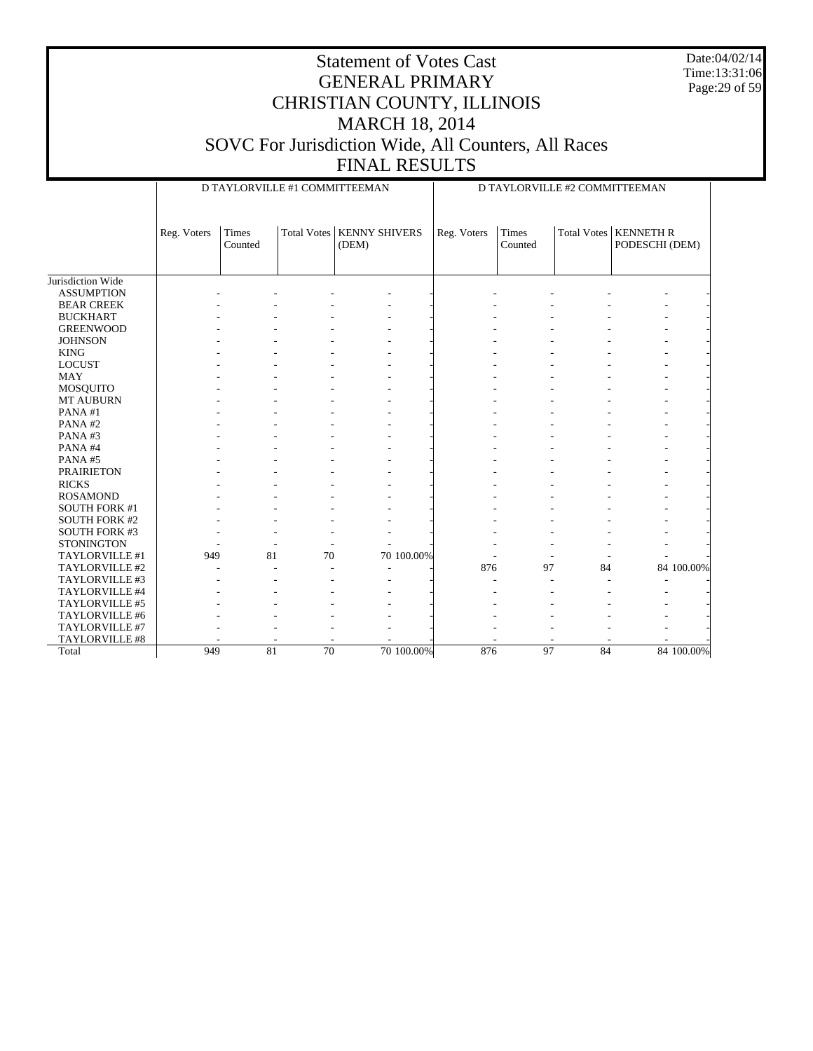Date:04/02/14 Time:13:31:06 Page:29 of 59

|                      |             | D TAYLORVILLE #1 COMMITTEEMAN |                    |                               |            |             |                  | D TAYLORVILLE #2 COMMITTEEMAN |                                           |            |  |  |
|----------------------|-------------|-------------------------------|--------------------|-------------------------------|------------|-------------|------------------|-------------------------------|-------------------------------------------|------------|--|--|
|                      | Reg. Voters | Times<br>Counted              | <b>Total Votes</b> | <b>KENNY SHIVERS</b><br>(DEM) |            | Reg. Voters | Times<br>Counted |                               | Total Votes   KENNETH R<br>PODESCHI (DEM) |            |  |  |
|                      |             |                               |                    |                               |            |             |                  |                               |                                           |            |  |  |
| Jurisdiction Wide    |             |                               |                    |                               |            |             |                  |                               |                                           |            |  |  |
| <b>ASSUMPTION</b>    |             |                               |                    |                               |            |             |                  |                               |                                           |            |  |  |
| <b>BEAR CREEK</b>    |             |                               |                    |                               |            |             |                  |                               |                                           |            |  |  |
| <b>BUCKHART</b>      |             |                               |                    |                               |            |             |                  |                               |                                           |            |  |  |
| <b>GREENWOOD</b>     |             |                               |                    |                               |            |             |                  |                               |                                           |            |  |  |
| <b>JOHNSON</b>       |             |                               |                    |                               |            |             |                  |                               |                                           |            |  |  |
| <b>KING</b>          |             |                               |                    |                               |            |             |                  |                               |                                           |            |  |  |
| <b>LOCUST</b>        |             |                               |                    |                               |            |             |                  |                               |                                           |            |  |  |
| <b>MAY</b>           |             |                               |                    |                               |            |             |                  |                               |                                           |            |  |  |
| MOSQUITO             |             |                               |                    |                               |            |             |                  |                               |                                           |            |  |  |
| MT AUBURN            |             |                               |                    |                               |            |             |                  |                               |                                           |            |  |  |
| PANA#1               |             |                               |                    |                               |            |             |                  |                               |                                           |            |  |  |
| PANA#2               |             |                               |                    |                               |            |             |                  |                               |                                           |            |  |  |
| PANA#3               |             |                               |                    |                               |            |             |                  |                               |                                           |            |  |  |
| PANA#4               |             |                               |                    |                               |            |             |                  |                               |                                           |            |  |  |
| PANA#5               |             |                               |                    |                               |            |             |                  |                               |                                           |            |  |  |
| <b>PRAIRIETON</b>    |             |                               |                    |                               |            |             |                  |                               |                                           |            |  |  |
| <b>RICKS</b>         |             |                               |                    |                               |            |             |                  |                               |                                           |            |  |  |
| <b>ROSAMOND</b>      |             |                               |                    |                               |            |             |                  |                               |                                           |            |  |  |
| <b>SOUTH FORK #1</b> |             |                               |                    |                               |            |             |                  |                               |                                           |            |  |  |
| <b>SOUTH FORK #2</b> |             |                               |                    |                               |            |             |                  |                               |                                           |            |  |  |
| <b>SOUTH FORK #3</b> |             |                               |                    |                               |            |             |                  |                               |                                           |            |  |  |
| <b>STONINGTON</b>    |             |                               |                    |                               |            |             |                  |                               |                                           |            |  |  |
| TAYLORVILLE #1       | 949         | 81                            | 70                 |                               | 70 100.00% |             |                  |                               |                                           |            |  |  |
| TAYLORVILLE #2       |             |                               |                    |                               |            | 876         | 97               | 84                            |                                           | 84 100.00% |  |  |
| TAYLORVILLE #3       |             |                               |                    |                               |            |             |                  |                               |                                           |            |  |  |
| TAYLORVILLE #4       |             |                               |                    |                               |            |             |                  |                               |                                           |            |  |  |
| TAYLORVILLE #5       |             |                               |                    |                               |            |             |                  |                               |                                           |            |  |  |
| TAYLORVILLE #6       |             |                               |                    |                               |            |             |                  |                               |                                           |            |  |  |
| TAYLORVILLE #7       |             |                               |                    |                               |            |             |                  |                               |                                           |            |  |  |
| TAYLORVILLE #8       |             |                               |                    |                               |            |             |                  |                               |                                           |            |  |  |
| Total                | 949         | 81                            | 70                 |                               | 70 100,00% | 876         | 97               | 84                            |                                           | 84 100,00% |  |  |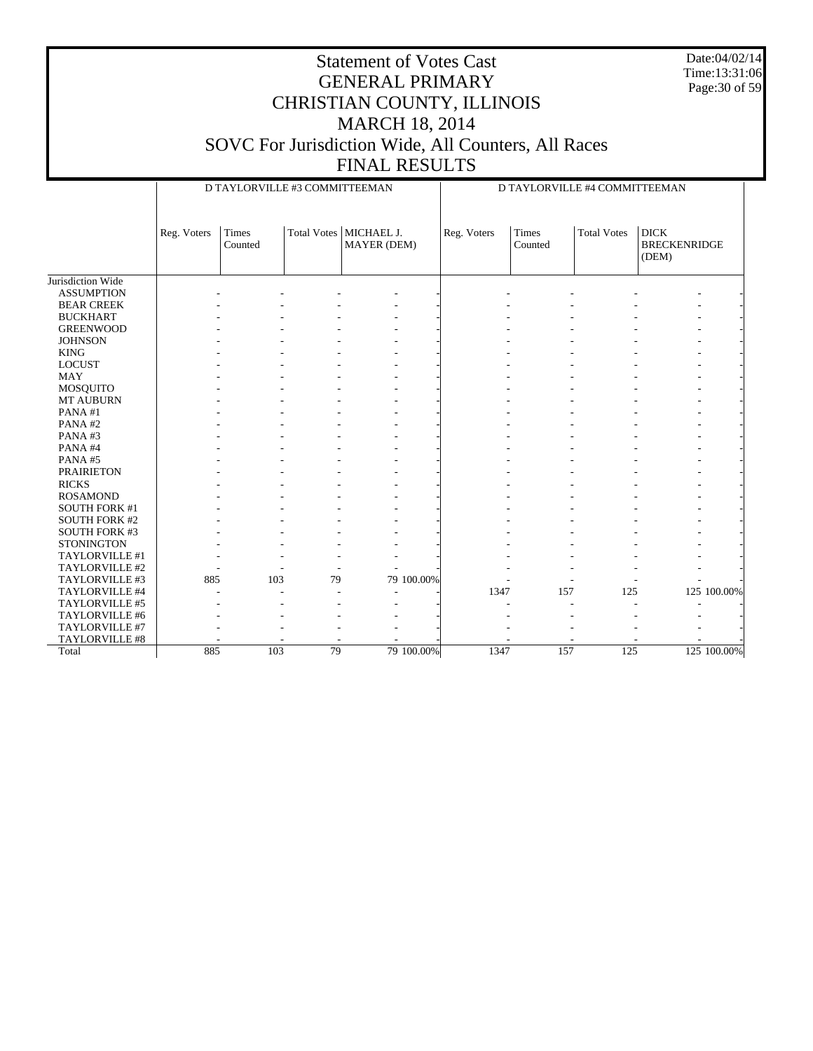Date:04/02/14 Time:13:31:06 Page:30 of 59

|                       |             | D TAYLORVILLE #3 COMMITTEEMAN |    |                                         |            |             | D TAYLORVILLE #4 COMMITTEEMAN |                    |                                             |             |  |
|-----------------------|-------------|-------------------------------|----|-----------------------------------------|------------|-------------|-------------------------------|--------------------|---------------------------------------------|-------------|--|
|                       | Reg. Voters | Times<br>Counted              |    | Total Votes   MICHAEL J.<br>MAYER (DEM) |            | Reg. Voters | Times<br>Counted              | <b>Total Votes</b> | <b>DICK</b><br><b>BRECKENRIDGE</b><br>(DEM) |             |  |
| Jurisdiction Wide     |             |                               |    |                                         |            |             |                               |                    |                                             |             |  |
| <b>ASSUMPTION</b>     |             |                               |    |                                         |            |             |                               |                    |                                             |             |  |
| <b>BEAR CREEK</b>     |             |                               |    |                                         |            |             |                               |                    |                                             |             |  |
| <b>BUCKHART</b>       |             |                               |    |                                         |            |             |                               |                    |                                             |             |  |
| <b>GREENWOOD</b>      |             |                               |    |                                         |            |             |                               |                    |                                             |             |  |
| <b>JOHNSON</b>        |             |                               |    |                                         |            |             |                               |                    |                                             |             |  |
| <b>KING</b>           |             |                               |    |                                         |            |             |                               |                    |                                             |             |  |
| <b>LOCUST</b>         |             |                               |    |                                         |            |             |                               |                    |                                             |             |  |
| <b>MAY</b>            |             |                               |    |                                         |            |             |                               |                    |                                             |             |  |
| <b>MOSQUITO</b>       |             |                               |    |                                         |            |             |                               |                    |                                             |             |  |
| <b>MT AUBURN</b>      |             |                               |    |                                         |            |             |                               |                    |                                             |             |  |
| PANA#1                |             |                               |    |                                         |            |             |                               |                    |                                             |             |  |
| PANA#2                |             |                               |    |                                         |            |             |                               |                    |                                             |             |  |
| PANA#3                |             |                               |    |                                         |            |             |                               |                    |                                             |             |  |
| PANA#4                |             |                               |    |                                         |            |             |                               |                    |                                             |             |  |
| PANA#5                |             |                               |    |                                         |            |             |                               |                    |                                             |             |  |
| <b>PRAIRIETON</b>     |             |                               |    |                                         |            |             |                               |                    |                                             |             |  |
| <b>RICKS</b>          |             |                               |    |                                         |            |             |                               |                    |                                             |             |  |
| <b>ROSAMOND</b>       |             |                               |    |                                         |            |             |                               |                    |                                             |             |  |
| <b>SOUTH FORK #1</b>  |             |                               |    |                                         |            |             |                               |                    |                                             |             |  |
| <b>SOUTH FORK #2</b>  |             |                               |    |                                         |            |             |                               |                    |                                             |             |  |
| <b>SOUTH FORK #3</b>  |             |                               |    |                                         |            |             |                               |                    |                                             |             |  |
| <b>STONINGTON</b>     |             |                               |    |                                         |            |             |                               |                    |                                             |             |  |
| TAYLORVILLE #1        |             |                               |    |                                         |            |             |                               |                    |                                             |             |  |
| TAYLORVILLE #2        |             |                               |    |                                         |            |             |                               |                    |                                             |             |  |
| TAYLORVILLE #3        | 885         | 103                           | 79 |                                         | 79 100.00% |             |                               |                    |                                             |             |  |
| TAYLORVILLE #4        |             |                               | L, |                                         |            | 1347        | 157                           | 125                |                                             | 125 100.00% |  |
| TAYLORVILLE #5        |             |                               |    |                                         |            |             |                               |                    |                                             |             |  |
| TAYLORVILLE #6        |             |                               |    |                                         |            |             |                               |                    |                                             |             |  |
| TAYLORVILLE #7        |             |                               |    |                                         |            |             |                               |                    |                                             |             |  |
| <b>TAYLORVILLE #8</b> |             |                               |    |                                         |            |             |                               |                    |                                             |             |  |
| Total                 | 885         | 103                           | 79 |                                         | 79 100.00% | 1347        | 157                           | 125                |                                             | 125 100.00% |  |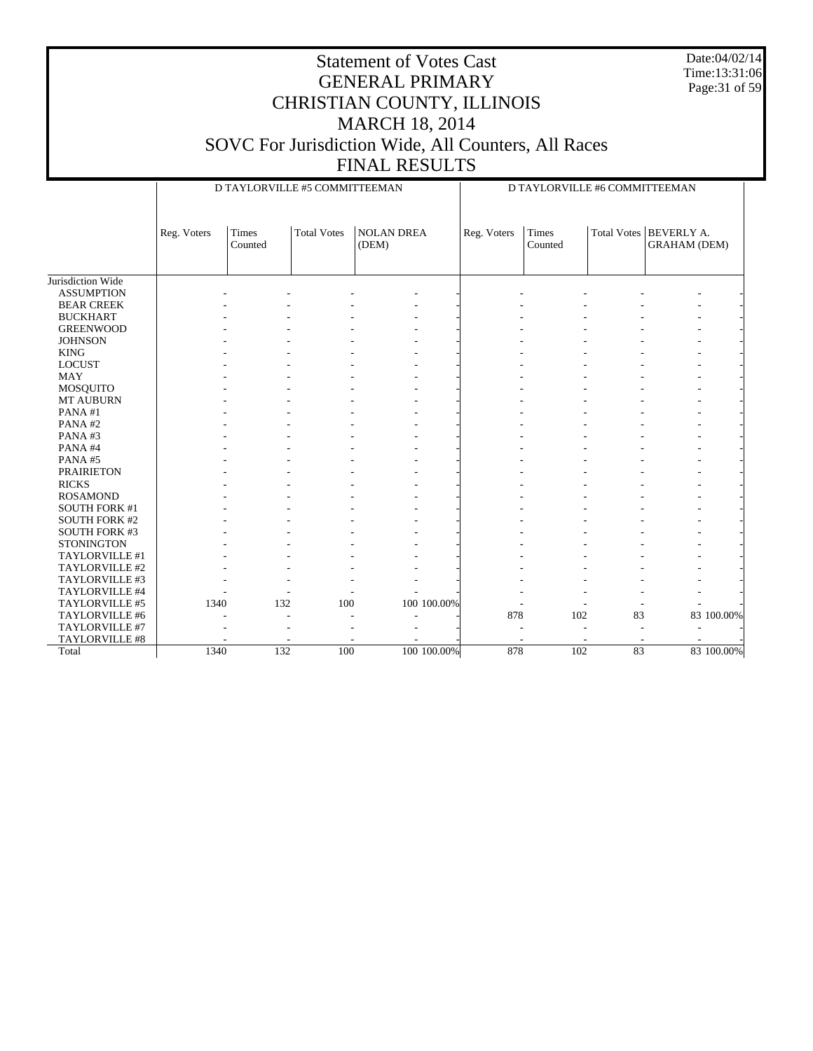Date:04/02/14 Time:13:31:06 Page:31 of 59

|                      |             |                  | D TAYLORVILLE #5 COMMITTEEMAN |                            |             | D TAYLORVILLE #6 COMMITTEEMAN |    |                                                 |  |  |
|----------------------|-------------|------------------|-------------------------------|----------------------------|-------------|-------------------------------|----|-------------------------------------------------|--|--|
|                      | Reg. Voters | Times<br>Counted | <b>Total Votes</b>            | <b>NOLAN DREA</b><br>(DEM) | Reg. Voters | <b>Times</b><br>Counted       |    | Total Votes   BEVERLY A.<br><b>GRAHAM</b> (DEM) |  |  |
| Jurisdiction Wide    |             |                  |                               |                            |             |                               |    |                                                 |  |  |
| <b>ASSUMPTION</b>    |             |                  |                               |                            |             |                               |    |                                                 |  |  |
| <b>BEAR CREEK</b>    |             |                  |                               |                            |             |                               |    |                                                 |  |  |
| <b>BUCKHART</b>      |             |                  |                               |                            |             |                               |    |                                                 |  |  |
| <b>GREENWOOD</b>     |             |                  |                               |                            |             |                               |    |                                                 |  |  |
| <b>JOHNSON</b>       |             |                  |                               |                            |             |                               |    |                                                 |  |  |
| <b>KING</b>          |             |                  |                               |                            |             |                               |    |                                                 |  |  |
| <b>LOCUST</b>        |             |                  |                               |                            |             |                               |    |                                                 |  |  |
| <b>MAY</b>           |             |                  |                               |                            |             |                               |    |                                                 |  |  |
| MOSQUITO             |             |                  |                               |                            |             |                               |    |                                                 |  |  |
| MT AUBURN            |             |                  |                               |                            |             |                               |    |                                                 |  |  |
| PANA#1               |             |                  |                               |                            |             |                               |    |                                                 |  |  |
| PANA#2               |             |                  |                               |                            |             |                               |    |                                                 |  |  |
| PANA#3               |             |                  |                               |                            |             |                               |    |                                                 |  |  |
| PANA#4               |             |                  |                               |                            |             |                               |    |                                                 |  |  |
| PANA#5               |             |                  |                               |                            |             |                               |    |                                                 |  |  |
| <b>PRAIRIETON</b>    |             |                  |                               |                            |             |                               |    |                                                 |  |  |
| <b>RICKS</b>         |             |                  |                               |                            |             |                               |    |                                                 |  |  |
| <b>ROSAMOND</b>      |             |                  |                               |                            |             |                               |    |                                                 |  |  |
| <b>SOUTH FORK #1</b> |             |                  |                               |                            |             |                               |    |                                                 |  |  |
| <b>SOUTH FORK #2</b> |             |                  |                               |                            |             |                               |    |                                                 |  |  |
| <b>SOUTH FORK #3</b> |             |                  |                               |                            |             |                               |    |                                                 |  |  |
| <b>STONINGTON</b>    |             |                  |                               |                            |             |                               |    |                                                 |  |  |
| TAYLORVILLE #1       |             |                  |                               |                            |             |                               |    |                                                 |  |  |
| TAYLORVILLE #2       |             |                  |                               |                            |             |                               |    |                                                 |  |  |
| TAYLORVILLE #3       |             |                  |                               |                            |             |                               |    |                                                 |  |  |
| TAYLORVILLE #4       |             |                  |                               |                            |             |                               |    |                                                 |  |  |
| TAYLORVILLE #5       | 1340        | 132              | 100                           | 100 100.00%                |             |                               |    |                                                 |  |  |
| TAYLORVILLE #6       |             |                  |                               |                            | 878         | 102                           | 83 | 83 100.00%                                      |  |  |
| TAYLORVILLE #7       |             |                  |                               |                            |             |                               |    |                                                 |  |  |
| TAYLORVILLE #8       |             |                  |                               |                            |             |                               |    |                                                 |  |  |
| Total                | 1340        | 132              | 100                           | 100 100.00%                | 878         | 102                           | 83 | 83 100.00%                                      |  |  |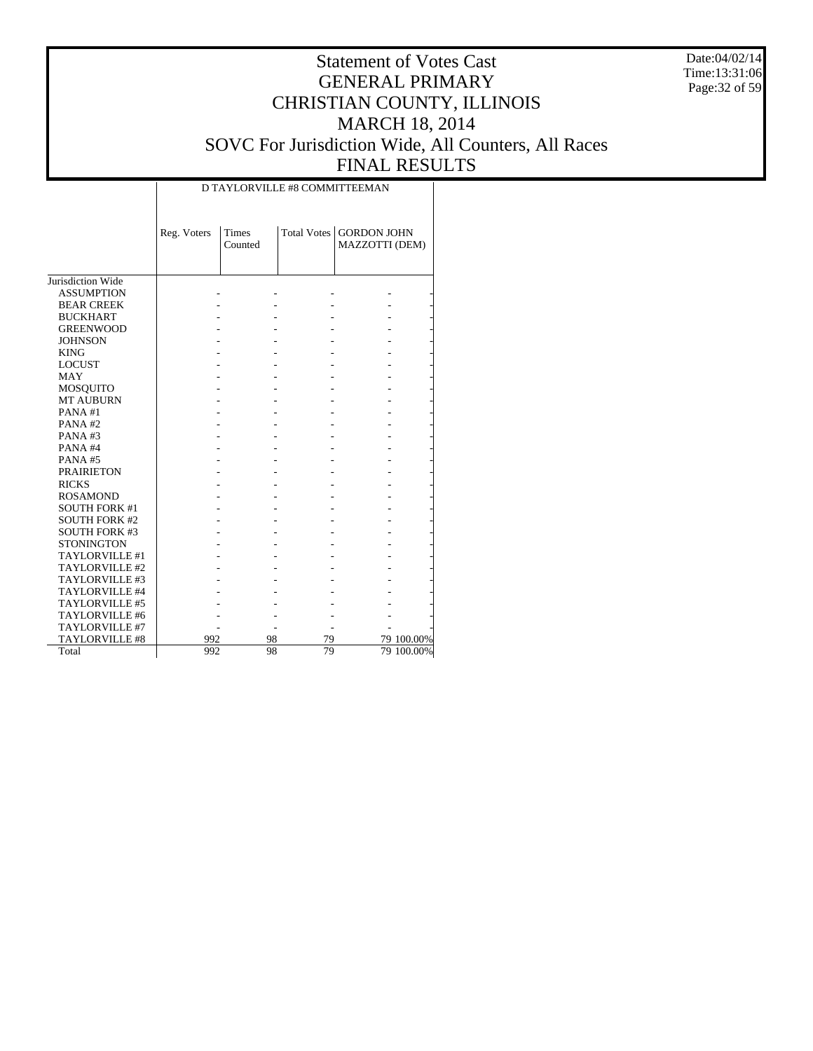Date:04/02/14 Time:13:31:06 Page:32 of 59

# Statement of Votes Cast GENERAL PRIMARY CHRISTIAN COUNTY, ILLINOIS MARCH 18, 2014 SOVC For Jurisdiction Wide, All Counters, All Races FINAL RESULTS

|                       | Reg. Voters | <b>Times</b><br>Counted | <b>Total Votes</b> | <b>GORDON JOHN</b><br>MAZZOTTI (DEM) |            |
|-----------------------|-------------|-------------------------|--------------------|--------------------------------------|------------|
| Jurisdiction Wide     |             |                         |                    |                                      |            |
| <b>ASSUMPTION</b>     |             |                         |                    |                                      |            |
| <b>BEAR CREEK</b>     |             |                         |                    |                                      |            |
| <b>BUCKHART</b>       |             |                         |                    |                                      |            |
| <b>GREENWOOD</b>      |             |                         |                    |                                      |            |
| <b>JOHNSON</b>        |             |                         |                    |                                      |            |
| <b>KING</b>           |             |                         |                    |                                      |            |
| <b>LOCUST</b>         |             |                         |                    |                                      |            |
| <b>MAY</b>            |             |                         |                    |                                      |            |
| <b>MOSQUITO</b>       |             |                         |                    |                                      |            |
| <b>MT AUBURN</b>      |             |                         |                    |                                      |            |
| PANA#1                |             |                         |                    |                                      |            |
| PANA#2                |             |                         |                    |                                      |            |
| PANA#3                |             |                         |                    |                                      |            |
| PANA#4                |             |                         |                    |                                      |            |
| PANA#5                |             |                         |                    |                                      |            |
| <b>PRAIRIETON</b>     |             |                         |                    |                                      |            |
| <b>RICKS</b>          |             |                         |                    |                                      |            |
| <b>ROSAMOND</b>       |             |                         |                    |                                      |            |
| <b>SOUTH FORK #1</b>  |             |                         |                    |                                      |            |
| <b>SOUTH FORK #2</b>  |             |                         |                    |                                      |            |
| <b>SOUTH FORK #3</b>  |             |                         |                    |                                      |            |
| <b>STONINGTON</b>     |             |                         |                    |                                      |            |
| TAYLORVILLE #1        |             |                         |                    |                                      |            |
| TAYLORVILLE #2        |             |                         |                    |                                      |            |
| TAYLORVILLE #3        |             |                         |                    |                                      |            |
| TAYLORVILLE #4        |             |                         |                    |                                      |            |
| TAYLORVILLE #5        |             |                         |                    |                                      |            |
| TAYLORVILLE #6        |             |                         |                    |                                      |            |
| TAYLORVILLE #7        |             |                         |                    |                                      |            |
| <b>TAYLORVILLE #8</b> | 992         | 98                      | 79                 |                                      | 79 100.00% |
| Total                 | 992         | 98                      | 79                 |                                      | 79 100.00% |

D TAYLORVILLE #8 COMMITTEEMAN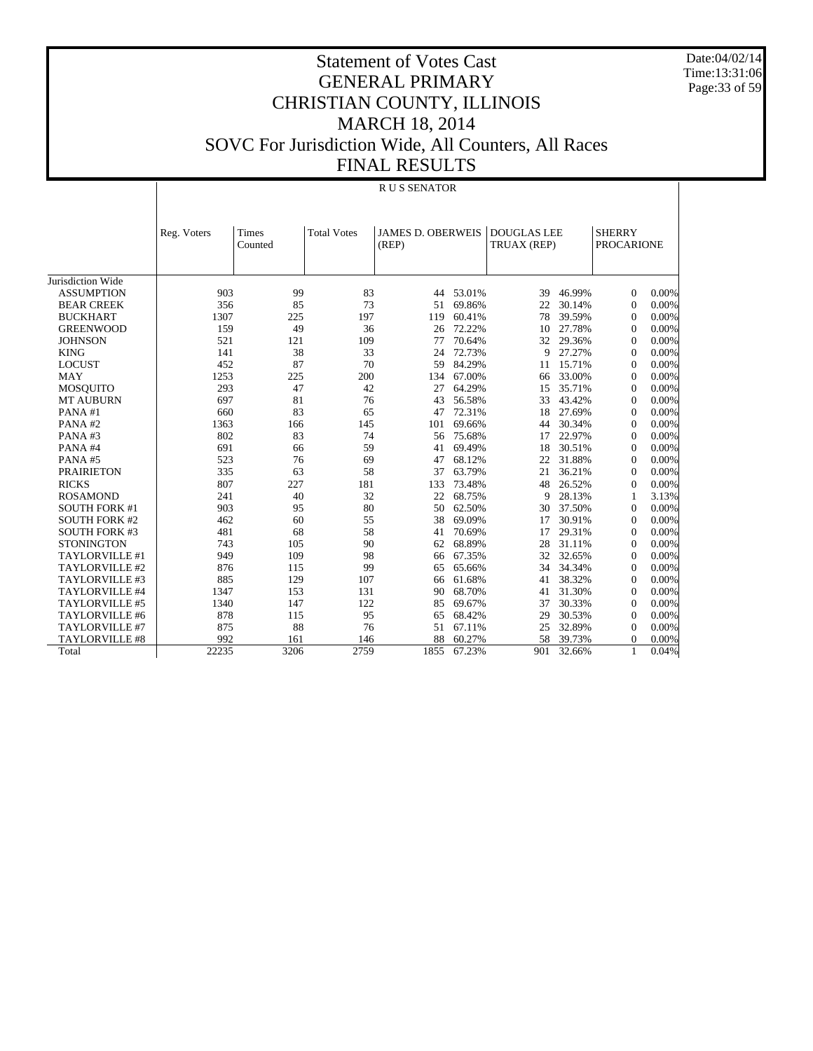Date:04/02/14 Time:13:31:06 Page:33 of 59

|                       |             | <b>RUS SENATOR</b> |                    |                                   |        |                                   |        |                                    |       |  |  |
|-----------------------|-------------|--------------------|--------------------|-----------------------------------|--------|-----------------------------------|--------|------------------------------------|-------|--|--|
|                       | Reg. Voters | Times<br>Counted   | <b>Total Votes</b> | <b>JAMES D. OBERWEIS</b><br>(REP) |        | <b>DOUGLAS LEE</b><br>TRUAX (REP) |        | <b>SHERRY</b><br><b>PROCARIONE</b> |       |  |  |
| Jurisdiction Wide     |             |                    |                    |                                   |        |                                   |        |                                    |       |  |  |
| <b>ASSUMPTION</b>     | 903         | 99                 | 83                 | 44                                | 53.01% | 39                                | 46.99% | $\overline{0}$                     | 0.00% |  |  |
| <b>BEAR CREEK</b>     | 356         | 85                 | 73                 | 51                                | 69.86% | 22                                | 30.14% | $\mathbf{0}$                       | 0.00% |  |  |
| <b>BUCKHART</b>       | 1307        | 225                | 197                | 119                               | 60.41% | 78                                | 39.59% | $\theta$                           | 0.00% |  |  |
| <b>GREENWOOD</b>      | 159         | 49                 | 36                 | 26                                | 72.22% | 10                                | 27.78% | $\overline{0}$                     | 0.00% |  |  |
| <b>JOHNSON</b>        | 521         | 121                | 109                | 77                                | 70.64% | 32                                | 29.36% | $\overline{0}$                     | 0.00% |  |  |
| <b>KING</b>           | 141         | 38                 | 33                 | 24                                | 72.73% | 9                                 | 27.27% | $\Omega$                           | 0.00% |  |  |
| <b>LOCUST</b>         | 452         | 87                 | 70                 | 59                                | 84.29% | 11                                | 15.71% | $\overline{0}$                     | 0.00% |  |  |
| <b>MAY</b>            | 1253        | 225                | 200                | 134                               | 67.00% | 66                                | 33.00% | $\Omega$                           | 0.00% |  |  |
| <b>MOSQUITO</b>       | 293         | 47                 | 42                 | 27                                | 64.29% | 15                                | 35.71% | $\theta$                           | 0.00% |  |  |
| <b>MT AUBURN</b>      | 697         | 81                 | 76                 | 43                                | 56.58% | 33                                | 43.42% | $\theta$                           | 0.00% |  |  |
| PANA#1                | 660         | 83                 | 65                 | 47                                | 72.31% | 18                                | 27.69% | $\overline{0}$                     | 0.00% |  |  |
| PANA#2                | 1363        | 166                | 145                | 101                               | 69.66% | 44                                | 30.34% | $\overline{0}$                     | 0.00% |  |  |
| PANA#3                | 802         | 83                 | 74                 | 56                                | 75.68% | 17                                | 22.97% | $\overline{0}$                     | 0.00% |  |  |
| PANA#4                | 691         | 66                 | 59                 | 41                                | 69.49% | 18                                | 30.51% | $\overline{0}$                     | 0.00% |  |  |
| PANA#5                | 523         | 76                 | 69                 | 47                                | 68.12% | 22                                | 31.88% | $\Omega$                           | 0.00% |  |  |
| <b>PRAIRIETON</b>     | 335         | 63                 | 58                 | 37                                | 63.79% | 21                                | 36.21% | $\theta$                           | 0.00% |  |  |
| <b>RICKS</b>          | 807         | 227                | 181                | 133                               | 73.48% | 48                                | 26.52% | $\mathbf{0}$                       | 0.00% |  |  |
| <b>ROSAMOND</b>       | 241         | 40                 | 32                 | 22                                | 68.75% | 9                                 | 28.13% | 1                                  | 3.13% |  |  |
| <b>SOUTH FORK #1</b>  | 903         | 95                 | 80                 | 50                                | 62.50% | 30                                | 37.50% | $\Omega$                           | 0.00% |  |  |
| <b>SOUTH FORK #2</b>  | 462         | 60                 | 55                 | 38                                | 69.09% | 17                                | 30.91% | $\theta$                           | 0.00% |  |  |
| <b>SOUTH FORK #3</b>  | 481         | 68                 | 58                 | 41                                | 70.69% | 17                                | 29.31% | $\overline{0}$                     | 0.00% |  |  |
| <b>STONINGTON</b>     | 743         | 105                | 90                 | 62                                | 68.89% | 28                                | 31.11% | $\Omega$                           | 0.00% |  |  |
| TAYLORVILLE #1        | 949         | 109                | 98                 | 66                                | 67.35% | 32                                | 32.65% | $\Omega$                           | 0.00% |  |  |
| TAYLORVILLE #2        | 876         | 115                | 99                 | 65                                | 65.66% | 34                                | 34.34% | $\mathbf{0}$                       | 0.00% |  |  |
| TAYLORVILLE #3        | 885         | 129                | 107                | 66                                | 61.68% | 41                                | 38.32% | $\boldsymbol{0}$                   | 0.00% |  |  |
| <b>TAYLORVILLE #4</b> | 1347        | 153                | 131                | 90                                | 68.70% | 41                                | 31.30% | $\theta$                           | 0.00% |  |  |
| <b>TAYLORVILLE #5</b> | 1340        | 147                | 122                | 85                                | 69.67% | 37                                | 30.33% | $\theta$                           | 0.00% |  |  |
| TAYLORVILLE #6        | 878         | 115                | 95                 | 65                                | 68.42% | 29                                | 30.53% | $\theta$                           | 0.00% |  |  |
| TAYLORVILLE #7        | 875         | 88                 | 76                 | 51                                | 67.11% | 25                                | 32.89% | $\overline{0}$                     | 0.00% |  |  |
| <b>TAYLORVILLE #8</b> | 992         | 161                | 146                | 88                                | 60.27% | 58                                | 39.73% | $\overline{0}$                     | 0.00% |  |  |
| Total                 | 22235       | 3206               | 2759               | 1855                              | 67.23% | 901                               | 32.66% | 1                                  | 0.04% |  |  |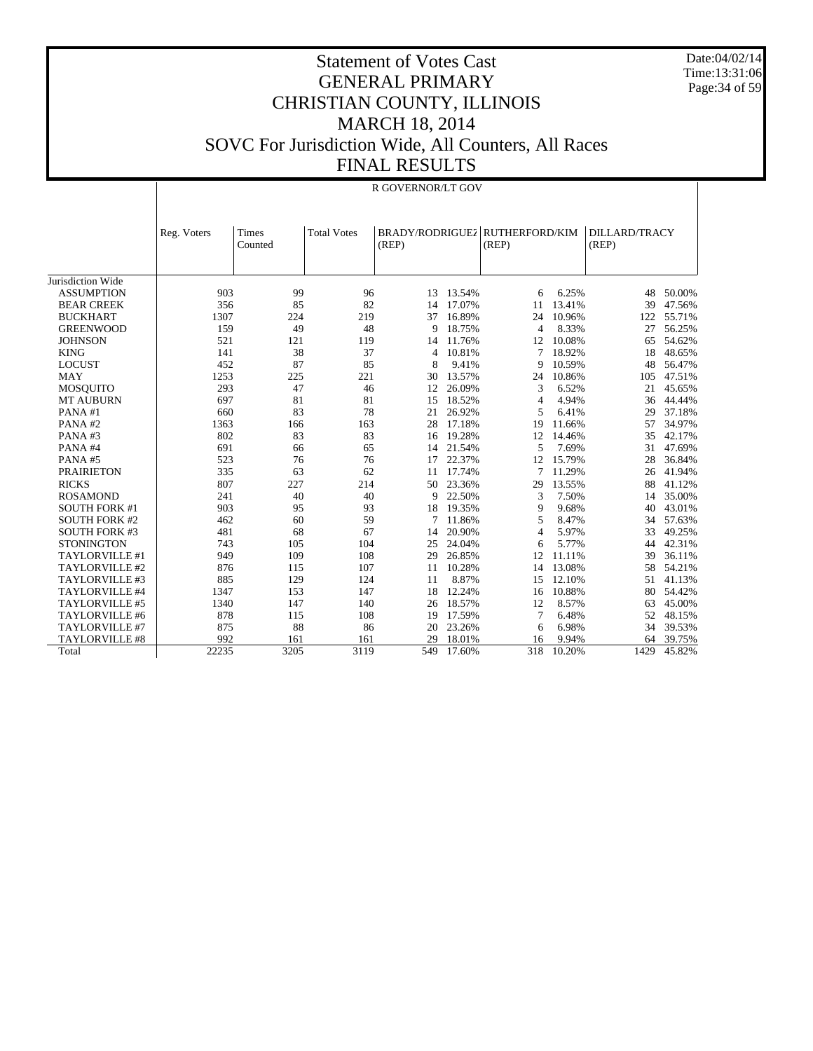Date:04/02/14 Time:13:31:06 Page:34 of 59

#### Statement of Votes Cast GENERAL PRIMARY CHRISTIAN COUNTY, ILLINOIS MARCH 18, 2014 SOVC For Jurisdiction Wide, All Counters, All Races FINAL RESULTS

|                       | R GOVERNOR/LT GOV |                  |                    |                          |        |                                |        |                               |        |
|-----------------------|-------------------|------------------|--------------------|--------------------------|--------|--------------------------------|--------|-------------------------------|--------|
|                       | Reg. Voters       | Times<br>Counted | <b>Total Votes</b> | BRADY/RODRIGUEZ<br>(REP) |        | <b>RUTHERFORD/KIM</b><br>(REP) |        | <b>DILLARD/TRACY</b><br>(REP) |        |
| Jurisdiction Wide     |                   |                  |                    |                          |        |                                |        |                               |        |
| <b>ASSUMPTION</b>     | 903               | 99               | 96                 | 13                       | 13.54% | 6                              | 6.25%  | 48                            | 50.00% |
| <b>BEAR CREEK</b>     | 356               | 85               | 82                 | 14                       | 17.07% | 11                             | 13.41% | 39                            | 47.56% |
| <b>BUCKHART</b>       | 1307              | 224              | 219                | 37                       | 16.89% | 24                             | 10.96% | 122                           | 55.71% |
| <b>GREENWOOD</b>      | 159               | 49               | 48                 | 9                        | 18.75% | $\overline{4}$                 | 8.33%  | 27                            | 56.25% |
| <b>JOHNSON</b>        | 521               | 121              | 119                | 14                       | 11.76% | 12                             | 10.08% | 65                            | 54.62% |
| <b>KING</b>           | 141               | 38               | 37                 | 4                        | 10.81% | 7                              | 18.92% | 18                            | 48.65% |
| <b>LOCUST</b>         | 452               | 87               | 85                 | 8                        | 9.41%  | 9                              | 10.59% | 48                            | 56.47% |
| <b>MAY</b>            | 1253              | 225              | 221                | 30                       | 13.57% | 24                             | 10.86% | 105                           | 47.51% |
| <b>MOSOUITO</b>       | 293               | 47               | 46                 | 12                       | 26.09% | 3                              | 6.52%  | 21                            | 45.65% |
| MT AUBURN             | 697               | 81               | 81                 | 15                       | 18.52% | $\overline{4}$                 | 4.94%  | 36                            | 44.44% |
| PANA#1                | 660               | 83               | 78                 | 21                       | 26.92% | 5                              | 6.41%  | 29                            | 37.18% |
| PANA#2                | 1363              | 166              | 163                | 28                       | 17.18% | 19                             | 11.66% | 57                            | 34.97% |
| PANA#3                | 802               | 83               | 83                 | 16                       | 19.28% | 12                             | 14.46% | 35                            | 42.17% |
| PANA#4                | 691               | 66               | 65                 | 14                       | 21.54% | 5                              | 7.69%  | 31                            | 47.69% |
| PANA#5                | 523               | 76               | 76                 | 17                       | 22.37% | 12                             | 15.79% | 28                            | 36.84% |
| <b>PRAIRIETON</b>     | 335               | 63               | 62                 | 11                       | 17.74% | 7                              | 11.29% | 26                            | 41.94% |
| <b>RICKS</b>          | 807               | 227              | 214                | 50                       | 23.36% | 29                             | 13.55% | 88                            | 41.12% |
| <b>ROSAMOND</b>       | 241               | 40               | 40                 | 9                        | 22.50% | 3                              | 7.50%  | 14                            | 35.00% |
| <b>SOUTH FORK #1</b>  | 903               | 95               | 93                 | 18                       | 19.35% | 9                              | 9.68%  | 40                            | 43.01% |
| <b>SOUTH FORK #2</b>  | 462               | 60               | 59                 | 7                        | 11.86% | 5                              | 8.47%  | 34                            | 57.63% |
| <b>SOUTH FORK #3</b>  | 481               | 68               | 67                 | 14                       | 20.90% | $\overline{4}$                 | 5.97%  | 33                            | 49.25% |
| <b>STONINGTON</b>     | 743               | 105              | 104                | 25                       | 24.04% | 6                              | 5.77%  | 44                            | 42.31% |
| TAYLORVILLE #1        | 949               | 109              | 108                | 29                       | 26.85% | 12                             | 11.11% | 39                            | 36.11% |
| TAYLORVILLE #2        | 876               | 115              | 107                | 11                       | 10.28% | 14                             | 13.08% | 58                            | 54.21% |
| TAYLORVILLE #3        | 885               | 129              | 124                | 11                       | 8.87%  | 15                             | 12.10% | 51                            | 41.13% |
| TAYLORVILLE #4        | 1347              | 153              | 147                | 18                       | 12.24% | 16                             | 10.88% | 80                            | 54.42% |
| TAYLORVILLE #5        | 1340              | 147              | 140                | 26                       | 18.57% | 12                             | 8.57%  | 63                            | 45.00% |
| TAYLORVILLE #6        | 878               | 115              | 108                | 19                       | 17.59% | 7                              | 6.48%  | 52                            | 48.15% |
| TAYLORVILLE #7        | 875               | 88               | 86                 | 20                       | 23.26% | 6                              | 6.98%  | 34                            | 39.53% |
| <b>TAYLORVILLE #8</b> | 992               | 161              | 161                | 29                       | 18.01% | 16                             | 9.94%  | 64                            | 39.75% |
| Total                 | 22235             | 3205             | 3119               | 549                      | 17.60% | 318                            | 10.20% | 1429                          | 45.82% |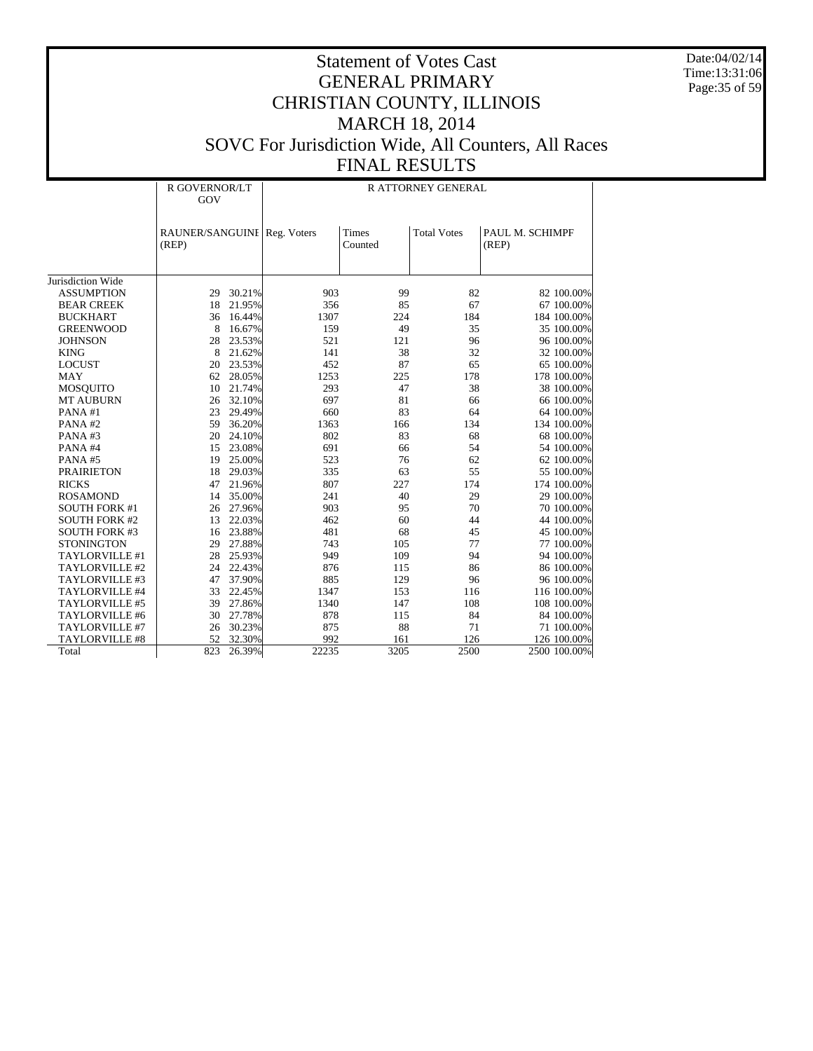Date:04/02/14 Time:13:31:06 Page:35 of 59

|                       | R GOVERNOR/LT<br>GOV                 |        | R ATTORNEY GENERAL |                         |                    |                          |  |  |
|-----------------------|--------------------------------------|--------|--------------------|-------------------------|--------------------|--------------------------|--|--|
|                       | RAUNER/SANGUINE Reg. Voters<br>(REP) |        |                    | <b>Times</b><br>Counted | <b>Total Votes</b> | PAUL M. SCHIMPF<br>(REP) |  |  |
| Jurisdiction Wide     |                                      |        |                    |                         |                    |                          |  |  |
| <b>ASSUMPTION</b>     | 29                                   | 30.21% | 903                | 99                      | 82                 | 82 100.00%               |  |  |
| <b>BEAR CREEK</b>     | 18                                   | 21.95% | 356                | 85                      | 67                 | 67 100.00%               |  |  |
| <b>BUCKHART</b>       | 36                                   | 16.44% | 1307               | 224                     | 184                | 184 100.00%              |  |  |
| <b>GREENWOOD</b>      | 8                                    | 16.67% | 159                | 49                      | 35                 | 35 100.00%               |  |  |
| <b>JOHNSON</b>        | 28                                   | 23.53% | 521                | 121                     | 96                 | 96 100.00%               |  |  |
| <b>KING</b>           | 8                                    | 21.62% | 141                | 38                      | 32                 | 32 100.00%               |  |  |
| <b>LOCUST</b>         | 20                                   | 23.53% | 452                | 87                      | 65                 | 65 100.00%               |  |  |
| <b>MAY</b>            | 62                                   | 28.05% | 1253               | 225                     | 178                | 178 100.00%              |  |  |
| <b>MOSQUITO</b>       | 10                                   | 21.74% | 293                | 47                      | 38                 | 38 100.00%               |  |  |
| <b>MT AUBURN</b>      | 26                                   | 32.10% | 697                | 81                      | 66                 | 66 100.00%               |  |  |
| PANA#1                | 23                                   | 29.49% | 660                | 83                      | 64                 | 64 100.00%               |  |  |
| PANA#2                | 59                                   | 36.20% | 1363               | 166                     | 134                | 134 100.00%              |  |  |
| PANA#3                | 20                                   | 24.10% | 802                | 83                      | 68                 | 68 100.00%               |  |  |
| PANA#4                | 15                                   | 23.08% | 691                | 66                      | 54                 | 54 100.00%               |  |  |
| PANA#5                | 19                                   | 25.00% | 523                | 76                      | 62                 | 62 100.00%               |  |  |
| <b>PRAIRIETON</b>     | 18                                   | 29.03% | 335                | 63                      | 55                 | 55 100.00%               |  |  |
| <b>RICKS</b>          | 47                                   | 21.96% | 807                | 227                     | 174                | 174 100.00%              |  |  |
| <b>ROSAMOND</b>       | 14                                   | 35.00% | 241                | 40                      | 29                 | 29 100.00%               |  |  |
| <b>SOUTH FORK #1</b>  | 26                                   | 27.96% | 903                | 95                      | 70                 | 70 100.00%               |  |  |
| <b>SOUTH FORK #2</b>  | 13                                   | 22.03% | 462                | 60                      | 44                 | 44 100.00%               |  |  |
| <b>SOUTH FORK #3</b>  | 16                                   | 23.88% | 481                | 68                      | 45                 | 45 100.00%               |  |  |
| <b>STONINGTON</b>     | 29                                   | 27.88% | 743                | 105                     | 77                 | 77 100.00%               |  |  |
| TAYLORVILLE #1        | 28                                   | 25.93% | 949                | 109                     | 94                 | 94 100.00%               |  |  |
| TAYLORVILLE #2        | 24                                   | 22.43% | 876                | 115                     | 86                 | 86 100.00%               |  |  |
| TAYLORVILLE #3        | 47                                   | 37.90% | 885                | 129                     | 96                 | 96 100.00%               |  |  |
| TAYLORVILLE #4        | 33                                   | 22.45% | 1347               | 153                     | 116                | 116 100.00%              |  |  |
| TAYLORVILLE #5        | 39                                   | 27.86% | 1340               | 147                     | 108                | 108 100.00%              |  |  |
| TAYLORVILLE #6        | 30                                   | 27.78% | 878                | 115                     | 84                 | 84 100.00%               |  |  |
| TAYLORVILLE #7        | 26                                   | 30.23% | 875                | 88                      | 71                 | 71 100.00%               |  |  |
| <b>TAYLORVILLE #8</b> | 52                                   | 32.30% | 992                | 161                     | 126                | 126 100.00%              |  |  |
| Total                 | 823                                  | 26.39% | 22235              | 3205                    | 2500               | 2500 100.00%             |  |  |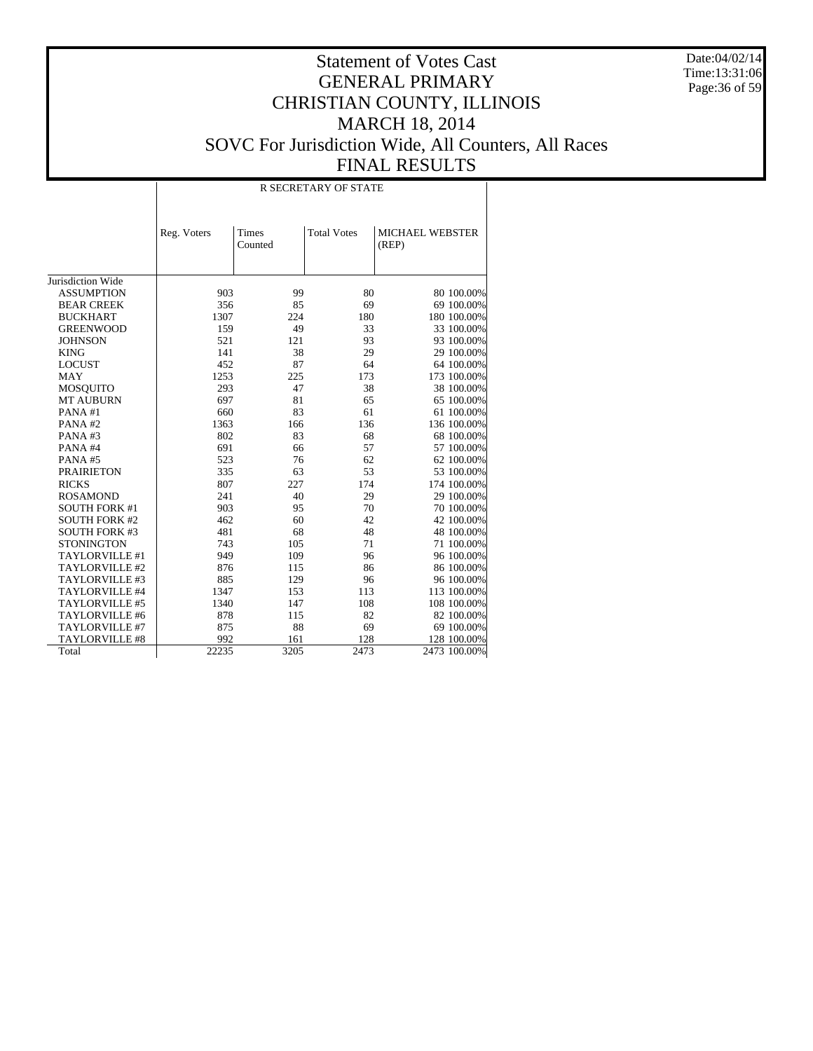Date:04/02/14 Time:13:31:06 Page:36 of 59

|                      |             |                  | <b>R SECRETARY OF STATE</b> |                          |
|----------------------|-------------|------------------|-----------------------------|--------------------------|
|                      | Reg. Voters | Times<br>Counted | <b>Total Votes</b>          | MICHAEL WEBSTER<br>(REP) |
| Jurisdiction Wide    |             |                  |                             |                          |
| <b>ASSUMPTION</b>    | 903         | 99               | 80                          | 80 100.00%               |
| <b>BEAR CREEK</b>    | 356         | 85               | 69                          | 69 100.00%               |
| <b>BUCKHART</b>      | 1307        | 224              | 180                         | 180 100.00%              |
| <b>GREENWOOD</b>     | 159         | 49               | 33                          | 33 100.00%               |
| <b>JOHNSON</b>       | 521         | 121              | 93                          | 93 100.00%               |
| <b>KING</b>          | 141         | 38               | 29                          | 29 100.00%               |
| <b>LOCUST</b>        | 452         | 87               | 64                          | 64 100.00%               |
| <b>MAY</b>           | 1253        | 225              | 173                         | 173 100.00%              |
| <b>MOSQUITO</b>      | 293         | 47               | 38                          | 38 100.00%               |
| <b>MT AUBURN</b>     | 697         | 81               | 65                          | 65 100.00%               |
| PANA#1               | 660         | 83               | 61                          | 61 100.00%               |
| PANA#2               | 1363        | 166              | 136                         | 136 100.00%              |
| PANA#3               | 802         | 83               | 68                          | 68 100.00%               |
| PANA#4               | 691         | 66               | 57                          | 57 100.00%               |
| PANA#5               | 523         | 76               | 62                          | 62 100.00%               |
| <b>PRAIRIETON</b>    | 335         | 63               | 53                          | 53 100.00%               |
| <b>RICKS</b>         | 807         | 227              | 174                         | 174 100.00%              |
| <b>ROSAMOND</b>      | 241         | 40               | 29                          | 29 100.00%               |
| <b>SOUTH FORK #1</b> | 903         | 95               | 70                          | 70 100.00%               |
| <b>SOUTH FORK #2</b> | 462         | 60               | 42                          | 42 100.00%               |
| <b>SOUTH FORK #3</b> | 481         | 68               | 48                          | 48 100.00%               |
| <b>STONINGTON</b>    | 743         | 105              | 71                          | 71 100.00%               |
| TAYLORVILLE #1       | 949         | 109              | 96                          | 96 100.00%               |
| TAYLORVILLE #2       | 876         | 115              | 86                          | 86 100.00%               |
| TAYLORVILLE #3       | 885         | 129              | 96                          | 96 100.00%               |
| TAYLORVILLE #4       | 1347        | 153              | 113                         | 113 100.00%              |
| TAYLORVILLE #5       | 1340        | 147              | 108                         | 108 100.00%              |
| TAYLORVILLE #6       | 878         | 115              | 82                          | 82 100.00%               |
| TAYLORVILLE #7       | 875         | 88               | 69                          | 69 100.00%               |
| TAYLORVILLE #8       | 992         | 161              | 128                         | 128 100.00%              |
| Total                | 22235       | 3205             | 2473                        | 2473 100.00%             |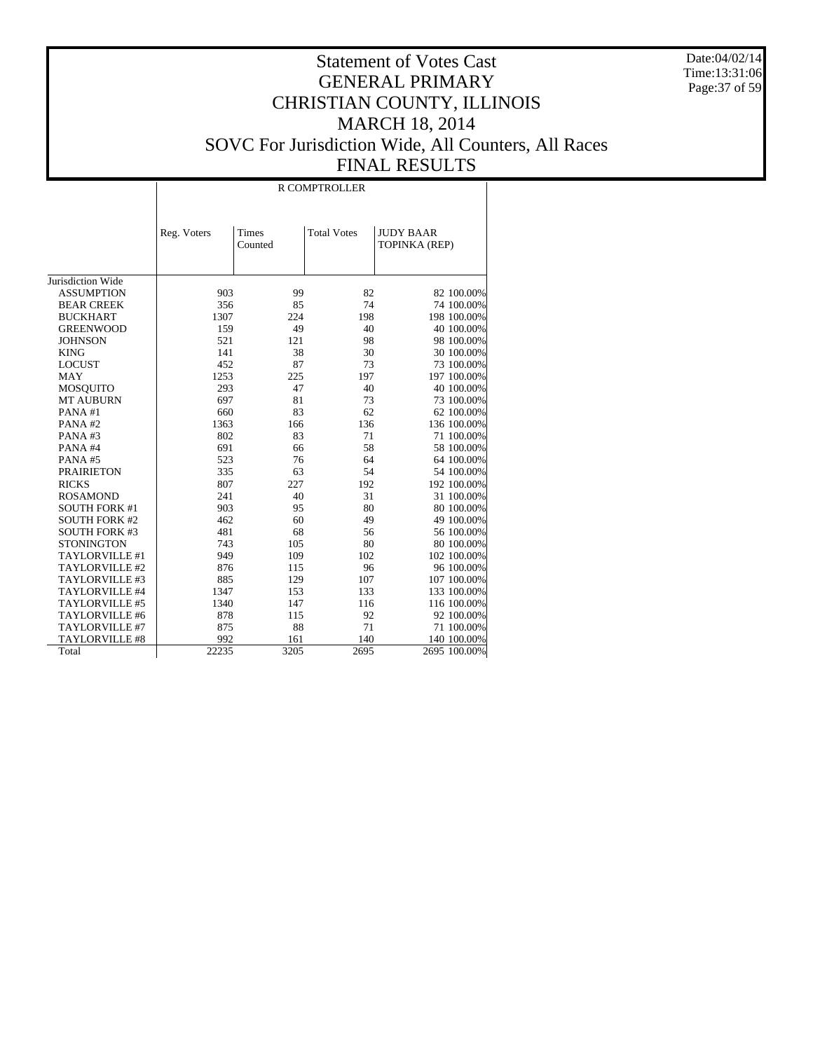Date:04/02/14 Time:13:31:06 Page:37 of 59

|                      | R COMPTROLLER |                  |                    |                                   |  |  |  |  |  |
|----------------------|---------------|------------------|--------------------|-----------------------------------|--|--|--|--|--|
|                      | Reg. Voters   | Times<br>Counted | <b>Total Votes</b> | <b>JUDY BAAR</b><br>TOPINKA (REP) |  |  |  |  |  |
| Jurisdiction Wide    |               |                  |                    |                                   |  |  |  |  |  |
| <b>ASSUMPTION</b>    | 903           | 99               | 82                 |                                   |  |  |  |  |  |
|                      |               |                  |                    | 82 100.00%                        |  |  |  |  |  |
| <b>BEAR CREEK</b>    | 356           | 85               | 74                 | 74 100.00%                        |  |  |  |  |  |
| <b>BUCKHART</b>      | 1307          | 224              | 198                | 198 100.00%                       |  |  |  |  |  |
| <b>GREENWOOD</b>     | 159           | 49               | 40                 | 40 100.00%                        |  |  |  |  |  |
| <b>JOHNSON</b>       | 521           | 121              | 98                 | 98 100.00%                        |  |  |  |  |  |
| <b>KING</b>          | 141           | 38               | 30                 | 30 100.00%                        |  |  |  |  |  |
| <b>LOCUST</b>        | 452           | 87               | 73                 | 73 100.00%                        |  |  |  |  |  |
| <b>MAY</b>           | 1253          | 225              | 197                | 197 100.00%                       |  |  |  |  |  |
| <b>MOSQUITO</b>      | 293           | 47               | 40                 | 40 100.00%                        |  |  |  |  |  |
| <b>MT AUBURN</b>     | 697           | 81               | 73                 | 73 100.00%                        |  |  |  |  |  |
| PANA#1               | 660           | 83               | 62                 | 62 100.00%                        |  |  |  |  |  |
| PANA#2               | 1363          | 166              | 136                | 136 100.00%                       |  |  |  |  |  |
| PANA#3               | 802           | 83               | 71                 | 71 100.00%                        |  |  |  |  |  |
| PANA#4               | 691           | 66               | 58                 | 58 100.00%                        |  |  |  |  |  |
| PANA#5               | 523           | 76               | 64                 | 64 100.00%                        |  |  |  |  |  |
| <b>PRAIRIETON</b>    | 335           | 63               | 54                 | 54 100.00%                        |  |  |  |  |  |
| <b>RICKS</b>         | 807           | 227              | 192                | 192 100.00%                       |  |  |  |  |  |
| <b>ROSAMOND</b>      | 241           | 40               | 31                 | 31 100.00%                        |  |  |  |  |  |
| <b>SOUTH FORK #1</b> | 903           | 95               | 80                 | 80 100.00%                        |  |  |  |  |  |
| <b>SOUTH FORK #2</b> | 462           | 60               | 49                 | 49 100.00%                        |  |  |  |  |  |
| <b>SOUTH FORK #3</b> | 481           | 68               | 56                 | 56 100.00%                        |  |  |  |  |  |
| <b>STONINGTON</b>    | 743           | 105              | 80                 | 80 100.00%                        |  |  |  |  |  |
| TAYLORVILLE #1       | 949           | 109              | 102                | 102 100.00%                       |  |  |  |  |  |
| TAYLORVILLE #2       | 876           | 115              | 96                 | 96 100.00%                        |  |  |  |  |  |
| TAYLORVILLE #3       | 885           | 129              | 107                | 107 100.00%                       |  |  |  |  |  |
| TAYLORVILLE #4       | 1347          | 153              | 133                | 133 100.00%                       |  |  |  |  |  |
| TAYLORVILLE #5       | 1340          | 147              | 116                | 116 100.00%                       |  |  |  |  |  |
| TAYLORVILLE #6       | 878           | 115              | 92                 | 92 100.00%                        |  |  |  |  |  |
| TAYLORVILLE #7       | 875           | 88               | 71                 | 71 100.00%                        |  |  |  |  |  |
| TAYLORVILLE #8       | 992           | 161              | 140                | 140 100.00%                       |  |  |  |  |  |
| Total                | 22235         | 3205             | 2695               | 2695 100.00%                      |  |  |  |  |  |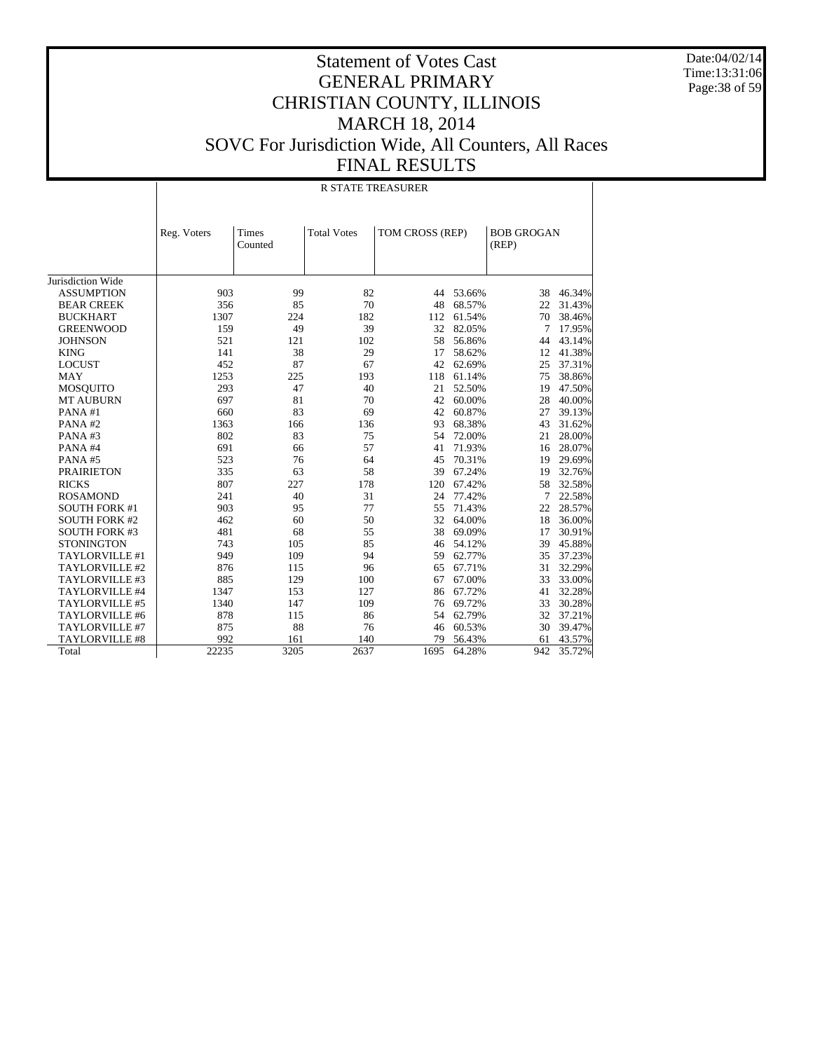Date:04/02/14 Time:13:31:06 Page:38 of 59

|                      |             |                  | <b>R STATE TREASURER</b> |                 |        |                            |        |
|----------------------|-------------|------------------|--------------------------|-----------------|--------|----------------------------|--------|
|                      | Reg. Voters | Times<br>Counted | <b>Total Votes</b>       | TOM CROSS (REP) |        | <b>BOB GROGAN</b><br>(REP) |        |
| Jurisdiction Wide    |             |                  |                          |                 |        |                            |        |
| <b>ASSUMPTION</b>    | 903         | 99               | 82                       | 44              | 53.66% | 38                         | 46.34% |
| <b>BEAR CREEK</b>    | 356         | 85               | 70                       | 48              | 68.57% | 22                         | 31.43% |
| <b>BUCKHART</b>      | 1307        | 224              | 182                      | 112             | 61.54% | 70                         | 38.46% |
| <b>GREENWOOD</b>     | 159         | 49               | 39                       | 32              | 82.05% | 7                          | 17.95% |
| <b>JOHNSON</b>       | 521         | 121              | 102                      | 58              | 56.86% | 44                         | 43.14% |
| <b>KING</b>          | 141         | 38               | 29                       | 17              | 58.62% | 12                         | 41.38% |
| <b>LOCUST</b>        | 452         | 87               | 67                       | 42              | 62.69% | 25                         | 37.31% |
| <b>MAY</b>           | 1253        | 225              | 193                      | 118             | 61.14% | 75                         | 38.86% |
| <b>MOSQUITO</b>      | 293         | 47               | 40                       | 21              | 52.50% | 19                         | 47.50% |
| <b>MT AUBURN</b>     | 697         | 81               | 70                       | 42              | 60.00% | 28                         | 40.00% |
| PANA#1               | 660         | 83               | 69                       | 42              | 60.87% | 27                         | 39.13% |
| PANA#2               | 1363        | 166              | 136                      | 93              | 68.38% | 43                         | 31.62% |
| PANA#3               | 802         | 83               | 75                       | 54              | 72.00% | 21                         | 28.00% |
| PANA#4               | 691         | 66               | 57                       | 41              | 71.93% | 16                         | 28.07% |
| PANA#5               | 523         | 76               | 64                       | 45              | 70.31% | 19                         | 29.69% |
| <b>PRAIRIETON</b>    | 335         | 63               | 58                       | 39              | 67.24% | 19                         | 32.76% |
| <b>RICKS</b>         | 807         | 227              | 178                      | 120             | 67.42% | 58                         | 32.58% |
| <b>ROSAMOND</b>      | 241         | 40               | 31                       | 24              | 77.42% | 7                          | 22.58% |
| <b>SOUTH FORK #1</b> | 903         | 95               | 77                       | 55              | 71.43% | 22                         | 28.57% |
| <b>SOUTH FORK #2</b> | 462         | 60               | 50                       | 32              | 64.00% | 18                         | 36.00% |
| <b>SOUTH FORK #3</b> | 481         | 68               | 55                       | 38              | 69.09% | 17                         | 30.91% |
| <b>STONINGTON</b>    | 743         | 105              | 85                       | 46              | 54.12% | 39                         | 45.88% |
| TAYLORVILLE #1       | 949         | 109              | 94                       | 59              | 62.77% | 35                         | 37.23% |
| TAYLORVILLE #2       | 876         | 115              | 96                       | 65              | 67.71% | 31                         | 32.29% |
| TAYLORVILLE #3       | 885         | 129              | 100                      | 67              | 67.00% | 33                         | 33.00% |
| TAYLORVILLE #4       | 1347        | 153              | 127                      | 86              | 67.72% | 41                         | 32.28% |
| TAYLORVILLE #5       | 1340        | 147              | 109                      | 76              | 69.72% | 33                         | 30.28% |
| TAYLORVILLE #6       | 878         | 115              | 86                       | 54              | 62.79% | 32                         | 37.21% |
| TAYLORVILLE #7       | 875         | 88               | 76                       | 46              | 60.53% | 30                         | 39.47% |
| TAYLORVILLE #8       | 992         | 161              | 140                      | 79              | 56.43% | 61                         | 43.57% |
| Total                | 22235       | 3205             | 2637                     | 1695            | 64.28% | 942                        | 35.72% |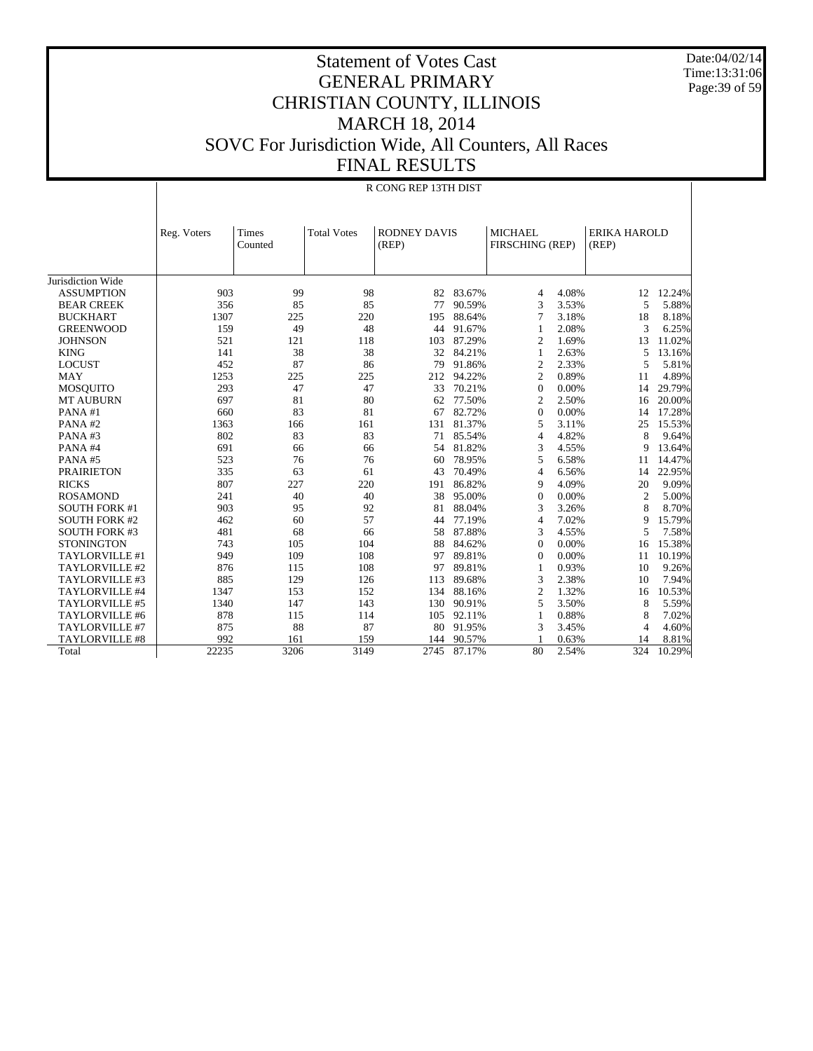Date:04/02/14 Time:13:31:06 Page:39 of 59

#### Statement of Votes Cast GENERAL PRIMARY CHRISTIAN COUNTY, ILLINOIS MARCH 18, 2014 SOVC For Jurisdiction Wide, All Counters, All Races FINAL RESULTS

|                       |             |         | R CONG REP 13TH DIST |                     |        |                         |                     |        |  |  |  |
|-----------------------|-------------|---------|----------------------|---------------------|--------|-------------------------|---------------------|--------|--|--|--|
|                       |             |         |                      |                     |        |                         |                     |        |  |  |  |
|                       |             |         |                      |                     |        |                         |                     |        |  |  |  |
|                       | Reg. Voters | Times   | <b>Total Votes</b>   | <b>RODNEY DAVIS</b> |        | <b>MICHAEL</b>          | <b>ERIKA HAROLD</b> |        |  |  |  |
|                       |             | Counted |                      | (REP)               |        | FIRSCHING (REP)         | (REP)               |        |  |  |  |
|                       |             |         |                      |                     |        |                         |                     |        |  |  |  |
| Jurisdiction Wide     |             |         |                      |                     |        |                         |                     |        |  |  |  |
| <b>ASSUMPTION</b>     | 903         | 99      | 98                   | 82                  | 83.67% | 4.08%<br>$\overline{4}$ | 12                  | 12.24% |  |  |  |
| <b>BEAR CREEK</b>     | 356         | 85      | 85                   | 77                  | 90.59% | 3<br>3.53%              | 5                   | 5.88%  |  |  |  |
| <b>BUCKHART</b>       | 1307        | 225     | 220                  | 195                 | 88.64% | 3.18%<br>7              | 18                  | 8.18%  |  |  |  |
| <b>GREENWOOD</b>      | 159         | 49      | 48                   | 44                  | 91.67% | 2.08%                   | 3                   | 6.25%  |  |  |  |
| <b>JOHNSON</b>        | 521         | 121     | 118                  | 103                 | 87.29% | 1.69%<br>2              | 13                  | 11.02% |  |  |  |
| <b>KING</b>           | 141         | 38      | 38                   | 32                  | 84.21% | 2.63%<br>1              | 5                   | 13.16% |  |  |  |
| <b>LOCUST</b>         | 452         | 87      | 86                   | 79                  | 91.86% | $\mathfrak{2}$<br>2.33% | 5                   | 5.81%  |  |  |  |
| <b>MAY</b>            | 1253        | 225     | 225                  | 212                 | 94.22% | 0.89%<br>$\overline{c}$ | 11                  | 4.89%  |  |  |  |
| <b>MOSQUITO</b>       | 293         | 47      | 47                   | 33                  | 70.21% | 0.00%<br>$\mathbf{0}$   | 14                  | 29.79% |  |  |  |
| <b>MT AUBURN</b>      | 697         | 81      | 80                   | 62                  | 77.50% | 2.50%<br>$\overline{c}$ | 16                  | 20.00% |  |  |  |
| PANA#1                | 660         | 83      | 81                   | 67                  | 82.72% | 0.00%<br>$\mathbf{0}$   | 14                  | 17.28% |  |  |  |
| PANA#2                | 1363        | 166     | 161                  | 131                 | 81.37% | 5<br>3.11%              | 25                  | 15.53% |  |  |  |
| PANA#3                | 802         | 83      | 83                   | 71                  | 85.54% | 4.82%<br>$\overline{4}$ | 8                   | 9.64%  |  |  |  |
| PANA#4                | 691         | 66      | 66                   | 54                  | 81.82% | 3<br>4.55%              | 9                   | 13.64% |  |  |  |
| PANA#5                | 523         | 76      | 76                   | 60                  | 78.95% | 6.58%<br>5              | 11                  | 14.47% |  |  |  |
| <b>PRAIRIETON</b>     | 335         | 63      | 61                   | 43                  | 70.49% | 6.56%<br>$\overline{4}$ | 14                  | 22.95% |  |  |  |
| <b>RICKS</b>          | 807         | 227     | 220                  | 191                 | 86.82% | 4.09%<br>9              | 20                  | 9.09%  |  |  |  |
| <b>ROSAMOND</b>       | 241         | 40      | 40                   | 38                  | 95.00% | 0.00%<br>$\mathbf{0}$   | $\overline{c}$      | 5.00%  |  |  |  |
| <b>SOUTH FORK #1</b>  | 903         | 95      | 92                   | 81                  | 88.04% | 3<br>3.26%              | 8                   | 8.70%  |  |  |  |
| <b>SOUTH FORK #2</b>  | 462         | 60      | 57                   | 44                  | 77.19% | 7.02%<br>$\overline{4}$ | 9                   | 15.79% |  |  |  |
| <b>SOUTH FORK #3</b>  | 481         | 68      | 66                   | 58                  | 87.88% | 4.55%<br>3              | 5                   | 7.58%  |  |  |  |
| <b>STONINGTON</b>     | 743         | 105     | 104                  | 88                  | 84.62% | 0.00%<br>$\mathbf{0}$   | 16                  | 15.38% |  |  |  |
| TAYLORVILLE #1        | 949         | 109     | 108                  | 97                  | 89.81% | 0.00%<br>$\Omega$       | 11                  | 10.19% |  |  |  |
| TAYLORVILLE #2        | 876         | 115     | 108                  | 97                  | 89.81% | 0.93%<br>1              | 10                  | 9.26%  |  |  |  |
| TAYLORVILLE #3        | 885         | 129     | 126                  | 113                 | 89.68% | 2.38%<br>3              | 10                  | 7.94%  |  |  |  |
| TAYLORVILLE #4        | 1347        | 153     | 152                  | 134                 | 88.16% | $\mathfrak{2}$<br>1.32% | 16                  | 10.53% |  |  |  |
| TAYLORVILLE #5        | 1340        | 147     | 143                  | 130                 | 90.91% | 5<br>3.50%              | 8                   | 5.59%  |  |  |  |
| TAYLORVILLE #6        | 878         | 115     | 114                  | 105                 | 92.11% | 0.88%<br>1              | 8                   | 7.02%  |  |  |  |
| TAYLORVILLE #7        | 875         | 88      | 87                   | 80                  | 91.95% | 3<br>3.45%              | 4                   | 4.60%  |  |  |  |
| <b>TAYLORVILLE #8</b> | 992         | 161     | 159                  | 144                 | 90.57% | 0.63%                   | 14                  | 8.81%  |  |  |  |
| Total                 | 22235       | 3206    | 3149                 | 2745                | 87.17% | 80<br>2.54%             | 324                 | 10.29% |  |  |  |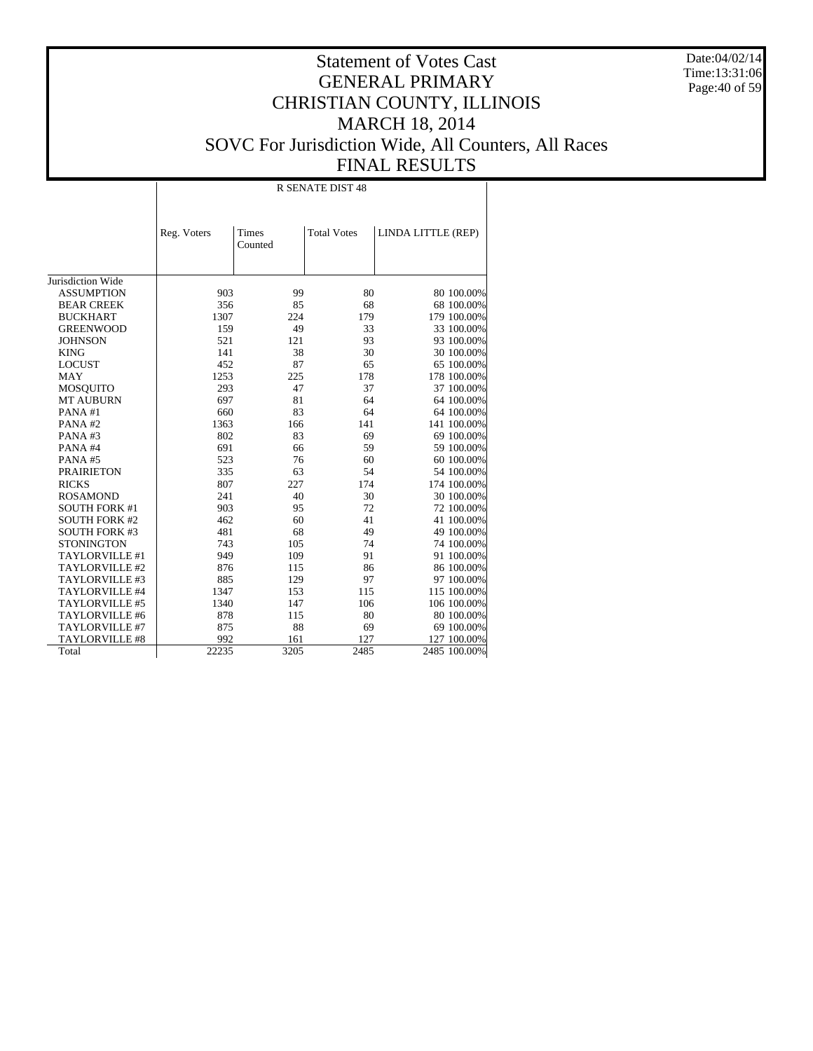Date:04/02/14 Time:13:31:06 Page:40 of 59

|                      |             |                  | <b>R SENATE DIST 48</b> |                    |
|----------------------|-------------|------------------|-------------------------|--------------------|
|                      | Reg. Voters | Times<br>Counted | <b>Total Votes</b>      | LINDA LITTLE (REP) |
| Jurisdiction Wide    |             |                  |                         |                    |
| <b>ASSUMPTION</b>    | 903         | 99               | 80                      | 80 100.00%         |
| <b>BEAR CREEK</b>    | 356         | 85               | 68                      | 68 100.00%         |
| <b>BUCKHART</b>      | 1307        | 224              | 179                     | 179 100.00%        |
| <b>GREENWOOD</b>     | 159         | 49               | 33                      | 33 100.00%         |
| <b>JOHNSON</b>       | 521         | 121              | 93                      | 93 100.00%         |
| <b>KING</b>          | 141         | 38               | 30                      | 30 100.00%         |
| <b>LOCUST</b>        | 452         | 87               | 65                      | 65 100.00%         |
| <b>MAY</b>           | 1253        | 225              | 178                     | 178 100.00%        |
| <b>MOSQUITO</b>      | 293         | 47               | 37                      | 37 100.00%         |
| <b>MT AUBURN</b>     | 697         | 81               | 64                      | 64 100.00%         |
| PANA#1               | 660         | 83               | 64                      | 64 100.00%         |
| PANA#2               | 1363        | 166              | 141                     | 141 100.00%        |
| PANA#3               | 802         | 83               | 69                      | 69 100.00%         |
| PANA#4               | 691         | 66               | 59                      | 59 100.00%         |
| PANA#5               | 523         | 76               | 60                      | 60 100.00%         |
| <b>PRAIRIETON</b>    | 335         | 63               | 54                      | 54 100.00%         |
| <b>RICKS</b>         | 807         | 227              | 174                     | 174 100.00%        |
| <b>ROSAMOND</b>      | 241         | 40               | 30                      | 30 100.00%         |
| <b>SOUTH FORK #1</b> | 903         | 95               | 72                      | 72 100.00%         |
| <b>SOUTH FORK #2</b> | 462         | 60               | 41                      | 41 100.00%         |
| <b>SOUTH FORK #3</b> | 481         | 68               | 49                      | 49 100.00%         |
| <b>STONINGTON</b>    | 743         | 105              | 74                      | 74 100.00%         |
| TAYLORVILLE #1       | 949         | 109              | 91                      | 91 100.00%         |
| TAYLORVILLE #2       | 876         | 115              | 86                      | 86 100.00%         |
| TAYLORVILLE #3       | 885         | 129              | 97                      | 97 100.00%         |
| TAYLORVILLE #4       | 1347        | 153              | 115                     | 115 100.00%        |
| TAYLORVILLE #5       | 1340        | 147              | 106                     | 106 100.00%        |
| TAYLORVILLE #6       | 878         | 115              | 80                      | 80 100.00%         |
| TAYLORVILLE #7       | 875         | 88               | 69                      | 69 100.00%         |
| TAYLORVILLE #8       | 992         | 161              | 127                     | 127 100.00%        |
| Total                | 22235       | 3205             | 2485                    | 2485 100.00%       |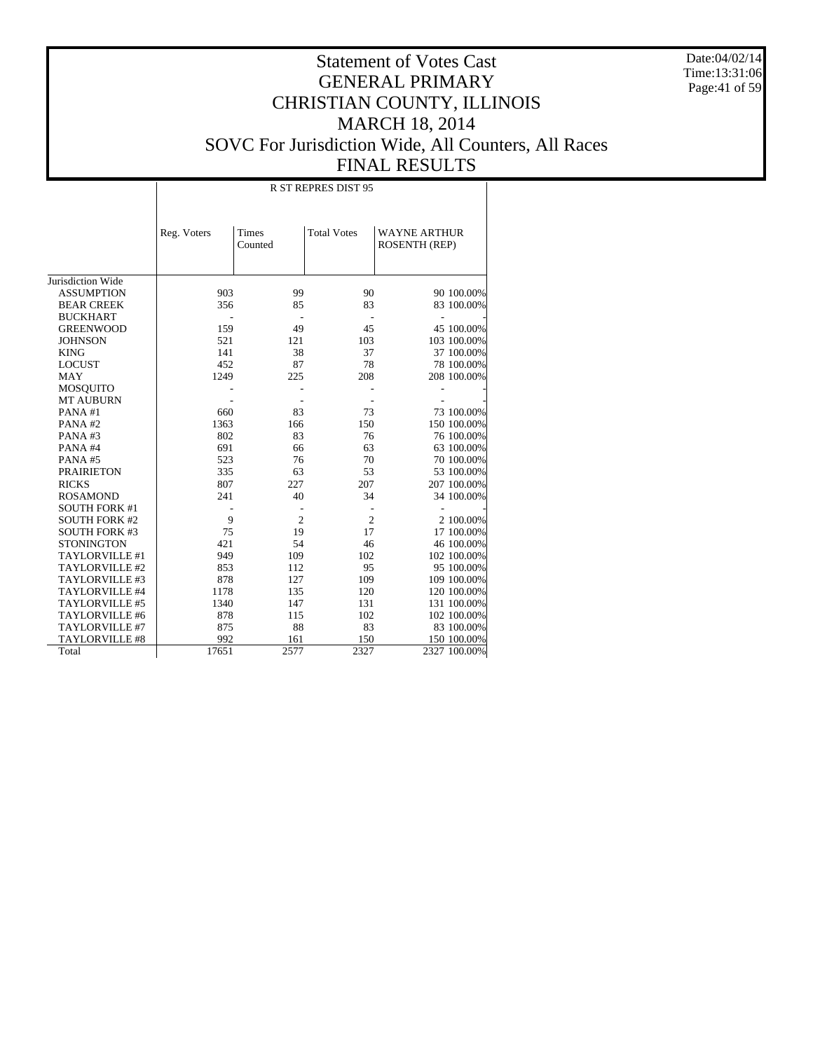Date:04/02/14 Time:13:31:06 Page:41 of 59

# Statement of Votes Cast GENERAL PRIMARY CHRISTIAN COUNTY, ILLINOIS MARCH 18, 2014 SOVC For Jurisdiction Wide, All Counters, All Races FINAL RESULTS

 $R<sub>B</sub>$   $R<sub>2</sub>$ 

|                       |             |                  | K 31 KEPKES DISI 93 |                                      |              |
|-----------------------|-------------|------------------|---------------------|--------------------------------------|--------------|
|                       | Reg. Voters | Times<br>Counted | <b>Total Votes</b>  | <b>WAYNE ARTHUR</b><br>ROSENTH (REP) |              |
| Jurisdiction Wide     |             |                  |                     |                                      |              |
| <b>ASSUMPTION</b>     | 903         | 99               | 90                  |                                      | 90 100.00%   |
| <b>BEAR CREEK</b>     | 356         | 85               | 83                  |                                      | 83 100.00%   |
| <b>BUCKHART</b>       |             |                  |                     |                                      |              |
| <b>GREENWOOD</b>      | 159         | 49               | 45                  |                                      | 45 100.00%   |
| <b>JOHNSON</b>        | 521         | 121              | 103                 |                                      | 103 100.00%  |
| <b>KING</b>           | 141         | 38               | 37                  |                                      | 37 100.00%   |
| <b>LOCUST</b>         | 452         | 87               | 78                  |                                      | 78 100,00%   |
| <b>MAY</b>            | 1249        | 225              | 208                 |                                      | 208 100.00%  |
| <b>MOSQUITO</b>       |             |                  |                     |                                      |              |
| <b>MT AUBURN</b>      |             |                  |                     |                                      |              |
| PANA#1                | 660         | 83               | 73                  |                                      | 73 100.00%   |
| PANA#2                | 1363        | 166              | 150                 |                                      | 150 100.00%  |
| PANA#3                | 802         | 83               | 76                  |                                      | 76 100.00%   |
| PANA#4                | 691         | 66               | 63                  |                                      | 63 100.00%   |
| PANA#5                | 523         | 76               | 70                  |                                      | 70 100.00%   |
| <b>PRAIRIETON</b>     | 335         | 63               | 53                  |                                      | 53 100.00%   |
| <b>RICKS</b>          | 807         | 227              | 207                 |                                      | 207 100.00%  |
| <b>ROSAMOND</b>       | 241         | 40               | 34                  |                                      | 34 100.00%   |
| <b>SOUTH FORK #1</b>  |             |                  |                     |                                      |              |
| <b>SOUTH FORK #2</b>  | 9           | $\overline{2}$   | $\overline{c}$      |                                      | 2 100.00%    |
| <b>SOUTH FORK #3</b>  | 75          | 19               | 17                  |                                      | 17 100.00%   |
| <b>STONINGTON</b>     | 421         | 54               | 46                  |                                      | 46 100.00%   |
| TAYLORVILLE #1        | 949         | 109              | 102                 |                                      | 102 100.00%  |
| TAYLORVILLE #2        | 853         | 112              | 95                  |                                      | 95 100.00%   |
| TAYLORVILLE #3        | 878         | 127              | 109                 |                                      | 109 100.00%  |
| TAYLORVILLE #4        | 1178        | 135              | 120                 |                                      | 120 100.00%  |
| TAYLORVILLE #5        | 1340        | 147              | 131                 |                                      | 131 100.00%  |
| TAYLORVILLE #6        | 878         | 115              | 102                 |                                      | 102 100.00%  |
| TAYLORVILLE #7        | 875         | 88               | 83                  |                                      | 83 100.00%   |
| <b>TAYLORVILLE #8</b> | 992         | 161              | 150                 |                                      | 150 100.00%  |
| Total                 | 17651       | 2577             | 2327                |                                      | 2327 100.00% |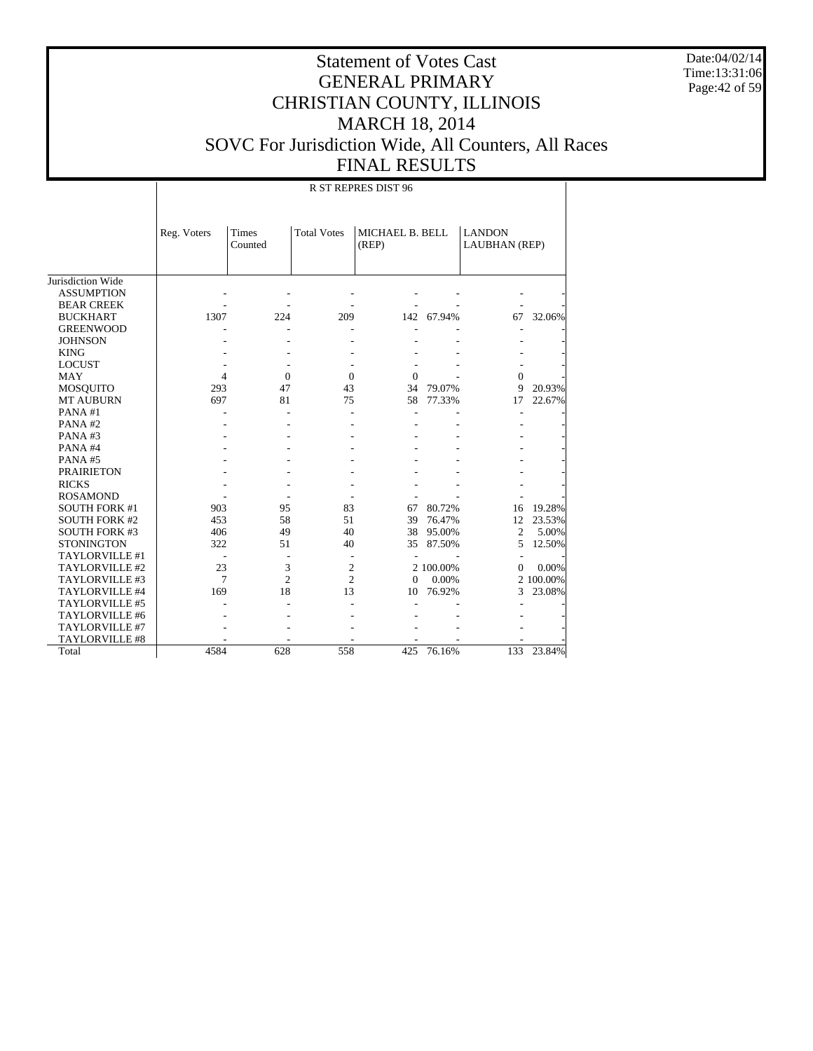Date:04/02/14 Time:13:31:06 Page:42 of 59

|                       |                |                  |                    | R ST REPRES DIST 96      |           |                                       |           |
|-----------------------|----------------|------------------|--------------------|--------------------------|-----------|---------------------------------------|-----------|
|                       | Reg. Voters    | Times<br>Counted | <b>Total Votes</b> | MICHAEL B. BELL<br>(REP) |           | <b>LANDON</b><br><b>LAUBHAN</b> (REP) |           |
| Jurisdiction Wide     |                |                  |                    |                          |           |                                       |           |
| <b>ASSUMPTION</b>     |                |                  |                    |                          |           |                                       |           |
| <b>BEAR CREEK</b>     |                |                  |                    |                          |           |                                       |           |
| <b>BUCKHART</b>       | 1307           | 224              | 209                | 142                      | 67.94%    | 67                                    | 32.06%    |
| <b>GREENWOOD</b>      |                |                  |                    |                          |           |                                       |           |
| <b>JOHNSON</b>        |                |                  |                    |                          |           |                                       |           |
| <b>KING</b>           |                |                  |                    |                          |           |                                       |           |
| <b>LOCUST</b>         |                |                  |                    |                          |           |                                       |           |
| <b>MAY</b>            | $\overline{4}$ | $\Omega$         | $\theta$           | $\Omega$                 |           | $\Omega$                              |           |
| MOSQUITO              | 293            | 47               | 43                 | 34                       | 79.07%    | 9                                     | 20.93%    |
| <b>MT AUBURN</b>      | 697            | 81               | 75                 | 58                       | 77.33%    | 17                                    | 22.67%    |
| PANA#1                |                |                  |                    |                          |           | L,                                    |           |
| PANA#2                |                |                  |                    |                          |           |                                       |           |
| PANA#3                |                |                  |                    |                          |           |                                       |           |
| PANA#4                |                |                  |                    |                          |           |                                       |           |
| PANA#5                |                |                  |                    |                          |           |                                       |           |
| <b>PRAIRIETON</b>     |                |                  |                    |                          |           |                                       |           |
| <b>RICKS</b>          |                |                  |                    |                          |           |                                       |           |
| <b>ROSAMOND</b>       |                |                  |                    |                          |           |                                       |           |
| <b>SOUTH FORK #1</b>  | 903            | 95               | 83                 | 67                       | 80.72%    | 16                                    | 19.28%    |
| <b>SOUTH FORK #2</b>  | 453            | 58               | 51                 | 39                       | 76.47%    | 12                                    | 23.53%    |
| <b>SOUTH FORK #3</b>  | 406            | 49               | 40                 | 38                       | 95.00%    | $\overline{2}$                        | 5.00%     |
| <b>STONINGTON</b>     | 322            | 51               | 40                 | 35                       | 87.50%    | 5                                     | 12.50%    |
| TAYLORVILLE #1        |                |                  | $\overline{a}$     |                          |           |                                       |           |
| TAYLORVILLE #2        | 23             | 3                | $\overline{2}$     |                          | 2 100.00% | $\Omega$                              | 0.00%     |
| TAYLORVILLE #3        | 7              | $\overline{c}$   | $\overline{c}$     | $\Omega$                 | 0.00%     |                                       | 2 100.00% |
| TAYLORVILLE #4        | 169            | 18               | 13                 | 10                       | 76.92%    | 3                                     | 23.08%    |
| TAYLORVILLE #5        |                |                  |                    |                          |           |                                       |           |
| TAYLORVILLE #6        |                |                  |                    |                          |           |                                       |           |
| TAYLORVILLE #7        |                |                  |                    |                          |           |                                       |           |
| <b>TAYLORVILLE #8</b> |                |                  |                    |                          |           |                                       |           |
| Total                 | 4584           | 628              | 558                | 425                      | 76.16%    | 133                                   | 23.84%    |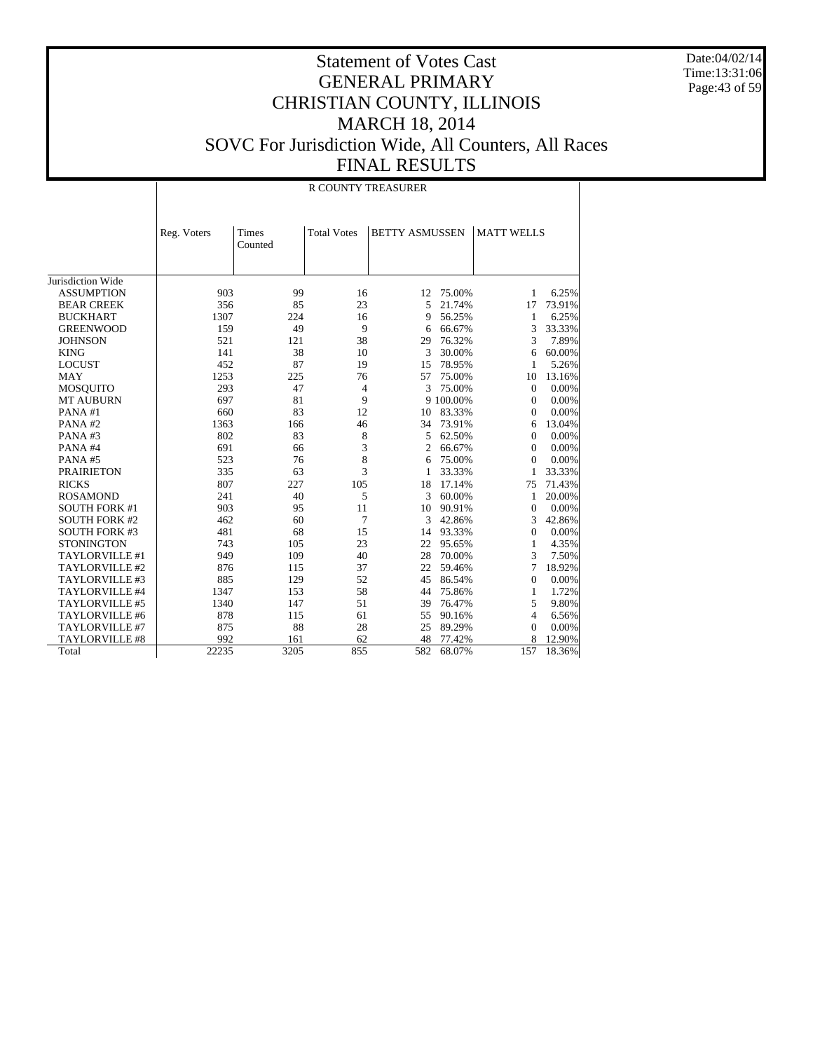Date:04/02/14 Time:13:31:06 Page:43 of 59

|                       |             |                  | <b>R COUNTY TREASURER</b> |                       |           |                   |        |
|-----------------------|-------------|------------------|---------------------------|-----------------------|-----------|-------------------|--------|
|                       | Reg. Voters | Times<br>Counted | <b>Total Votes</b>        | <b>BETTY ASMUSSEN</b> |           | <b>MATT WELLS</b> |        |
| Jurisdiction Wide     |             |                  |                           |                       |           |                   |        |
| <b>ASSUMPTION</b>     | 903         | 99               | 16                        | 12                    | 75.00%    | 1                 | 6.25%  |
| <b>BEAR CREEK</b>     | 356         | 85               | 23                        | 5                     | 21.74%    | 17                | 73.91% |
| <b>BUCKHART</b>       | 1307        | 224              | 16                        | 9                     | 56.25%    | 1                 | 6.25%  |
| <b>GREENWOOD</b>      | 159         | 49               | 9                         | 6                     | 66.67%    | 3                 | 33.33% |
| <b>JOHNSON</b>        | 521         | 121              | 38                        | 29                    | 76.32%    | 3                 | 7.89%  |
| <b>KING</b>           | 141         | 38               | 10                        | 3                     | 30.00%    | 6                 | 60.00% |
| <b>LOCUST</b>         | 452         | 87               | 19                        | 15                    | 78.95%    | 1                 | 5.26%  |
| <b>MAY</b>            | 1253        | 225              | 76                        | 57                    | 75.00%    | 10                | 13.16% |
| <b>MOSQUITO</b>       | 293         | 47               | 4                         | 3                     | 75.00%    | $\theta$          | 0.00%  |
| <b>MT AUBURN</b>      | 697         | 81               | 9                         |                       | 9 100.00% | $\Omega$          | 0.00%  |
| PANA#1                | 660         | 83               | 12                        | 10                    | 83.33%    | $\Omega$          | 0.00%  |
| PANA#2                | 1363        | 166              | 46                        | 34                    | 73.91%    | 6                 | 13.04% |
| PANA#3                | 802         | 83               | 8                         | 5                     | 62.50%    | $\mathbf{0}$      | 0.00%  |
| PANA#4                | 691         | 66               | 3                         | $\overline{2}$        | 66.67%    | $\Omega$          | 0.00%  |
| PANA#5                | 523         | 76               | 8                         | 6                     | 75.00%    | $\Omega$          | 0.00%  |
| <b>PRAIRIETON</b>     | 335         | 63               | 3                         | 1                     | 33.33%    | 1                 | 33.33% |
| <b>RICKS</b>          | 807         | 227              | 105                       | 18                    | 17.14%    | 75                | 71.43% |
| <b>ROSAMOND</b>       | 241         | 40               | 5                         | 3                     | 60.00%    | 1                 | 20.00% |
| <b>SOUTH FORK #1</b>  | 903         | 95               | 11                        | 10                    | 90.91%    | $\overline{0}$    | 0.00%  |
| <b>SOUTH FORK #2</b>  | 462         | 60               | 7                         | 3                     | 42.86%    | 3                 | 42.86% |
| <b>SOUTH FORK #3</b>  | 481         | 68               | 15                        |                       | 14 93.33% | $\mathbf{0}$      | 0.00%  |
| <b>STONINGTON</b>     | 743         | 105              | 23                        | 22                    | 95.65%    | $\mathbf{1}$      | 4.35%  |
| TAYLORVILLE #1        | 949         | 109              | 40                        | 28                    | 70.00%    | 3                 | 7.50%  |
| TAYLORVILLE #2        | 876         | 115              | 37                        | 22                    | 59.46%    | 7                 | 18.92% |
| TAYLORVILLE #3        | 885         | 129              | 52                        | 45                    | 86.54%    | $\theta$          | 0.00%  |
| TAYLORVILLE #4        | 1347        | 153              | 58                        | 44                    | 75.86%    | $\mathbf{1}$      | 1.72%  |
| TAYLORVILLE #5        | 1340        | 147              | 51                        | 39                    | 76.47%    | 5                 | 9.80%  |
| TAYLORVILLE #6        | 878         | 115              | 61                        | 55                    | 90.16%    | 4                 | 6.56%  |
| TAYLORVILLE #7        | 875         | 88               | 28                        | 25                    | 89.29%    | $\Omega$          | 0.00%  |
| <b>TAYLORVILLE #8</b> | 992         | 161              | 62                        | 48                    | 77.42%    | 8                 | 12.90% |
| Total                 | 22235       | 3205             | 855                       | 582                   | 68.07%    | 157               | 18.36% |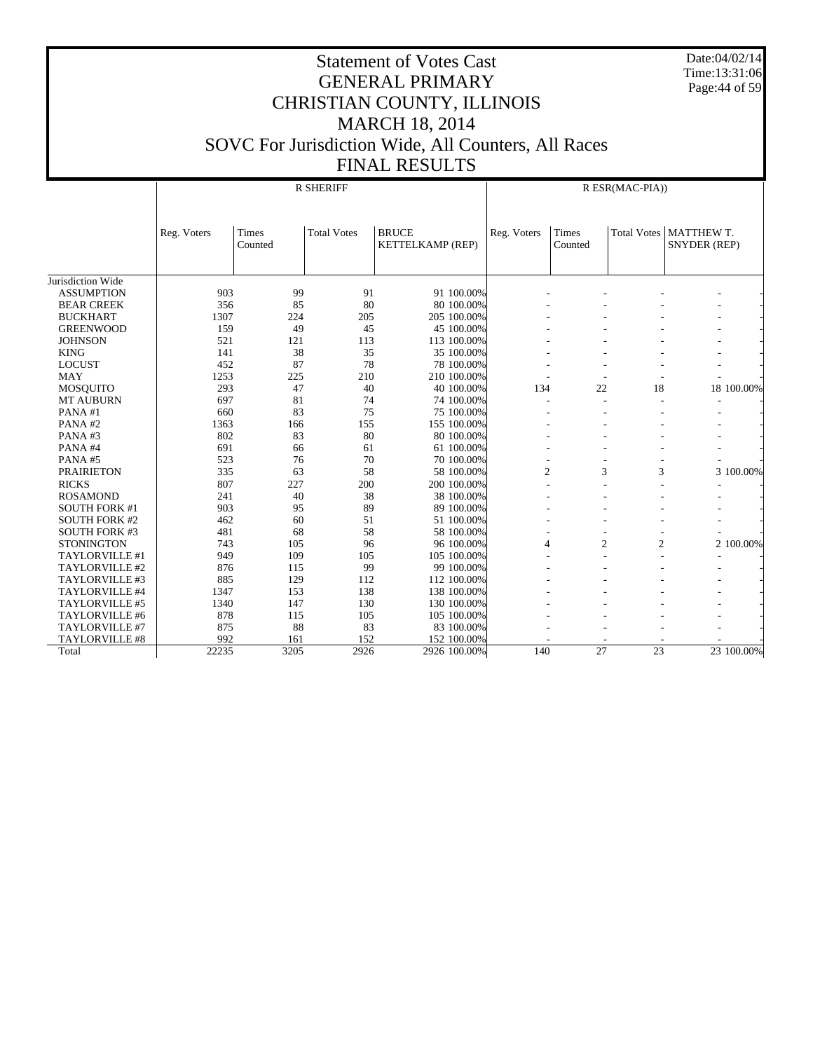Date:04/02/14 Time:13:31:06 Page:44 of 59

|                      |             |                  | <b>R SHERIFF</b>   |                                  |                |                  | R ESR(MAC-PIA))    |                            |
|----------------------|-------------|------------------|--------------------|----------------------------------|----------------|------------------|--------------------|----------------------------|
|                      | Reg. Voters | Times<br>Counted | <b>Total Votes</b> | <b>BRUCE</b><br>KETTELKAMP (REP) | Reg. Voters    | Times<br>Counted | <b>Total Votes</b> | MATTHEW T.<br>SNYDER (REP) |
| Jurisdiction Wide    |             |                  |                    |                                  |                |                  |                    |                            |
| <b>ASSUMPTION</b>    | 903         | 99               | 91                 | 91 100.00%                       |                |                  |                    |                            |
| <b>BEAR CREEK</b>    | 356         | 85               | 80                 | 80 100.00%                       |                |                  |                    |                            |
| <b>BUCKHART</b>      | 1307        | 224              | 205                | 205 100.00%                      |                |                  |                    |                            |
| <b>GREENWOOD</b>     | 159         | 49               | 45                 | 45 100,00%                       |                |                  |                    |                            |
| <b>JOHNSON</b>       | 521         | 121              | 113                | 113 100.00%                      |                |                  |                    |                            |
| <b>KING</b>          | 141         | 38               | 35                 | 35 100.00%                       |                |                  |                    |                            |
| <b>LOCUST</b>        | 452         | 87               | 78                 | 78 100.00%                       |                |                  |                    |                            |
| <b>MAY</b>           | 1253        | 225              | 210                | 210 100.00%                      |                |                  |                    |                            |
| <b>MOSOUITO</b>      | 293         | 47               | 40                 | 40 100.00%                       | 134            | 22               | 18                 | 18 100.00%                 |
| <b>MT AUBURN</b>     | 697         | 81               | 74                 | 74 100.00%                       |                | ٠                |                    |                            |
| PANA#1               | 660         | 83               | 75                 | 75 100.00%                       |                |                  |                    |                            |
| PANA#2               | 1363        | 166              | 155                | 155 100.00%                      |                |                  |                    |                            |
| PANA#3               | 802         | 83               | 80                 | 80 100.00%                       |                |                  |                    |                            |
| PANA#4               | 691         | 66               | 61                 | 61 100.00%                       |                |                  |                    |                            |
| PANA#5               | 523         | 76               | 70                 | 70 100.00%                       |                |                  |                    |                            |
| <b>PRAIRIETON</b>    | 335         | 63               | 58                 | 58 100.00%                       | $\overline{2}$ | 3                | 3                  | 3 100.00%                  |
| <b>RICKS</b>         | 807         | 227              | 200                | 200 100.00%                      |                |                  |                    |                            |
| <b>ROSAMOND</b>      | 241         | 40               | 38                 | 38 100.00%                       |                |                  |                    |                            |
| <b>SOUTH FORK #1</b> | 903         | 95               | 89                 | 89 100,00%                       |                |                  |                    |                            |
| <b>SOUTH FORK #2</b> | 462         | 60               | 51                 | 51 100.00%                       |                |                  |                    |                            |
| <b>SOUTH FORK #3</b> | 481         | 68               | 58                 | 58 100.00%                       |                |                  |                    |                            |
| <b>STONINGTON</b>    | 743         | 105              | 96                 | 96 100.00%                       | 4              | $\overline{c}$   | $\overline{2}$     | 2 100.00%                  |
| TAYLORVILLE #1       | 949         | 109              | 105                | 105 100,00%                      |                |                  |                    |                            |
| TAYLORVILLE #2       | 876         | 115              | 99                 | 99 100.00%                       |                |                  |                    |                            |
| TAYLORVILLE #3       | 885         | 129              | 112                | 112 100.00%                      |                |                  |                    |                            |
| TAYLORVILLE #4       | 1347        | 153              | 138                | 138 100.00%                      |                |                  |                    |                            |
| TAYLORVILLE #5       | 1340        | 147              | 130                | 130 100,00%                      |                |                  |                    |                            |
| TAYLORVILLE #6       | 878         | 115              | 105                | 105 100.00%                      |                |                  |                    |                            |
| TAYLORVILLE #7       | 875         | 88               | 83                 | 83 100.00%                       |                |                  |                    |                            |
| TAYLORVILLE #8       | 992         | 161              | 152                | 152 100.00%                      |                |                  |                    |                            |
| Total                | 22235       | 3205             | 2926               | 2926 100.00%                     | 140            | 27               | $\overline{23}$    | 23 100.00%                 |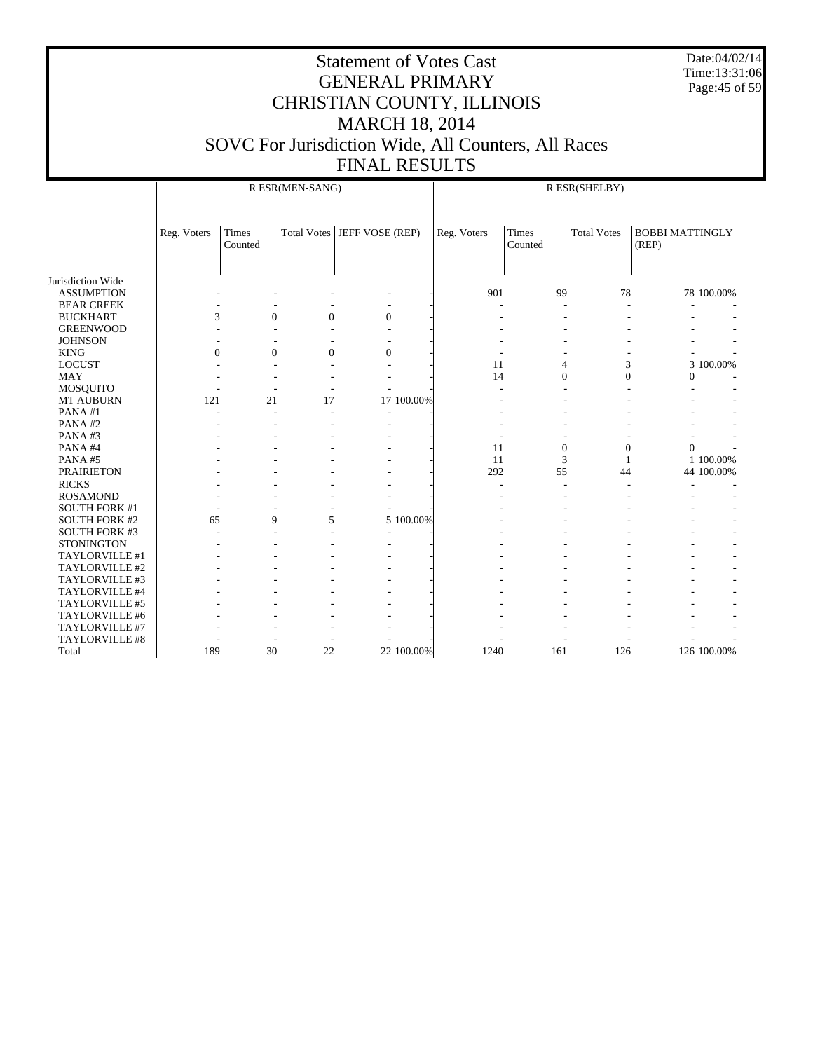Date:04/02/14 Time:13:31:06 Page:45 of 59

|                      |                | R ESR(MEN-SANG)<br>R ESR(SHELBY) |                 |                               |             |                  |                    |                                 |             |
|----------------------|----------------|----------------------------------|-----------------|-------------------------------|-------------|------------------|--------------------|---------------------------------|-------------|
|                      | Reg. Voters    | Times<br>Counted                 |                 | Total Votes   JEFF VOSE (REP) | Reg. Voters | Times<br>Counted | <b>Total Votes</b> | <b>BOBBI MATTINGLY</b><br>(REP) |             |
| Jurisdiction Wide    |                |                                  |                 |                               |             |                  |                    |                                 |             |
| <b>ASSUMPTION</b>    |                |                                  |                 |                               | 901         | 99               | 78                 |                                 | 78 100.00%  |
| <b>BEAR CREEK</b>    |                |                                  |                 |                               |             |                  |                    |                                 |             |
| <b>BUCKHART</b>      | 3              | $\Omega$                         | $\Omega$        | $\overline{0}$                |             |                  |                    |                                 |             |
| <b>GREENWOOD</b>     |                |                                  |                 |                               |             |                  |                    |                                 |             |
| <b>JOHNSON</b>       |                |                                  |                 |                               |             |                  |                    |                                 |             |
| <b>KING</b>          | $\overline{0}$ | $\mathbf{0}$                     | $\mathbf{0}$    | $\overline{0}$                |             |                  |                    |                                 |             |
| LOCUST               |                |                                  |                 |                               | 11          | $\overline{4}$   | 3                  |                                 | 3 100.00%   |
| <b>MAY</b>           |                |                                  |                 |                               | 14          | $\mathbf{0}$     | $\overline{0}$     | $\mathbf{0}$                    |             |
| MOSQUITO             |                |                                  | L,              |                               |             |                  |                    |                                 |             |
| <b>MT AUBURN</b>     | 121            | 21                               | 17              | 17 100.00%                    |             |                  |                    |                                 |             |
| PANA#1               |                |                                  |                 |                               |             |                  |                    |                                 |             |
| PANA#2               |                |                                  |                 |                               |             |                  |                    |                                 |             |
| PANA#3               |                |                                  |                 |                               |             |                  |                    |                                 |             |
| PANA#4               |                |                                  |                 |                               | 11          | $\mathbf{0}$     | $\mathbf{0}$       | $\Omega$                        |             |
| PANA#5               |                |                                  |                 |                               | 11          | 3                | 1                  |                                 | 1 100.00%   |
| <b>PRAIRIETON</b>    |                |                                  |                 |                               | 292         | 55               | 44                 |                                 | 44 100.00%  |
| <b>RICKS</b>         |                |                                  |                 |                               |             |                  |                    |                                 |             |
| <b>ROSAMOND</b>      |                |                                  |                 |                               |             |                  |                    |                                 |             |
| <b>SOUTH FORK #1</b> |                |                                  |                 |                               |             |                  |                    |                                 |             |
| <b>SOUTH FORK #2</b> | 65             | 9                                | 5               | 5 100.00%                     |             |                  |                    |                                 |             |
| <b>SOUTH FORK #3</b> |                |                                  |                 |                               |             |                  |                    |                                 |             |
| <b>STONINGTON</b>    |                |                                  |                 |                               |             |                  |                    |                                 |             |
| TAYLORVILLE #1       |                |                                  |                 |                               |             |                  |                    |                                 |             |
| TAYLORVILLE #2       |                |                                  |                 |                               |             |                  |                    |                                 |             |
| TAYLORVILLE #3       |                |                                  |                 |                               |             |                  |                    |                                 |             |
| TAYLORVILLE #4       |                |                                  |                 |                               |             |                  |                    |                                 |             |
| TAYLORVILLE #5       |                |                                  |                 |                               |             |                  |                    |                                 |             |
| TAYLORVILLE #6       |                |                                  |                 |                               |             |                  |                    |                                 |             |
| TAYLORVILLE #7       |                |                                  |                 |                               |             |                  |                    |                                 |             |
| TAYLORVILLE #8       |                |                                  |                 |                               |             |                  |                    |                                 |             |
| Total                | 189            | $\overline{30}$                  | $\overline{22}$ | 22 100.00%                    | 1240        | 161              | 126                |                                 | 126 100.00% |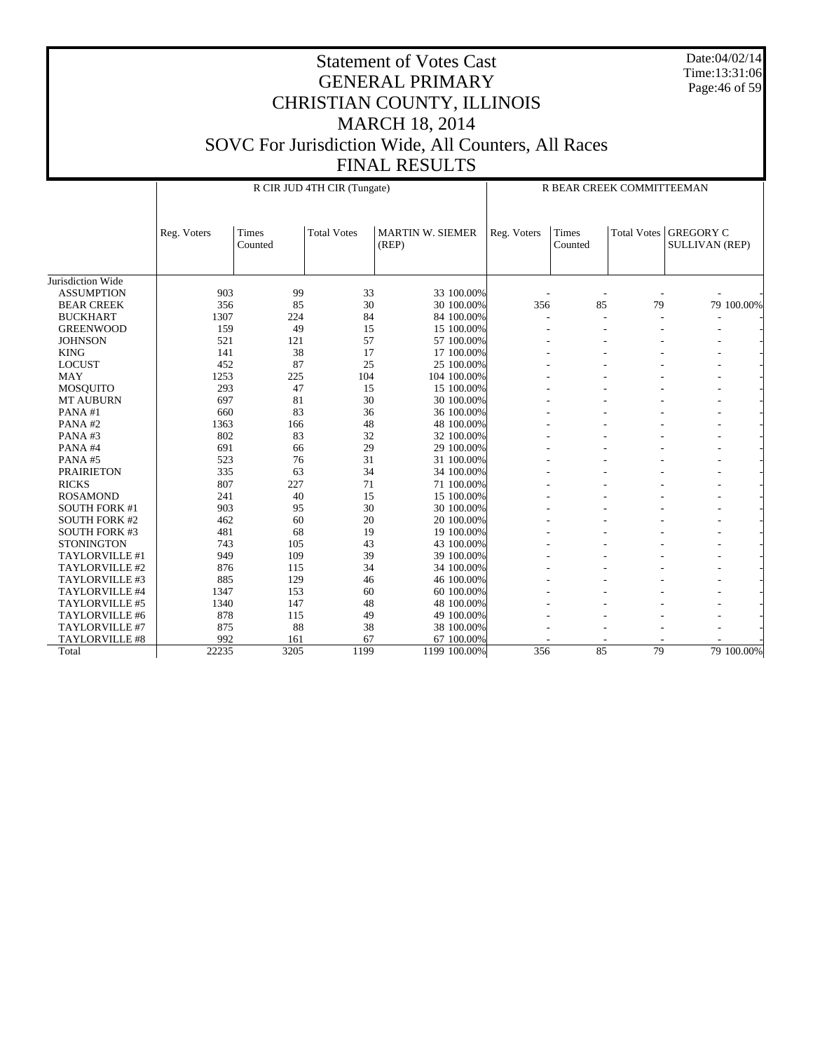Date:04/02/14 Time:13:31:06 Page:46 of 59

|                       |             |                  | R CIR JUD 4TH CIR (Tungate) |                                  | R BEAR CREEK COMMITTEEMAN |                  |                    |                                           |
|-----------------------|-------------|------------------|-----------------------------|----------------------------------|---------------------------|------------------|--------------------|-------------------------------------------|
|                       | Reg. Voters | Times<br>Counted | <b>Total Votes</b>          | <b>MARTIN W. SIEMER</b><br>(REP) | Reg. Voters               | Times<br>Counted | <b>Total Votes</b> | <b>GREGORY C</b><br><b>SULLIVAN (REP)</b> |
| Jurisdiction Wide     |             |                  |                             |                                  |                           |                  |                    |                                           |
| <b>ASSUMPTION</b>     | 903         | 99               | 33                          | 33 100.00%                       |                           |                  |                    |                                           |
| <b>BEAR CREEK</b>     | 356         | 85               | 30                          | 30 100.00%                       | 356                       | 85               | 79                 | 79 100.00%                                |
| <b>BUCKHART</b>       | 1307        | 224              | 84                          | 84 100.00%                       |                           | ٠                |                    |                                           |
| <b>GREENWOOD</b>      | 159         | 49               | 15                          | 15 100.00%                       |                           |                  |                    |                                           |
| <b>JOHNSON</b>        | 521         | 121              | 57                          | 57 100.00%                       |                           |                  |                    |                                           |
| <b>KING</b>           | 141         | 38               | 17                          | 17 100.00%                       |                           |                  |                    |                                           |
| <b>LOCUST</b>         | 452         | 87               | 25                          | 25 100.00%                       |                           |                  |                    |                                           |
| <b>MAY</b>            | 1253        | 225              | 104                         | 104 100,00%                      |                           |                  |                    |                                           |
| <b>MOSQUITO</b>       | 293         | 47               | 15                          | 15 100.00%                       |                           |                  |                    |                                           |
| <b>MT AUBURN</b>      | 697         | 81               | 30                          | 30 100.00%                       |                           |                  |                    |                                           |
| PANA#1                | 660         | 83               | 36                          | 36 100.00%                       |                           |                  |                    |                                           |
| PANA#2                | 1363        | 166              | 48                          | 48 100.00%                       |                           |                  |                    |                                           |
| PANA#3                | 802         | 83               | 32                          | 32 100.00%                       |                           |                  |                    |                                           |
| PANA#4                | 691         | 66               | 29                          | 29 100.00%                       |                           |                  |                    |                                           |
| PANA#5                | 523         | 76               | 31                          | 31 100.00%                       |                           |                  |                    |                                           |
| <b>PRAIRIETON</b>     | 335         | 63               | 34                          | 34 100.00%                       |                           |                  |                    |                                           |
| <b>RICKS</b>          | 807         | 227              | 71                          | 71 100.00%                       |                           |                  |                    |                                           |
| <b>ROSAMOND</b>       | 241         | 40               | 15                          | 15 100.00%                       |                           |                  |                    |                                           |
| <b>SOUTH FORK #1</b>  | 903         | 95               | 30                          | 30 100.00%                       |                           |                  |                    |                                           |
| <b>SOUTH FORK #2</b>  | 462         | 60               | 20                          | 20 100.00%                       |                           |                  |                    |                                           |
| <b>SOUTH FORK #3</b>  | 481         | 68               | 19                          | 19 100.00%                       |                           |                  |                    |                                           |
| <b>STONINGTON</b>     | 743         | 105              | 43                          | 43 100.00%                       |                           |                  |                    |                                           |
| TAYLORVILLE #1        | 949         | 109              | 39                          | 39 100.00%                       |                           |                  |                    |                                           |
| TAYLORVILLE #2        | 876         | 115              | 34                          | 34 100.00%                       |                           |                  |                    |                                           |
| TAYLORVILLE #3        | 885         | 129              | 46                          | 46 100.00%                       |                           |                  |                    |                                           |
| TAYLORVILLE #4        | 1347        | 153              | 60                          | 60 100.00%                       |                           |                  |                    |                                           |
| TAYLORVILLE #5        | 1340        | 147              | 48                          | 48 100.00%                       |                           |                  |                    |                                           |
| TAYLORVILLE #6        | 878         | 115              | 49                          | 49 100.00%                       |                           |                  |                    |                                           |
| TAYLORVILLE #7        | 875         | 88               | 38                          | 38 100.00%                       |                           |                  |                    |                                           |
| <b>TAYLORVILLE #8</b> | 992         | 161              | 67                          | 67 100.00%                       |                           |                  |                    |                                           |
| Total                 | 22235       | 3205             | 1199                        | 1199 100.00%                     | 356                       | 85               | 79                 | 79 100.00%                                |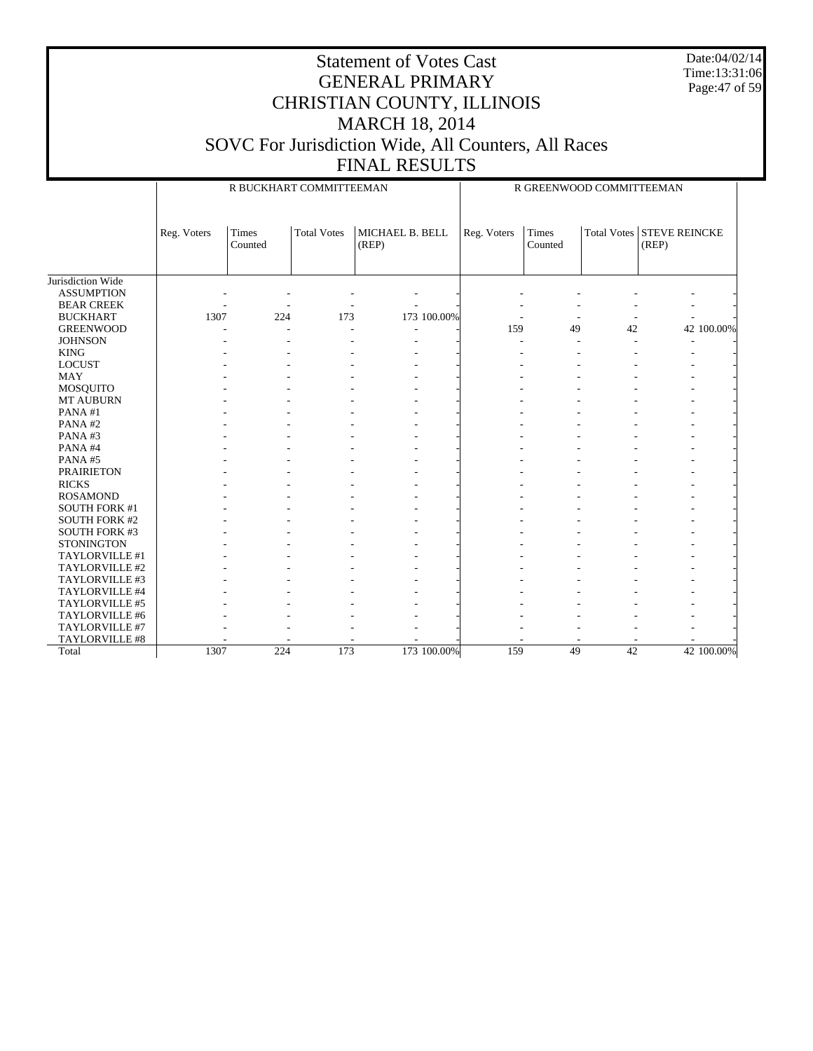Date:04/02/14 Time:13:31:06 Page:47 of 59

|                      |             | R BUCKHART COMMITTEEMAN |                    |                          |             | R GREENWOOD COMMITTEEMAN |                    |                               |
|----------------------|-------------|-------------------------|--------------------|--------------------------|-------------|--------------------------|--------------------|-------------------------------|
|                      | Reg. Voters | Times<br>Counted        | <b>Total Votes</b> | MICHAEL B. BELL<br>(REP) | Reg. Voters | Times<br>Counted         | <b>Total Votes</b> | <b>STEVE REINCKE</b><br>(REP) |
| Jurisdiction Wide    |             |                         |                    |                          |             |                          |                    |                               |
| <b>ASSUMPTION</b>    |             |                         |                    |                          |             |                          |                    |                               |
| <b>BEAR CREEK</b>    |             |                         |                    |                          |             |                          |                    |                               |
| <b>BUCKHART</b>      | 1307        | 224                     | 173                | 173 100.00%              |             |                          |                    |                               |
| <b>GREENWOOD</b>     |             |                         |                    |                          | 159         | 49                       | 42                 | 42 100.00%                    |
| <b>JOHNSON</b>       |             |                         |                    |                          |             |                          |                    |                               |
| <b>KING</b>          |             |                         |                    | ÷                        |             |                          |                    | ۰                             |
| <b>LOCUST</b>        |             |                         |                    |                          |             |                          |                    |                               |
| <b>MAY</b>           |             |                         |                    |                          |             |                          |                    |                               |
| MOSQUITO             |             |                         |                    |                          |             |                          |                    |                               |
| <b>MT AUBURN</b>     |             |                         |                    |                          |             |                          |                    |                               |
| PANA $#1$            |             |                         |                    |                          |             |                          |                    |                               |
| PANA#2               |             |                         |                    |                          |             |                          |                    |                               |
| PANA#3               |             |                         |                    |                          |             |                          |                    |                               |
| PANA#4               |             |                         |                    |                          |             |                          |                    |                               |
| PANA#5               |             |                         |                    |                          |             |                          |                    |                               |
| <b>PRAIRIETON</b>    |             |                         |                    |                          |             |                          |                    |                               |
| <b>RICKS</b>         |             |                         |                    |                          |             |                          |                    |                               |
| <b>ROSAMOND</b>      |             |                         |                    |                          |             |                          |                    |                               |
| <b>SOUTH FORK #1</b> |             |                         |                    |                          |             |                          |                    |                               |
| <b>SOUTH FORK #2</b> |             |                         |                    |                          |             |                          |                    |                               |
| <b>SOUTH FORK #3</b> |             |                         |                    |                          |             |                          |                    |                               |
| <b>STONINGTON</b>    |             |                         |                    |                          |             |                          |                    |                               |
| TAYLORVILLE #1       |             |                         |                    |                          |             |                          |                    |                               |
| TAYLORVILLE #2       |             |                         |                    |                          |             |                          |                    |                               |
| TAYLORVILLE #3       |             |                         |                    |                          |             |                          |                    |                               |
| TAYLORVILLE #4       |             |                         |                    |                          |             |                          |                    |                               |
| TAYLORVILLE #5       |             |                         |                    |                          |             |                          |                    |                               |
| TAYLORVILLE #6       |             |                         |                    |                          |             |                          |                    |                               |
| TAYLORVILLE #7       |             |                         |                    |                          |             |                          |                    |                               |
| TAYLORVILLE #8       |             |                         |                    |                          |             |                          |                    |                               |
| Total                | 1307        | 224                     | 173                | 173 100.00%              | 159         | 49                       | 42                 | 42 100.00%                    |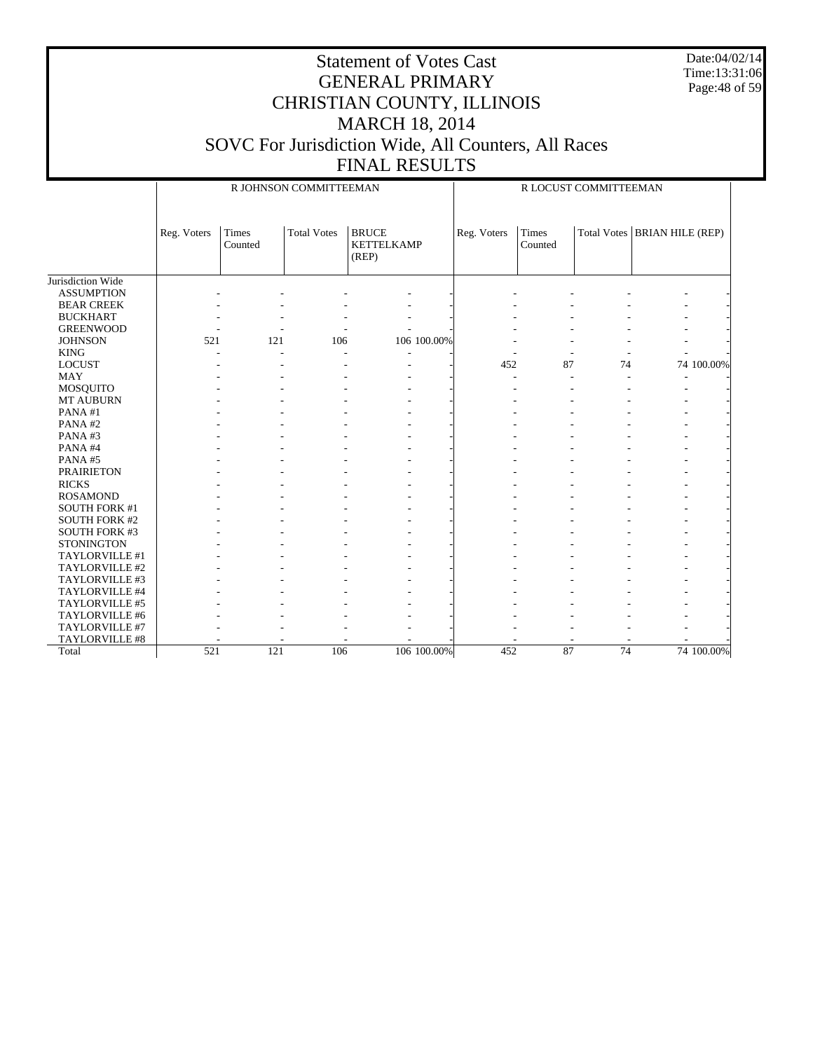Date:04/02/14 Time:13:31:06 Page:48 of 59

|                      |             | R JOHNSON COMMITTEEMAN |                    |                                            |             |                  | R LOCUST COMMITTEEMAN |                                |  |  |  |  |
|----------------------|-------------|------------------------|--------------------|--------------------------------------------|-------------|------------------|-----------------------|--------------------------------|--|--|--|--|
|                      | Reg. Voters | Times<br>Counted       | <b>Total Votes</b> | <b>BRUCE</b><br><b>KETTELKAMP</b><br>(REP) | Reg. Voters | Times<br>Counted |                       | Total Votes   BRIAN HILE (REP) |  |  |  |  |
| Jurisdiction Wide    |             |                        |                    |                                            |             |                  |                       |                                |  |  |  |  |
| <b>ASSUMPTION</b>    |             |                        |                    |                                            |             |                  |                       |                                |  |  |  |  |
| <b>BEAR CREEK</b>    |             |                        |                    |                                            |             |                  |                       |                                |  |  |  |  |
| <b>BUCKHART</b>      |             |                        |                    |                                            |             |                  |                       |                                |  |  |  |  |
| <b>GREENWOOD</b>     |             |                        |                    |                                            |             |                  |                       |                                |  |  |  |  |
| <b>JOHNSON</b>       | 521         | 121                    | 106                | 106 100.00%                                |             |                  |                       |                                |  |  |  |  |
| <b>KING</b>          |             |                        |                    |                                            |             |                  |                       |                                |  |  |  |  |
| <b>LOCUST</b>        |             |                        |                    |                                            | 452         | 87               | 74                    | 74 100.00%                     |  |  |  |  |
| <b>MAY</b>           |             |                        |                    |                                            |             |                  |                       |                                |  |  |  |  |
| MOSQUITO             |             |                        |                    |                                            |             |                  |                       |                                |  |  |  |  |
| <b>MT AUBURN</b>     |             |                        |                    |                                            |             |                  |                       |                                |  |  |  |  |
| PANA#1               |             |                        |                    |                                            |             |                  |                       |                                |  |  |  |  |
| PANA#2               |             |                        |                    |                                            |             |                  |                       |                                |  |  |  |  |
| PANA#3               |             |                        |                    |                                            |             |                  |                       |                                |  |  |  |  |
| PANA#4               |             |                        |                    |                                            |             |                  |                       |                                |  |  |  |  |
| PANA#5               |             |                        |                    |                                            |             |                  |                       |                                |  |  |  |  |
| <b>PRAIRIETON</b>    |             |                        |                    |                                            |             |                  |                       |                                |  |  |  |  |
| <b>RICKS</b>         |             |                        |                    |                                            |             |                  |                       |                                |  |  |  |  |
| <b>ROSAMOND</b>      |             |                        |                    |                                            |             |                  |                       |                                |  |  |  |  |
| <b>SOUTH FORK #1</b> |             |                        |                    |                                            |             |                  |                       |                                |  |  |  |  |
| <b>SOUTH FORK #2</b> |             |                        |                    |                                            |             |                  |                       |                                |  |  |  |  |
| <b>SOUTH FORK #3</b> |             |                        |                    |                                            |             |                  |                       |                                |  |  |  |  |
| <b>STONINGTON</b>    |             |                        |                    |                                            |             |                  |                       |                                |  |  |  |  |
| TAYLORVILLE #1       |             |                        |                    |                                            |             |                  |                       |                                |  |  |  |  |
| TAYLORVILLE #2       |             |                        |                    |                                            |             |                  |                       |                                |  |  |  |  |
| TAYLORVILLE #3       |             |                        |                    |                                            |             |                  |                       |                                |  |  |  |  |
| TAYLORVILLE #4       |             |                        |                    |                                            |             |                  |                       |                                |  |  |  |  |
| TAYLORVILLE #5       |             |                        |                    |                                            |             |                  |                       |                                |  |  |  |  |
| TAYLORVILLE #6       |             |                        |                    |                                            |             |                  |                       |                                |  |  |  |  |
| TAYLORVILLE #7       |             |                        |                    |                                            |             |                  |                       |                                |  |  |  |  |
| TAYLORVILLE #8       |             |                        |                    |                                            |             |                  |                       |                                |  |  |  |  |
| Total                | 521         | 121                    | 106                | 106 100.00%                                | 452         | 87               | $\overline{74}$       | 74 100.00%                     |  |  |  |  |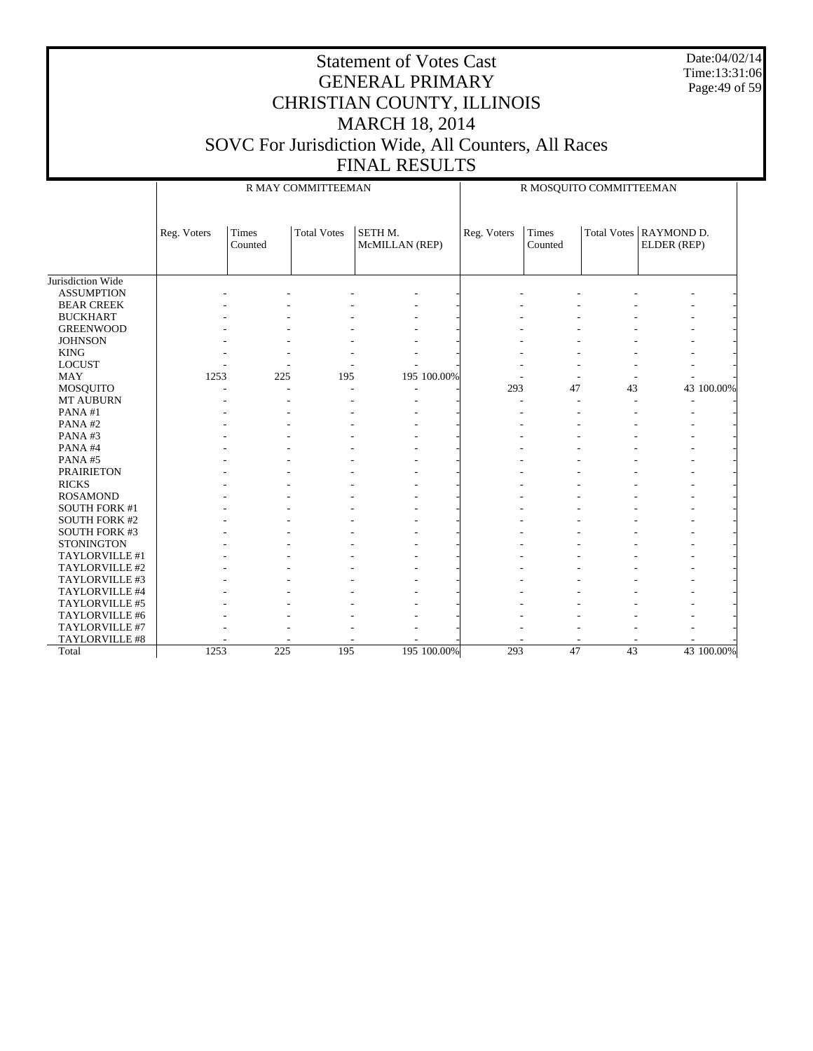Date:04/02/14 Time:13:31:06 Page:49 of 59

|                      |             |                         | R MAY COMMITTEEMAN |                           |             | R MOSQUITO COMMITTEEMAN |    |                                       |  |  |
|----------------------|-------------|-------------------------|--------------------|---------------------------|-------------|-------------------------|----|---------------------------------------|--|--|
|                      | Reg. Voters | <b>Times</b><br>Counted | <b>Total Votes</b> | SETH M.<br>McMILLAN (REP) | Reg. Voters | <b>Times</b><br>Counted |    | Total Votes RAYMOND D.<br>ELDER (REP) |  |  |
| Jurisdiction Wide    |             |                         |                    |                           |             |                         |    |                                       |  |  |
| <b>ASSUMPTION</b>    |             |                         |                    |                           |             |                         |    |                                       |  |  |
| <b>BEAR CREEK</b>    |             |                         |                    |                           |             |                         |    |                                       |  |  |
| <b>BUCKHART</b>      |             |                         |                    |                           |             |                         |    |                                       |  |  |
| <b>GREENWOOD</b>     |             |                         |                    |                           |             |                         |    |                                       |  |  |
| <b>JOHNSON</b>       |             |                         |                    |                           |             |                         |    |                                       |  |  |
| <b>KING</b>          |             |                         |                    |                           |             |                         |    |                                       |  |  |
| <b>LOCUST</b>        |             |                         |                    |                           |             |                         |    |                                       |  |  |
| <b>MAY</b>           | 1253        | 225                     | 195                | 195 100.00%               |             |                         |    |                                       |  |  |
| MOSQUITO             |             |                         |                    |                           | 293         | 47                      | 43 | 43 100.00%                            |  |  |
| <b>MT AUBURN</b>     |             |                         |                    | ÷.                        |             |                         |    |                                       |  |  |
| PANA#1               |             |                         |                    |                           |             |                         |    |                                       |  |  |
| PANA#2               |             |                         |                    |                           |             |                         |    |                                       |  |  |
| PANA#3               |             |                         |                    |                           |             |                         |    |                                       |  |  |
| PANA#4               |             |                         |                    |                           |             |                         |    |                                       |  |  |
| PANA#5               |             |                         |                    |                           |             |                         |    |                                       |  |  |
| <b>PRAIRIETON</b>    |             |                         |                    |                           |             |                         |    |                                       |  |  |
| <b>RICKS</b>         |             |                         |                    |                           |             |                         |    |                                       |  |  |
| <b>ROSAMOND</b>      |             |                         |                    |                           |             |                         |    |                                       |  |  |
| <b>SOUTH FORK #1</b> |             |                         |                    |                           |             |                         |    |                                       |  |  |
| <b>SOUTH FORK #2</b> |             |                         |                    |                           |             |                         |    |                                       |  |  |
| <b>SOUTH FORK #3</b> |             |                         |                    |                           |             |                         |    |                                       |  |  |
| <b>STONINGTON</b>    |             |                         |                    |                           |             |                         |    |                                       |  |  |
| TAYLORVILLE #1       |             |                         |                    |                           |             |                         |    |                                       |  |  |
| TAYLORVILLE #2       |             |                         |                    |                           |             |                         |    |                                       |  |  |
| TAYLORVILLE #3       |             |                         |                    |                           |             |                         |    |                                       |  |  |
| TAYLORVILLE #4       |             |                         |                    |                           |             |                         |    |                                       |  |  |
| TAYLORVILLE #5       |             |                         |                    |                           |             |                         |    |                                       |  |  |
| TAYLORVILLE #6       |             |                         |                    |                           |             |                         |    |                                       |  |  |
| TAYLORVILLE #7       |             |                         |                    |                           |             |                         |    |                                       |  |  |
| TAYLORVILLE #8       |             |                         |                    |                           |             |                         |    |                                       |  |  |
| Total                | 1253        | 225                     | 195                | 195 100.00%               | 293         | 47                      | 43 | 43 100.00%                            |  |  |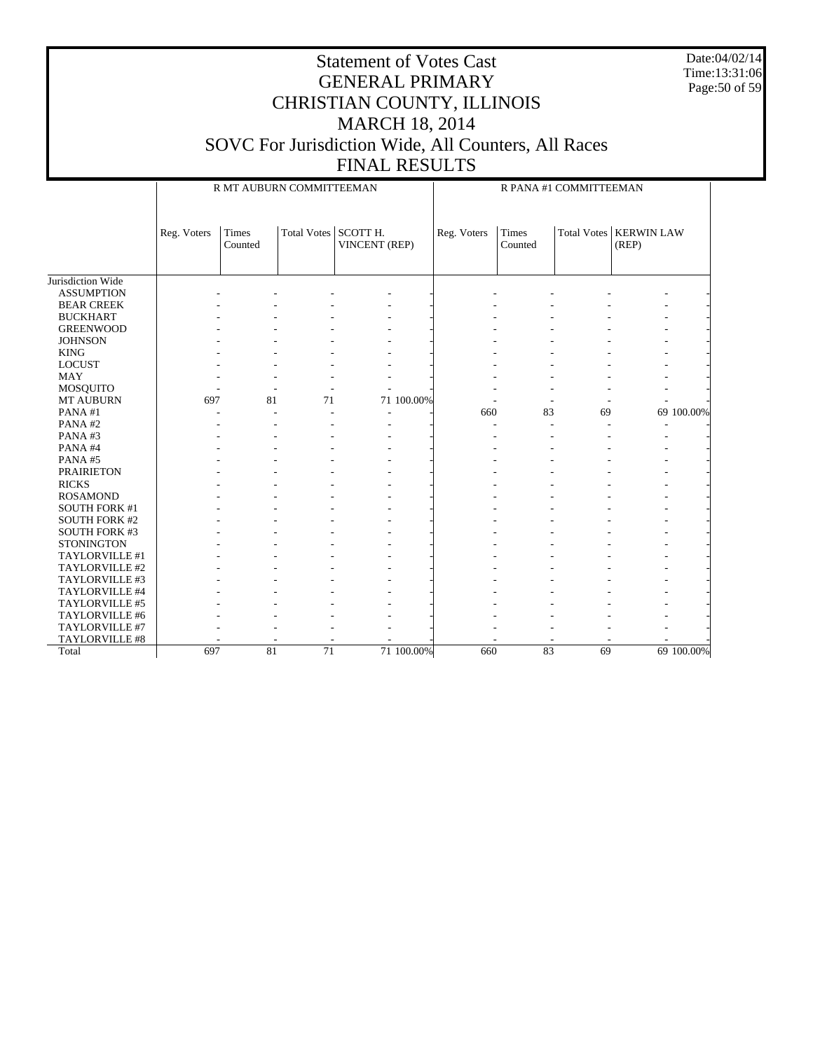Date:04/02/14 Time:13:31:06 Page:50 of 59

|                      |             | R MT AUBURN COMMITTEEMAN |                      |                      |            | R PANA #1 COMMITTEEMAN |                         |    |                                          |            |
|----------------------|-------------|--------------------------|----------------------|----------------------|------------|------------------------|-------------------------|----|------------------------------------------|------------|
|                      | Reg. Voters | Times<br>Counted         | Total Votes SCOTT H. | <b>VINCENT</b> (REP) |            | Reg. Voters            | <b>Times</b><br>Counted |    | <b>Total Votes   KERWIN LAW</b><br>(REP) |            |
|                      |             |                          |                      |                      |            |                        |                         |    |                                          |            |
|                      |             |                          |                      |                      |            |                        |                         |    |                                          |            |
| Jurisdiction Wide    |             |                          |                      |                      |            |                        |                         |    |                                          |            |
| <b>ASSUMPTION</b>    |             |                          |                      |                      |            |                        |                         |    |                                          |            |
| <b>BEAR CREEK</b>    |             |                          |                      |                      |            |                        |                         |    |                                          |            |
| <b>BUCKHART</b>      |             |                          |                      |                      |            |                        |                         |    |                                          |            |
| <b>GREENWOOD</b>     |             |                          |                      |                      |            |                        |                         |    |                                          |            |
| <b>JOHNSON</b>       |             |                          |                      |                      |            |                        |                         |    |                                          |            |
| <b>KING</b>          |             |                          |                      |                      |            |                        |                         |    |                                          |            |
| <b>LOCUST</b>        |             |                          |                      |                      |            |                        |                         |    |                                          |            |
| <b>MAY</b>           |             |                          |                      |                      |            |                        |                         |    |                                          |            |
| MOSQUITO             |             |                          |                      |                      |            |                        |                         |    |                                          |            |
| <b>MT AUBURN</b>     | 697         | 81                       | 71                   |                      | 71 100.00% |                        |                         |    |                                          |            |
| PANA#1               |             |                          |                      | $\overline{a}$       |            | 660                    | 83                      | 69 |                                          | 69 100.00% |
| PANA#2               |             |                          |                      |                      |            |                        |                         |    |                                          |            |
| PANA#3               |             |                          |                      |                      |            |                        |                         |    |                                          |            |
| PANA#4               |             |                          |                      |                      |            |                        |                         |    |                                          |            |
| PANA#5               |             |                          |                      |                      |            |                        |                         |    |                                          |            |
| <b>PRAIRIETON</b>    |             |                          |                      |                      |            |                        |                         |    |                                          |            |
| <b>RICKS</b>         |             |                          |                      |                      |            |                        |                         |    |                                          |            |
| <b>ROSAMOND</b>      |             |                          |                      |                      |            |                        |                         |    |                                          |            |
| <b>SOUTH FORK #1</b> |             |                          |                      |                      |            |                        |                         |    |                                          |            |
| <b>SOUTH FORK #2</b> |             |                          |                      |                      |            |                        |                         |    |                                          |            |
| <b>SOUTH FORK #3</b> |             |                          |                      |                      |            |                        |                         |    |                                          |            |
| <b>STONINGTON</b>    |             |                          |                      |                      |            |                        |                         |    |                                          |            |
| TAYLORVILLE #1       |             |                          |                      |                      |            |                        |                         |    |                                          |            |
| TAYLORVILLE #2       |             |                          |                      |                      |            |                        |                         |    |                                          |            |
| TAYLORVILLE #3       |             |                          |                      |                      |            |                        |                         |    |                                          |            |
| TAYLORVILLE #4       |             |                          |                      |                      |            |                        |                         |    |                                          |            |
| TAYLORVILLE #5       |             |                          |                      |                      |            |                        |                         |    |                                          |            |
| TAYLORVILLE #6       |             |                          |                      |                      |            |                        |                         |    |                                          |            |
| TAYLORVILLE #7       |             |                          |                      |                      |            |                        |                         |    |                                          |            |
| TAYLORVILLE #8       |             |                          |                      |                      |            |                        |                         |    |                                          |            |
| Total                | 697         | 81                       | $\overline{71}$      |                      | 71 100.00% | 660                    | $\overline{83}$         | 69 |                                          | 69 100.00% |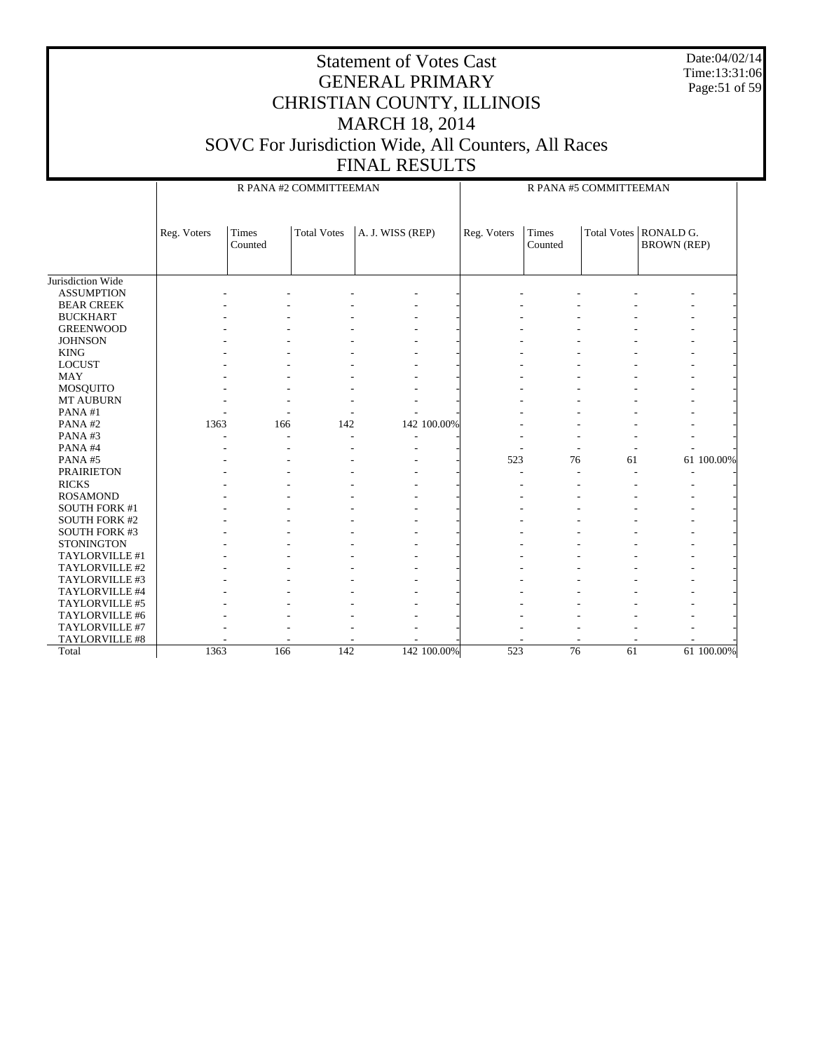Date:04/02/14 Time:13:31:06 Page:51 of 59

|                      |             |                  | R PANA #2 COMMITTEEMAN |                  | R PANA #5 COMMITTEEMAN |                  |             |                                 |  |  |
|----------------------|-------------|------------------|------------------------|------------------|------------------------|------------------|-------------|---------------------------------|--|--|
|                      | Reg. Voters | Times<br>Counted | <b>Total Votes</b>     | A. J. WISS (REP) | Reg. Voters            | Times<br>Counted | Total Votes | RONALD G.<br><b>BROWN</b> (REP) |  |  |
| Jurisdiction Wide    |             |                  |                        |                  |                        |                  |             |                                 |  |  |
| <b>ASSUMPTION</b>    |             |                  |                        |                  |                        |                  |             |                                 |  |  |
| <b>BEAR CREEK</b>    |             |                  |                        |                  |                        |                  |             |                                 |  |  |
| <b>BUCKHART</b>      |             |                  |                        |                  |                        |                  |             |                                 |  |  |
| <b>GREENWOOD</b>     |             |                  |                        |                  |                        |                  |             |                                 |  |  |
| <b>JOHNSON</b>       |             |                  |                        |                  |                        |                  |             |                                 |  |  |
| <b>KING</b>          |             |                  |                        |                  |                        |                  |             |                                 |  |  |
| <b>LOCUST</b>        |             |                  |                        |                  |                        |                  |             |                                 |  |  |
| <b>MAY</b>           |             |                  |                        |                  |                        |                  |             |                                 |  |  |
| MOSQUITO             |             |                  |                        |                  |                        |                  |             |                                 |  |  |
| MT AUBURN            |             |                  |                        |                  |                        |                  |             |                                 |  |  |
| PANA#1               |             |                  |                        |                  |                        |                  |             |                                 |  |  |
| PANA#2               | 1363        | 166              | 142                    | 142 100.00%      |                        |                  |             |                                 |  |  |
| PANA#3               |             |                  |                        |                  |                        |                  |             |                                 |  |  |
| PANA#4               |             |                  |                        |                  |                        |                  |             |                                 |  |  |
| PANA#5               |             |                  |                        |                  | 523                    | 76               | 61          | 61 100.00%                      |  |  |
| <b>PRAIRIETON</b>    |             |                  |                        |                  |                        |                  |             |                                 |  |  |
| <b>RICKS</b>         |             |                  |                        |                  |                        |                  |             |                                 |  |  |
| <b>ROSAMOND</b>      |             |                  |                        |                  |                        |                  |             |                                 |  |  |
| <b>SOUTH FORK #1</b> |             |                  |                        |                  |                        |                  |             |                                 |  |  |
| <b>SOUTH FORK #2</b> |             |                  |                        |                  |                        |                  |             |                                 |  |  |
| <b>SOUTH FORK #3</b> |             |                  |                        |                  |                        |                  |             |                                 |  |  |
| <b>STONINGTON</b>    |             |                  |                        |                  |                        |                  |             |                                 |  |  |
| TAYLORVILLE #1       |             |                  |                        |                  |                        |                  |             |                                 |  |  |
| TAYLORVILLE #2       |             |                  |                        |                  |                        |                  |             |                                 |  |  |
| TAYLORVILLE #3       |             |                  |                        |                  |                        |                  |             |                                 |  |  |
| TAYLORVILLE #4       |             |                  |                        |                  |                        |                  |             |                                 |  |  |
| TAYLORVILLE #5       |             |                  |                        |                  |                        |                  |             |                                 |  |  |
| TAYLORVILLE #6       |             |                  |                        |                  |                        |                  |             |                                 |  |  |
| TAYLORVILLE #7       |             |                  |                        |                  |                        |                  |             |                                 |  |  |
| TAYLORVILLE #8       |             |                  |                        |                  |                        |                  |             |                                 |  |  |
| Total                | 1363        | 166              | 142                    | 142 100.00%      | 523                    | $\overline{76}$  | 61          | 61 100.00%                      |  |  |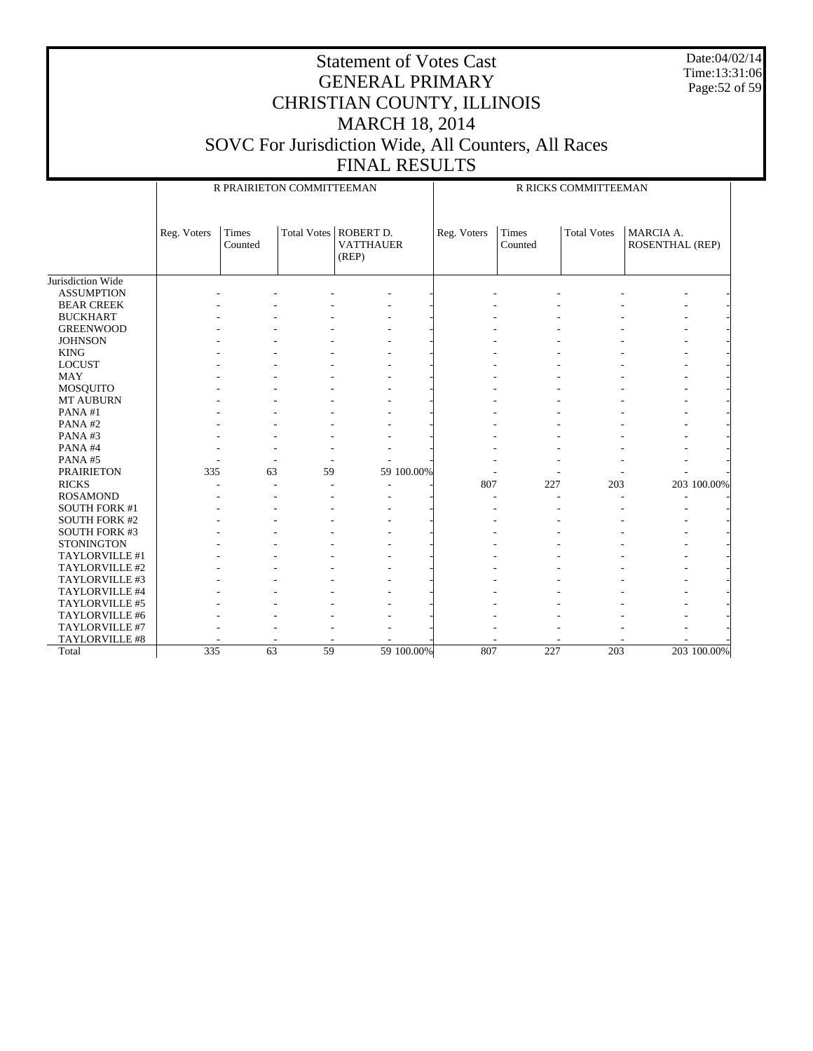Date:04/02/14 Time:13:31:06 Page:52 of 59

|                      |             | R PRAIRIETON COMMITTEEMAN |    |                                                      | R RICKS COMMITTEEMAN |                  |                    |                              |             |  |
|----------------------|-------------|---------------------------|----|------------------------------------------------------|----------------------|------------------|--------------------|------------------------------|-------------|--|
|                      | Reg. Voters | Times<br>Counted          |    | Total Votes   ROBERT D.<br><b>VATTHAUER</b><br>(REP) | Reg. Voters          | Times<br>Counted | <b>Total Votes</b> | MARCIA A.<br>ROSENTHAL (REP) |             |  |
| Jurisdiction Wide    |             |                           |    |                                                      |                      |                  |                    |                              |             |  |
| <b>ASSUMPTION</b>    |             |                           |    |                                                      |                      |                  |                    |                              |             |  |
| <b>BEAR CREEK</b>    |             |                           |    |                                                      |                      |                  |                    |                              |             |  |
| <b>BUCKHART</b>      |             |                           |    |                                                      |                      |                  |                    |                              |             |  |
| <b>GREENWOOD</b>     |             |                           |    |                                                      |                      |                  |                    |                              |             |  |
| <b>JOHNSON</b>       |             |                           |    |                                                      |                      |                  |                    |                              |             |  |
| <b>KING</b>          |             |                           |    |                                                      |                      |                  |                    |                              |             |  |
| <b>LOCUST</b>        |             |                           |    |                                                      |                      |                  |                    |                              |             |  |
| <b>MAY</b>           |             |                           |    |                                                      |                      |                  |                    |                              |             |  |
| <b>MOSQUITO</b>      |             |                           |    |                                                      |                      |                  |                    |                              |             |  |
| MT AUBURN            |             |                           |    |                                                      |                      |                  |                    |                              |             |  |
| PANA#1               |             |                           |    |                                                      |                      |                  |                    |                              |             |  |
| PANA#2               |             |                           |    |                                                      |                      |                  |                    |                              |             |  |
| PANA#3               |             |                           |    |                                                      |                      |                  |                    |                              |             |  |
| PANA#4               |             |                           |    |                                                      |                      |                  |                    |                              |             |  |
| PANA#5               |             |                           |    |                                                      |                      |                  |                    |                              |             |  |
| <b>PRAIRIETON</b>    | 335         | 63                        | 59 | 59 100.00%                                           |                      |                  |                    |                              |             |  |
| <b>RICKS</b>         |             |                           |    |                                                      | 807                  | 227              | 203                |                              | 203 100.00% |  |
| <b>ROSAMOND</b>      |             |                           |    |                                                      |                      |                  |                    |                              |             |  |
| <b>SOUTH FORK #1</b> |             |                           |    |                                                      |                      |                  |                    |                              |             |  |
| <b>SOUTH FORK #2</b> |             |                           |    |                                                      |                      |                  |                    |                              |             |  |
| <b>SOUTH FORK #3</b> |             |                           |    |                                                      |                      |                  |                    |                              |             |  |
| <b>STONINGTON</b>    |             |                           |    |                                                      |                      |                  |                    |                              |             |  |
| TAYLORVILLE #1       |             |                           |    |                                                      |                      |                  |                    |                              |             |  |
| TAYLORVILLE #2       |             |                           |    |                                                      |                      |                  |                    |                              |             |  |
| TAYLORVILLE #3       |             |                           |    |                                                      |                      |                  |                    |                              |             |  |
| TAYLORVILLE #4       |             |                           |    |                                                      |                      |                  |                    |                              |             |  |
| TAYLORVILLE #5       |             |                           |    |                                                      |                      |                  |                    |                              |             |  |
| TAYLORVILLE #6       |             |                           |    |                                                      |                      |                  |                    |                              |             |  |
| TAYLORVILLE #7       |             |                           |    |                                                      |                      |                  |                    |                              |             |  |
| TAYLORVILLE #8       |             |                           |    |                                                      |                      |                  |                    |                              |             |  |
| Total                | 335         | $\overline{63}$           | 59 | 59 100.00%                                           | 807                  | 227              | 203                |                              | 203 100.00% |  |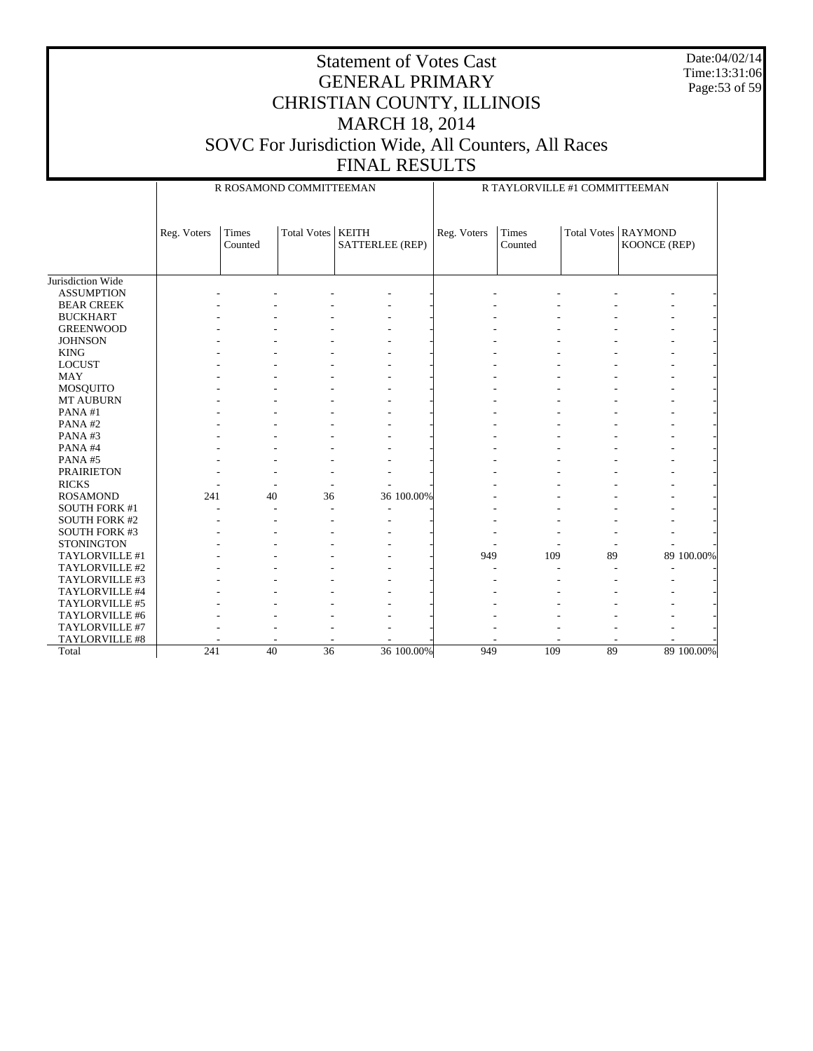Date:04/02/14 Time:13:31:06 Page:53 of 59

|                      |             |                         | R ROSAMOND COMMITTEEMAN |                 | R TAYLORVILLE #1 COMMITTEEMAN |                  |    |                                       |            |  |
|----------------------|-------------|-------------------------|-------------------------|-----------------|-------------------------------|------------------|----|---------------------------------------|------------|--|
|                      | Reg. Voters | <b>Times</b><br>Counted | Total Votes   KEITH     | SATTERLEE (REP) | Reg. Voters                   | Times<br>Counted |    | Total Votes   RAYMOND<br>KOONCE (REP) |            |  |
|                      |             |                         |                         |                 |                               |                  |    |                                       |            |  |
| Jurisdiction Wide    |             |                         |                         |                 |                               |                  |    |                                       |            |  |
| <b>ASSUMPTION</b>    |             |                         |                         |                 |                               |                  |    |                                       |            |  |
| <b>BEAR CREEK</b>    |             |                         |                         |                 |                               |                  |    |                                       |            |  |
| <b>BUCKHART</b>      |             |                         |                         |                 |                               |                  |    |                                       |            |  |
| <b>GREENWOOD</b>     |             |                         |                         |                 |                               |                  |    |                                       |            |  |
| <b>JOHNSON</b>       |             |                         |                         |                 |                               |                  |    |                                       |            |  |
| <b>KING</b>          |             |                         |                         |                 |                               |                  |    |                                       |            |  |
| <b>LOCUST</b>        |             |                         |                         |                 |                               |                  |    |                                       |            |  |
| <b>MAY</b>           |             |                         |                         |                 |                               |                  |    |                                       |            |  |
| MOSQUITO             |             |                         |                         |                 |                               |                  |    |                                       |            |  |
| <b>MT AUBURN</b>     |             |                         |                         |                 |                               |                  |    |                                       |            |  |
| PANA#1               |             |                         |                         |                 |                               |                  |    |                                       |            |  |
| PANA#2               |             |                         |                         |                 |                               |                  |    |                                       |            |  |
| PANA#3               |             |                         |                         |                 |                               |                  |    |                                       |            |  |
| PANA#4               |             |                         |                         |                 |                               |                  |    |                                       |            |  |
| PANA#5               |             |                         |                         |                 |                               |                  |    |                                       |            |  |
| <b>PRAIRIETON</b>    |             |                         |                         |                 |                               |                  |    |                                       |            |  |
| <b>RICKS</b>         |             |                         |                         |                 |                               |                  |    |                                       |            |  |
| <b>ROSAMOND</b>      | 241         | 40                      | 36                      | 36 100.00%      |                               |                  |    |                                       |            |  |
| <b>SOUTH FORK #1</b> |             |                         |                         |                 |                               |                  |    |                                       |            |  |
| <b>SOUTH FORK #2</b> |             |                         |                         |                 |                               |                  |    |                                       |            |  |
| <b>SOUTH FORK #3</b> |             |                         |                         |                 |                               |                  |    |                                       |            |  |
| <b>STONINGTON</b>    |             |                         |                         |                 |                               |                  |    |                                       |            |  |
| TAYLORVILLE #1       |             |                         |                         |                 | 949                           | 109              | 89 |                                       | 89 100.00% |  |
| TAYLORVILLE #2       |             |                         |                         |                 |                               |                  |    |                                       |            |  |
| TAYLORVILLE #3       |             |                         |                         |                 |                               |                  |    |                                       |            |  |
| TAYLORVILLE #4       |             |                         |                         |                 |                               |                  |    |                                       |            |  |
| TAYLORVILLE #5       |             |                         |                         |                 |                               |                  |    |                                       |            |  |
| TAYLORVILLE #6       |             |                         |                         |                 |                               |                  |    |                                       |            |  |
| TAYLORVILLE #7       |             |                         |                         |                 |                               |                  |    |                                       |            |  |
| TAYLORVILLE #8       |             |                         |                         |                 |                               |                  |    |                                       |            |  |
| Total                | 241         | 40                      | $\overline{36}$         | 36 100.00%      | 949                           | 109              | 89 |                                       | 89 100.00% |  |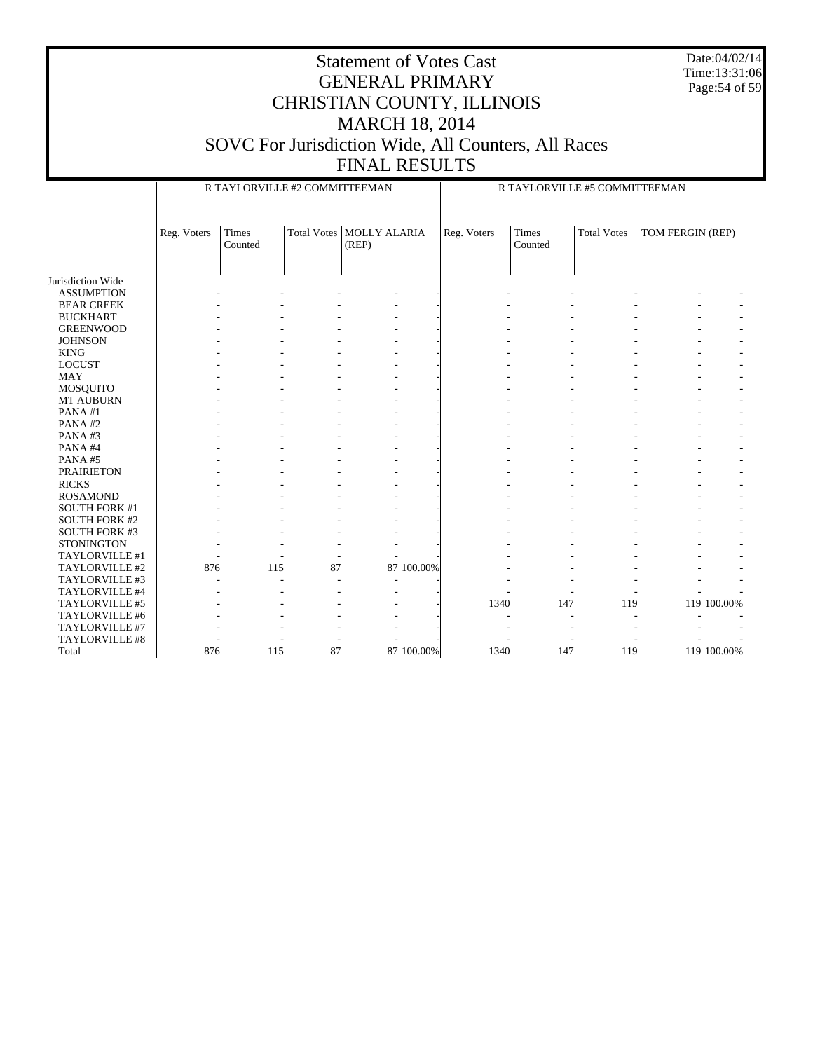Date:04/02/14 Time:13:31:06 Page:54 of 59

|                      |             | R TAYLORVILLE #2 COMMITTEEMAN |    |                                     |            |             | R TAYLORVILLE #5 COMMITTEEMAN |                    |                  |             |  |  |
|----------------------|-------------|-------------------------------|----|-------------------------------------|------------|-------------|-------------------------------|--------------------|------------------|-------------|--|--|
|                      | Reg. Voters | Times<br>Counted              |    | Total Votes   MOLLY ALARIA<br>(REP) |            | Reg. Voters | <b>Times</b><br>Counted       | <b>Total Votes</b> | TOM FERGIN (REP) |             |  |  |
| Jurisdiction Wide    |             |                               |    |                                     |            |             |                               |                    |                  |             |  |  |
| <b>ASSUMPTION</b>    |             |                               |    |                                     |            |             |                               |                    |                  |             |  |  |
| <b>BEAR CREEK</b>    |             |                               |    |                                     |            |             |                               |                    |                  |             |  |  |
| <b>BUCKHART</b>      |             |                               |    |                                     |            |             |                               |                    |                  |             |  |  |
| <b>GREENWOOD</b>     |             |                               |    |                                     |            |             |                               |                    |                  |             |  |  |
| <b>JOHNSON</b>       |             |                               |    |                                     |            |             |                               |                    |                  |             |  |  |
| <b>KING</b>          |             |                               |    |                                     |            |             |                               |                    |                  |             |  |  |
| <b>LOCUST</b>        |             |                               |    |                                     |            |             |                               |                    |                  |             |  |  |
| <b>MAY</b>           |             |                               |    |                                     |            |             |                               |                    |                  |             |  |  |
| MOSQUITO             |             |                               |    |                                     |            |             |                               |                    |                  |             |  |  |
| <b>MT AUBURN</b>     |             |                               |    |                                     |            |             |                               |                    |                  |             |  |  |
| PANA#1               |             |                               |    |                                     |            |             |                               |                    |                  |             |  |  |
| PANA#2               |             |                               |    |                                     |            |             |                               |                    |                  |             |  |  |
| PANA#3               |             |                               |    |                                     |            |             |                               |                    |                  |             |  |  |
| PANA#4               |             |                               |    |                                     |            |             |                               |                    |                  |             |  |  |
| PANA#5               |             |                               |    |                                     |            |             |                               |                    |                  |             |  |  |
| <b>PRAIRIETON</b>    |             |                               |    |                                     |            |             |                               |                    |                  |             |  |  |
| <b>RICKS</b>         |             |                               |    |                                     |            |             |                               |                    |                  |             |  |  |
| <b>ROSAMOND</b>      |             |                               |    |                                     |            |             |                               |                    |                  |             |  |  |
| <b>SOUTH FORK #1</b> |             |                               |    |                                     |            |             |                               |                    |                  |             |  |  |
| <b>SOUTH FORK #2</b> |             |                               |    |                                     |            |             |                               |                    |                  |             |  |  |
| <b>SOUTH FORK #3</b> |             |                               |    |                                     |            |             |                               |                    |                  |             |  |  |
| <b>STONINGTON</b>    |             |                               |    |                                     |            |             |                               |                    |                  |             |  |  |
| TAYLORVILLE #1       |             |                               |    |                                     |            |             |                               |                    |                  |             |  |  |
| TAYLORVILLE #2       | 876         | 115                           | 87 |                                     | 87 100.00% |             |                               |                    |                  |             |  |  |
| TAYLORVILLE #3       |             |                               | ÷. |                                     |            |             |                               |                    |                  |             |  |  |
| TAYLORVILLE #4       |             |                               |    |                                     |            |             |                               |                    |                  |             |  |  |
| TAYLORVILLE #5       |             |                               |    |                                     |            | 1340        | 147                           | 119                |                  | 119 100.00% |  |  |
| TAYLORVILLE #6       |             |                               |    |                                     |            |             |                               |                    |                  |             |  |  |
| TAYLORVILLE #7       |             |                               |    |                                     |            |             |                               |                    |                  |             |  |  |
| TAYLORVILLE #8       |             |                               |    |                                     |            |             |                               |                    |                  |             |  |  |
| Total                | 876         | 115                           | 87 |                                     | 87 100.00% | 1340        | 147                           | 119                |                  | 119 100.00% |  |  |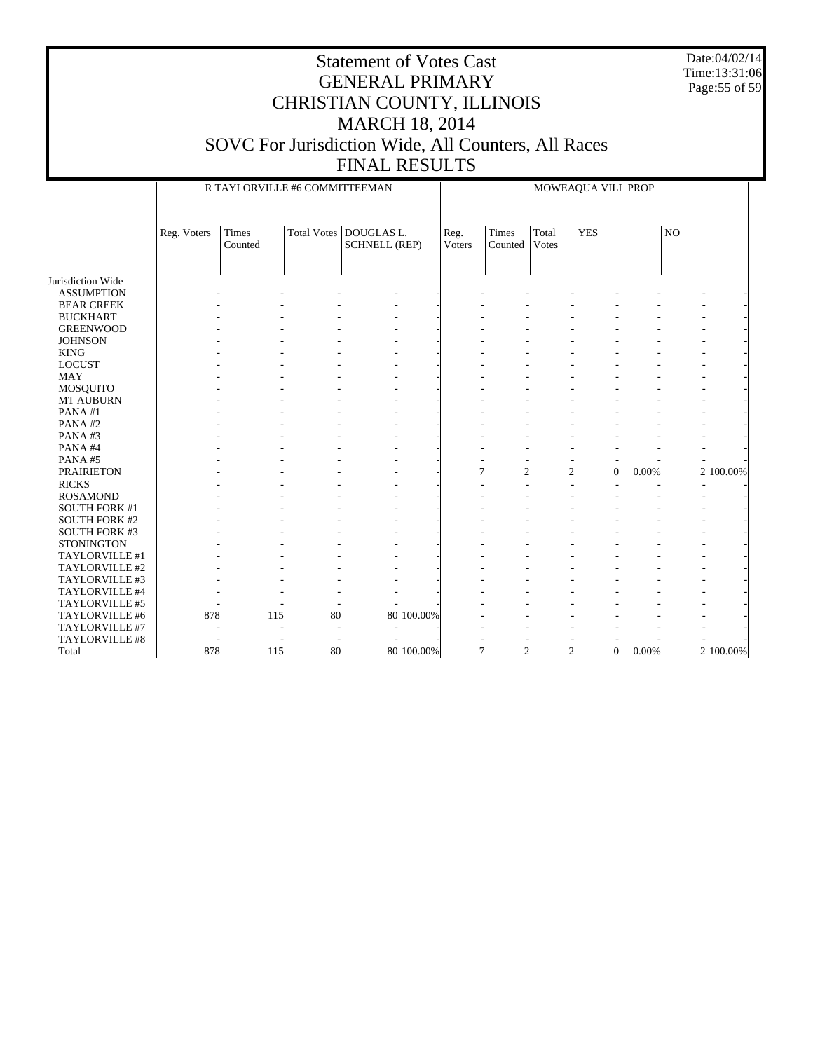Date:04/02/14 Time:13:31:06 Page:55 of 59

|                      |             | R TAYLORVILLE #6 COMMITTEEMAN |                    |                                    |                | MOWEAQUA VILL PROP               |                       |                                |                           |                |           |
|----------------------|-------------|-------------------------------|--------------------|------------------------------------|----------------|----------------------------------|-----------------------|--------------------------------|---------------------------|----------------|-----------|
|                      | Reg. Voters | Times<br>Counted              | <b>Total Votes</b> | DOUGLAS L.<br><b>SCHNELL (REP)</b> | Reg.<br>Voters | Times<br>Counted                 | Total<br><b>Votes</b> | <b>YES</b>                     |                           | NO             |           |
| Jurisdiction Wide    |             |                               |                    |                                    |                |                                  |                       |                                |                           |                |           |
| <b>ASSUMPTION</b>    |             |                               |                    |                                    |                |                                  |                       |                                |                           |                |           |
| <b>BEAR CREEK</b>    |             |                               |                    |                                    |                |                                  |                       |                                |                           |                |           |
| <b>BUCKHART</b>      |             |                               |                    |                                    |                |                                  |                       |                                |                           |                |           |
| <b>GREENWOOD</b>     |             |                               |                    |                                    |                |                                  |                       |                                |                           |                |           |
| <b>JOHNSON</b>       |             |                               |                    |                                    |                |                                  |                       |                                |                           |                |           |
| <b>KING</b>          |             |                               |                    |                                    |                |                                  |                       |                                |                           |                |           |
| <b>LOCUST</b>        |             |                               |                    |                                    |                |                                  |                       |                                |                           |                |           |
| <b>MAY</b>           |             |                               |                    |                                    |                |                                  |                       |                                |                           |                |           |
| <b>MOSQUITO</b>      |             |                               |                    |                                    |                |                                  |                       |                                |                           |                |           |
| MT AUBURN            |             |                               |                    |                                    |                |                                  |                       |                                |                           |                |           |
| PANA#1               |             |                               |                    |                                    |                |                                  |                       |                                |                           |                |           |
| PANA#2               |             |                               |                    |                                    |                |                                  |                       |                                |                           |                |           |
| PANA#3               |             |                               |                    |                                    |                |                                  |                       |                                |                           |                |           |
| PANA#4               |             |                               |                    |                                    |                |                                  |                       |                                |                           |                |           |
| PANA#5               |             |                               |                    |                                    |                | $\overline{a}$                   |                       |                                |                           |                |           |
| <b>PRAIRIETON</b>    |             |                               |                    |                                    |                | $\overline{7}$<br>$\overline{c}$ |                       | $\mathfrak{2}$<br>$\mathbf{0}$ | 0.00%                     |                | 2 100.00% |
| <b>RICKS</b>         |             |                               |                    |                                    |                |                                  |                       |                                |                           | $\overline{a}$ |           |
| <b>ROSAMOND</b>      |             |                               |                    |                                    |                |                                  |                       |                                |                           |                |           |
| <b>SOUTH FORK #1</b> |             |                               |                    |                                    |                |                                  |                       |                                |                           |                |           |
| <b>SOUTH FORK #2</b> |             |                               |                    |                                    |                |                                  |                       |                                |                           |                |           |
| <b>SOUTH FORK #3</b> |             |                               |                    |                                    |                |                                  |                       |                                |                           |                |           |
| <b>STONINGTON</b>    |             |                               |                    |                                    |                |                                  |                       |                                |                           |                |           |
| TAYLORVILLE #1       |             |                               |                    |                                    |                |                                  |                       |                                |                           |                |           |
| TAYLORVILLE #2       |             |                               |                    |                                    |                |                                  |                       |                                |                           |                |           |
| TAYLORVILLE #3       |             |                               |                    |                                    |                |                                  |                       |                                |                           |                |           |
| TAYLORVILLE #4       |             |                               |                    |                                    |                |                                  |                       |                                |                           |                |           |
| TAYLORVILLE #5       |             |                               |                    |                                    |                |                                  |                       |                                |                           |                |           |
| TAYLORVILLE #6       | 878         | 115                           | 80                 | 80 100.00%                         |                |                                  |                       |                                |                           |                |           |
| TAYLORVILLE #7       |             |                               |                    | ÷.                                 |                |                                  |                       |                                |                           |                |           |
| TAYLORVILLE #8       |             |                               |                    |                                    |                |                                  |                       |                                |                           |                |           |
| Total                | 878         | 115                           | 80                 | 80 100.00%                         |                | $\overline{7}$<br>$\overline{2}$ |                       | $\overline{c}$                 | $\boldsymbol{0}$<br>0.00% |                | 2 100.00% |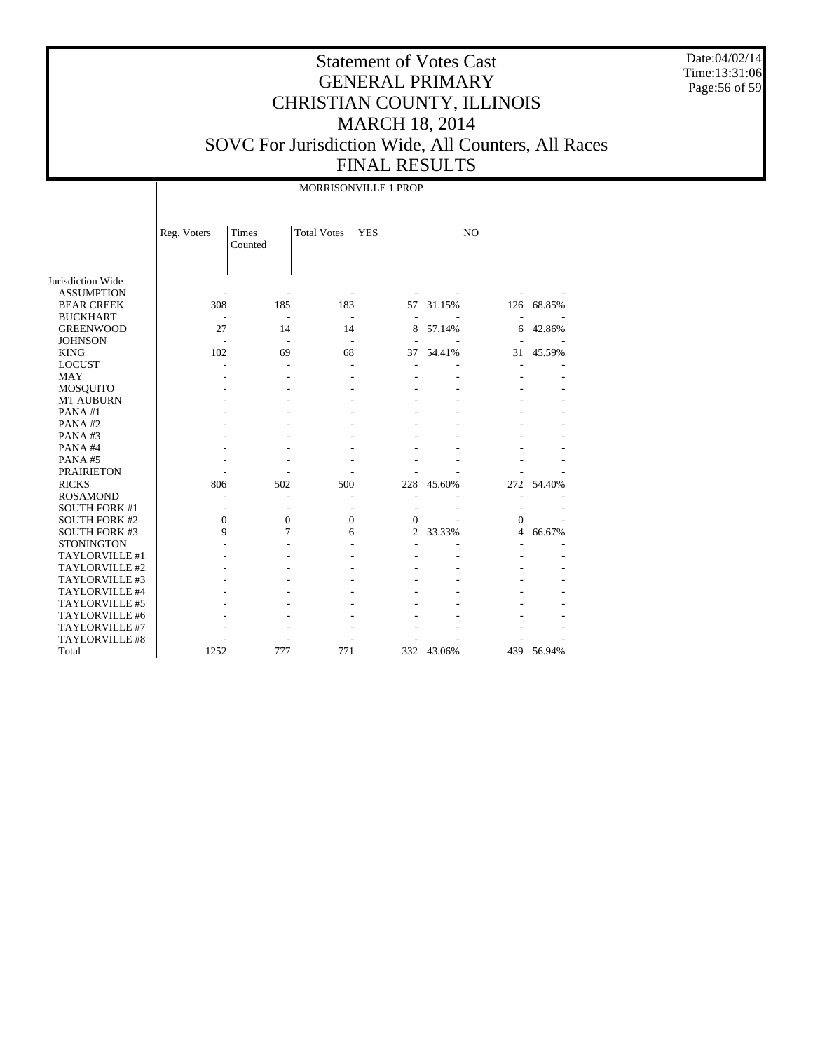Date:04/02/14 Time:13:31:06 Page:56 of 59

# Statement of Votes Cast GENERAL PRIMARY CHRISTIAN COUNTY, ILLINOIS MARCH 18, 2014 SOVC For Jurisdiction Wide, All Counters, All Races FINAL RESULTS

MORRISONVILLE 1 PROP

|                      | Reg. Voters | <b>Times</b><br>Counted | <b>Total Votes</b> | <b>YES</b> |        | N <sub>O</sub> |        |
|----------------------|-------------|-------------------------|--------------------|------------|--------|----------------|--------|
|                      |             |                         |                    |            |        |                |        |
| Jurisdiction Wide    |             |                         |                    |            |        |                |        |
| <b>ASSUMPTION</b>    |             |                         |                    |            |        |                |        |
| <b>BEAR CREEK</b>    | 308         | 185                     | 183                | 57         | 31.15% | 126            | 68.85% |
| <b>BUCKHART</b>      |             |                         |                    |            |        |                |        |
| <b>GREENWOOD</b>     | 27          | 14                      | 14                 | 8          | 57.14% | 6              | 42.86% |
| <b>JOHNSON</b>       |             |                         |                    |            |        |                |        |
| <b>KING</b>          | 102         | 69                      | 68                 | 37         | 54.41% | 31             | 45.59% |
| <b>LOCUST</b>        |             |                         |                    |            |        |                |        |
| <b>MAY</b>           |             |                         |                    |            |        |                |        |
| <b>MOSQUITO</b>      |             |                         |                    |            |        |                |        |
| <b>MT AUBURN</b>     |             |                         |                    |            |        |                |        |
| PANA#1               |             |                         |                    |            |        |                |        |
| PANA#2               |             |                         |                    |            |        |                |        |
| PANA#3               |             |                         |                    |            |        |                |        |
| PANA#4               |             |                         |                    |            |        |                |        |
| PANA#5               |             |                         |                    |            |        |                |        |
| <b>PRAIRIETON</b>    |             |                         |                    |            |        |                |        |
| <b>RICKS</b>         | 806         | 502                     | 500                | 228        | 45.60% | 272            | 54.40% |
| <b>ROSAMOND</b>      |             |                         |                    |            |        |                |        |
| <b>SOUTH FORK #1</b> |             |                         |                    |            |        |                |        |
| <b>SOUTH FORK #2</b> | 0           | $\mathbf{0}$            | 0                  | 0          |        | $\mathbf{0}$   |        |
| <b>SOUTH FORK #3</b> | 9           | 7                       | 6                  | 2          | 33.33% | 4              | 66.67% |
| <b>STONINGTON</b>    |             |                         |                    |            |        |                |        |
| TAYLORVILLE #1       |             |                         |                    |            |        |                |        |
| TAYLORVILLE #2       |             |                         |                    |            |        |                |        |
| TAYLORVILLE #3       |             |                         |                    |            |        |                |        |
| TAYLORVILLE #4       |             |                         |                    |            |        |                |        |
| TAYLORVILLE #5       |             |                         |                    |            |        |                |        |
| TAYLORVILLE #6       |             |                         |                    |            |        |                |        |
| TAYLORVILLE #7       |             |                         |                    |            |        |                |        |
| TAYLORVILLE #8       |             |                         |                    |            |        |                |        |
| Total                | 1252        | 777                     | 771                | 332        | 43.06% | 439            | 56.94% |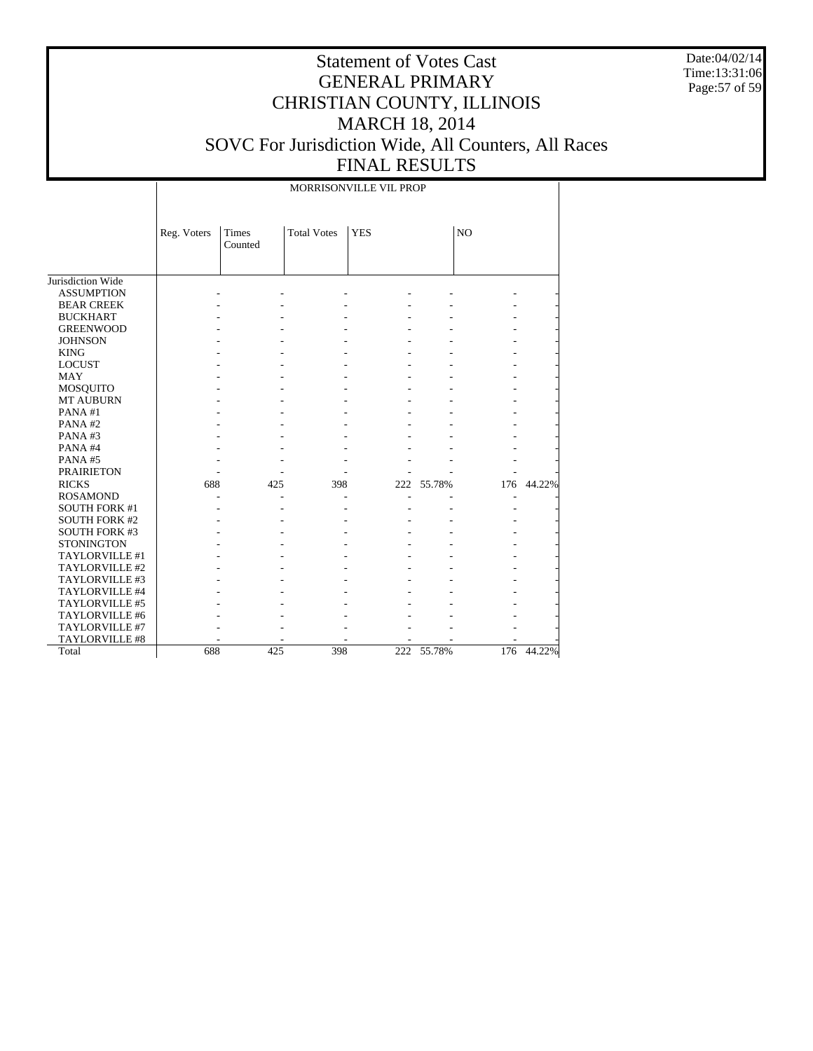Date:04/02/14 Time:13:31:06 Page:57 of 59

# Statement of Votes Cast GENERAL PRIMARY CHRISTIAN COUNTY, ILLINOIS MARCH 18, 2014 SOVC For Jurisdiction Wide, All Counters, All Races FINAL RESULTS

MORRISONVILLE VIL PROP

|                      | Reg. Voters | Times<br>Counted | <b>Total Votes</b> | <b>YES</b> |        | N <sub>O</sub> |        |
|----------------------|-------------|------------------|--------------------|------------|--------|----------------|--------|
|                      |             |                  |                    |            |        |                |        |
| Jurisdiction Wide    |             |                  |                    |            |        |                |        |
| <b>ASSUMPTION</b>    |             |                  |                    |            |        |                |        |
| <b>BEAR CREEK</b>    |             |                  |                    |            |        |                |        |
| <b>BUCKHART</b>      |             |                  |                    |            |        |                |        |
| <b>GREENWOOD</b>     |             |                  |                    |            |        |                |        |
| <b>JOHNSON</b>       |             |                  |                    |            |        |                |        |
| <b>KING</b>          |             |                  |                    |            |        |                |        |
| <b>LOCUST</b>        |             |                  |                    |            |        |                |        |
| <b>MAY</b>           |             |                  |                    |            |        |                |        |
| <b>MOSQUITO</b>      |             |                  |                    |            |        |                |        |
| <b>MT AUBURN</b>     |             |                  |                    |            |        |                |        |
| PANA#1               |             |                  |                    |            |        |                |        |
| PANA#2               |             |                  |                    |            |        |                |        |
| PANA#3               |             |                  |                    |            |        |                |        |
| PANA#4               |             |                  |                    |            |        |                |        |
| PANA#5               |             |                  |                    |            |        |                |        |
| <b>PRAIRIETON</b>    |             |                  |                    |            |        |                |        |
| <b>RICKS</b>         | 688         | 425              | 398                | 222        | 55.78% | 176            | 44.22% |
| <b>ROSAMOND</b>      |             |                  |                    |            |        |                |        |
| <b>SOUTH FORK #1</b> |             |                  |                    |            |        |                |        |
| <b>SOUTH FORK #2</b> |             |                  |                    |            |        |                |        |
| <b>SOUTH FORK #3</b> |             |                  |                    |            |        |                |        |
| <b>STONINGTON</b>    |             |                  |                    |            |        |                |        |
| TAYLORVILLE #1       |             |                  |                    |            |        |                |        |
| TAYLORVILLE #2       |             |                  |                    |            |        |                |        |
| TAYLORVILLE #3       |             |                  |                    |            |        |                |        |
| TAYLORVILLE #4       |             |                  |                    |            |        |                |        |
| TAYLORVILLE #5       |             |                  |                    |            |        |                |        |
| TAYLORVILLE #6       |             |                  |                    |            |        |                |        |
| TAYLORVILLE #7       |             |                  |                    |            |        |                |        |
| TAYLORVILLE #8       |             |                  |                    |            |        |                |        |
| Total                | 688         | 425              | 398                | 222        | 55.78% | 176            | 44.22% |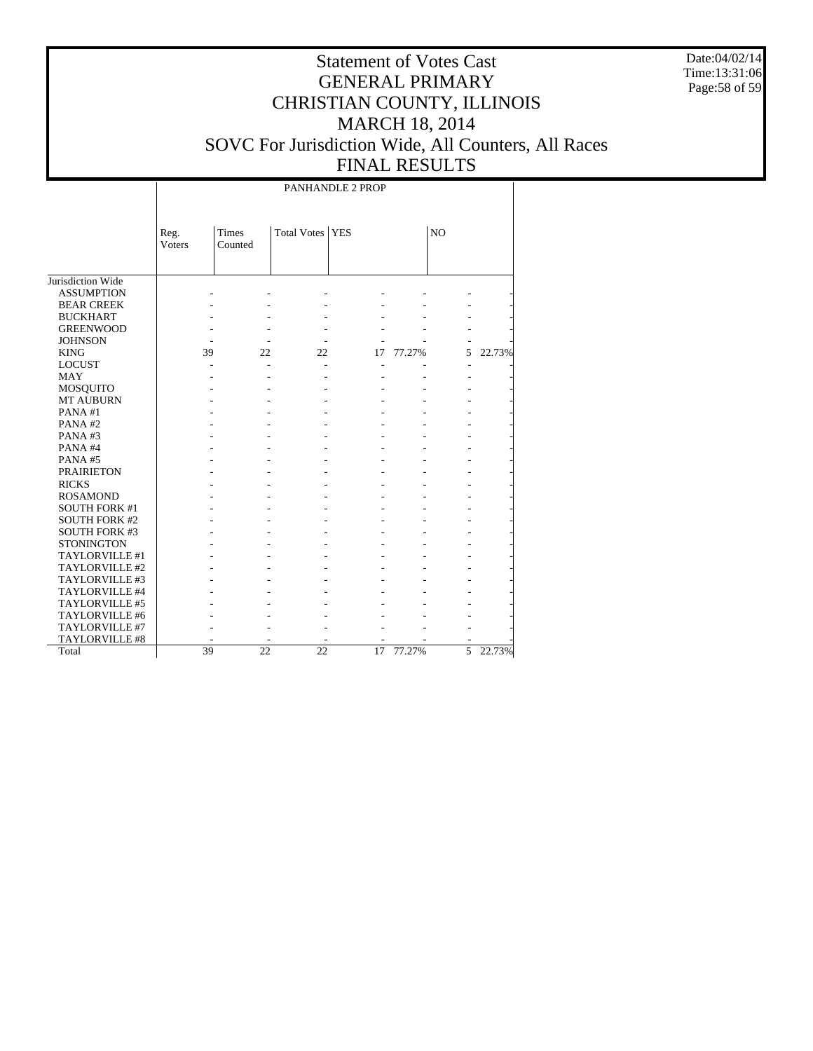Date:04/02/14 Time:13:31:06 Page:58 of 59

# Statement of Votes Cast GENERAL PRIMARY CHRISTIAN COUNTY, ILLINOIS MARCH 18, 2014 SOVC For Jurisdiction Wide, All Counters, All Races FINAL RESULTS

PANHANDLE 2 PROP

|                      | Reg.   | Times   | Total Votes   YES |    |        | N <sub>O</sub> |        |
|----------------------|--------|---------|-------------------|----|--------|----------------|--------|
|                      | Voters | Counted |                   |    |        |                |        |
|                      |        |         |                   |    |        |                |        |
|                      |        |         |                   |    |        |                |        |
| Jurisdiction Wide    |        |         |                   |    |        |                |        |
| <b>ASSUMPTION</b>    |        |         |                   |    |        |                |        |
| <b>BEAR CREEK</b>    |        |         |                   |    |        |                |        |
| <b>BUCKHART</b>      |        |         |                   |    |        |                |        |
| <b>GREENWOOD</b>     |        |         |                   |    |        |                |        |
| <b>JOHNSON</b>       |        |         |                   |    |        |                |        |
| <b>KING</b>          | 39     | 22      | 22                | 17 | 77.27% | 5              | 22.73% |
| <b>LOCUST</b>        |        |         |                   |    |        |                |        |
| <b>MAY</b>           |        |         |                   |    |        |                |        |
| <b>MOSQUITO</b>      |        |         |                   |    |        |                |        |
| <b>MT AUBURN</b>     |        |         |                   |    |        |                |        |
| PANA#1               |        |         |                   |    |        |                |        |
| PANA#2               |        |         |                   |    |        |                |        |
| PANA#3               |        |         |                   |    |        |                |        |
| PANA#4               |        |         |                   |    |        |                |        |
| PANA#5               |        |         |                   |    |        |                |        |
| <b>PRAIRIETON</b>    |        |         |                   |    |        |                |        |
| <b>RICKS</b>         |        |         |                   |    |        |                |        |
| <b>ROSAMOND</b>      |        |         |                   |    |        |                |        |
| <b>SOUTH FORK #1</b> |        |         |                   |    |        |                |        |
| <b>SOUTH FORK #2</b> |        |         |                   |    |        |                |        |
| <b>SOUTH FORK #3</b> |        |         |                   |    |        |                |        |
| <b>STONINGTON</b>    |        |         |                   |    |        |                |        |
| TAYLORVILLE #1       |        |         |                   |    |        |                |        |
| TAYLORVILLE #2       |        |         |                   |    |        |                |        |
| TAYLORVILLE #3       |        |         |                   |    |        |                |        |
| TAYLORVILLE #4       |        |         |                   |    |        |                |        |
| TAYLORVILLE #5       |        |         |                   |    |        |                |        |
| TAYLORVILLE #6       |        |         |                   |    |        |                |        |
| TAYLORVILLE #7       |        |         |                   |    |        |                |        |
| TAYLORVILLE #8       |        |         |                   |    |        |                |        |
| Total                | 39     | 22      | 22                | 17 | 77.27% | 5              | 22.73% |